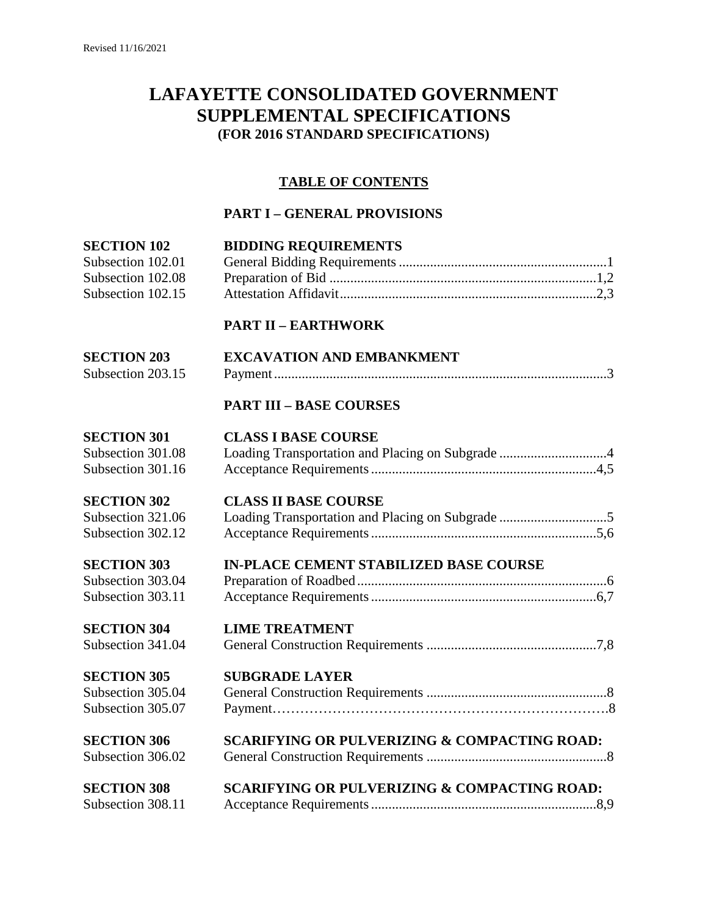# **LAFAYETTE CONSOLIDATED GOVERNMENT SUPPLEMENTAL SPECIFICATIONS (FOR 2016 STANDARD SPECIFICATIONS)**

### **TABLE OF CONTENTS**

# **PART I – GENERAL PROVISIONS**

| <b>SECTION 102</b> | <b>BIDDING REQUIREMENTS</b>                             |
|--------------------|---------------------------------------------------------|
| Subsection 102.01  |                                                         |
| Subsection 102.08  |                                                         |
| Subsection 102.15  |                                                         |
|                    | <b>PART II - EARTHWORK</b>                              |
| <b>SECTION 203</b> | <b>EXCAVATION AND EMBANKMENT</b>                        |
| Subsection 203.15  |                                                         |
|                    | <b>PART III - BASE COURSES</b>                          |
| <b>SECTION 301</b> | <b>CLASS I BASE COURSE</b>                              |
| Subsection 301.08  |                                                         |
| Subsection 301.16  |                                                         |
| <b>SECTION 302</b> | <b>CLASS II BASE COURSE</b>                             |
| Subsection 321.06  |                                                         |
| Subsection 302.12  |                                                         |
| <b>SECTION 303</b> | <b>IN-PLACE CEMENT STABILIZED BASE COURSE</b>           |
| Subsection 303.04  |                                                         |
| Subsection 303.11  |                                                         |
| <b>SECTION 304</b> | <b>LIME TREATMENT</b>                                   |
| Subsection 341.04  |                                                         |
| <b>SECTION 305</b> | <b>SUBGRADE LAYER</b>                                   |
| Subsection 305.04  |                                                         |
| Subsection 305.07  |                                                         |
| <b>SECTION 306</b> | <b>SCARIFYING OR PULVERIZING &amp; COMPACTING ROAD:</b> |
| Subsection 306.02  |                                                         |
| <b>SECTION 308</b> | <b>SCARIFYING OR PULVERIZING &amp; COMPACTING ROAD:</b> |
| Subsection 308.11  |                                                         |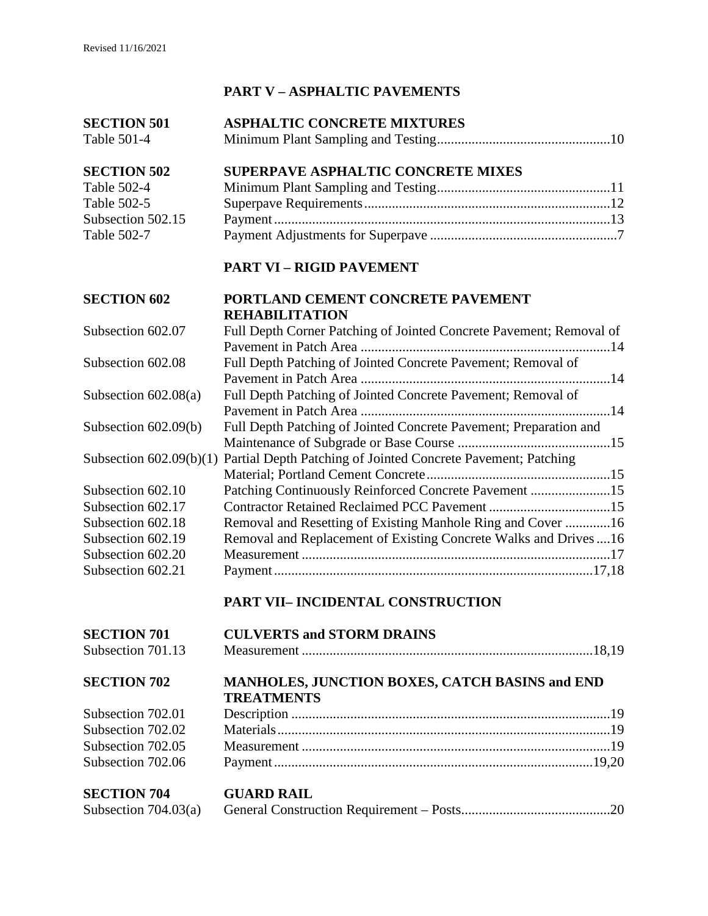# **PART V – ASPHALTIC PAVEMENTS**

| <b>SECTION 501</b>     | <b>ASPHALTIC CONCRETE MIXTURES</b>                                                    |
|------------------------|---------------------------------------------------------------------------------------|
| Table 501-4            |                                                                                       |
| <b>SECTION 502</b>     | <b>SUPERPAVE ASPHALTIC CONCRETE MIXES</b>                                             |
| Table 502-4            |                                                                                       |
| Table 502-5            |                                                                                       |
| Subsection 502.15      |                                                                                       |
| Table 502-7            |                                                                                       |
|                        | <b>PART VI - RIGID PAVEMENT</b>                                                       |
| <b>SECTION 602</b>     | PORTLAND CEMENT CONCRETE PAVEMENT                                                     |
|                        | <b>REHABILITATION</b>                                                                 |
| Subsection 602.07      | Full Depth Corner Patching of Jointed Concrete Pavement; Removal of                   |
|                        |                                                                                       |
| Subsection 602.08      | Full Depth Patching of Jointed Concrete Pavement; Removal of                          |
|                        |                                                                                       |
| Subsection $602.08(a)$ | Full Depth Patching of Jointed Concrete Pavement; Removal of                          |
|                        |                                                                                       |
| Subsection $602.09(b)$ | Full Depth Patching of Jointed Concrete Pavement; Preparation and                     |
|                        |                                                                                       |
|                        | Subsection 602.09(b)(1) Partial Depth Patching of Jointed Concrete Pavement; Patching |
| Subsection 602.10      | Patching Continuously Reinforced Concrete Pavement 15                                 |
| Subsection 602.17      |                                                                                       |
| Subsection 602.18      | Removal and Resetting of Existing Manhole Ring and Cover 16                           |
| Subsection 602.19      | Removal and Replacement of Existing Concrete Walks and Drives  16                     |
| Subsection 602.20      |                                                                                       |
| Subsection 602.21      |                                                                                       |
|                        |                                                                                       |
|                        | PART VII- INCIDENTAL CONSTRUCTION                                                     |
| <b>SECTION 701</b>     | <b>CULVERTS and STORM DRAINS</b>                                                      |

# Subsection 701.13 Measurement ....................................................................................18,19 **SECTION 702 MANHOLES, JUNCTION BOXES, CATCH BASINS and END TREATMENTS** Subsection 702.01 Description ............................................................................................19 Subsection 702.02 Materials................................................................................................19 Subsection 702.05 Measurement .........................................................................................19 Subsection 702.06 Payment............................................................................................19,20

#### **SECTION 704 GUARD RAIL**  Subsection 704.03(a)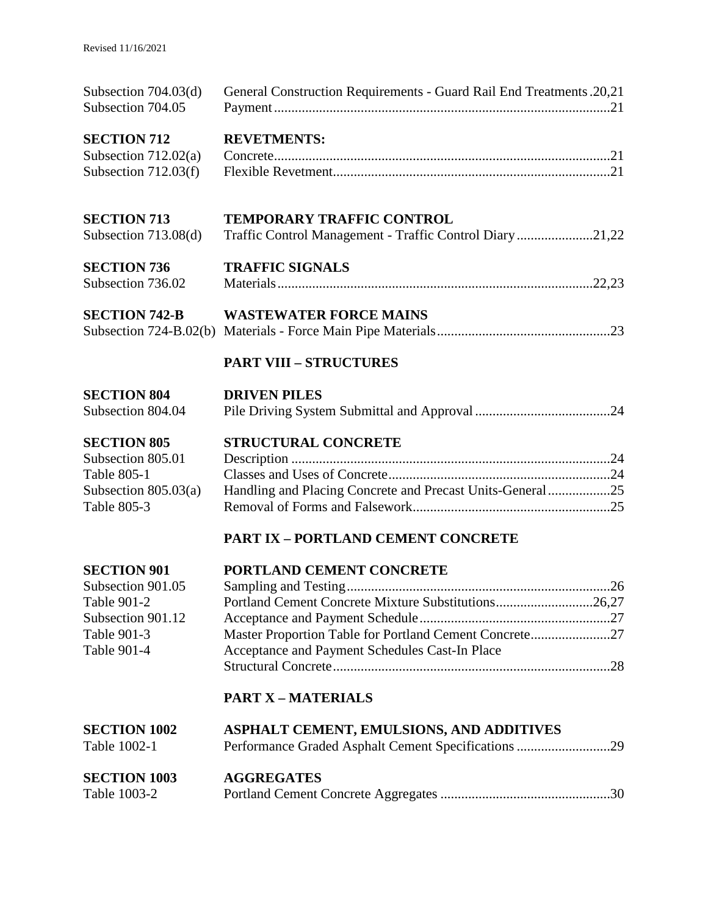| Subsection $704.03(d)$<br>Subsection 704.05 | General Construction Requirements - Guard Rail End Treatments. 20,21 |  |
|---------------------------------------------|----------------------------------------------------------------------|--|
| <b>SECTION 712</b>                          | <b>REVETMENTS:</b>                                                   |  |
| Subsection $712.02(a)$                      |                                                                      |  |
| Subsection $712.03(f)$                      |                                                                      |  |
| <b>SECTION 713</b>                          | <b>TEMPORARY TRAFFIC CONTROL</b>                                     |  |
| Subsection $713.08(d)$                      | Traffic Control Management - Traffic Control Diary 21,22             |  |
| <b>SECTION 736</b>                          | <b>TRAFFIC SIGNALS</b>                                               |  |
| Subsection 736.02                           |                                                                      |  |
| <b>SECTION 742-B</b>                        | <b>WASTEWATER FORCE MAINS</b>                                        |  |
|                                             |                                                                      |  |
|                                             | <b>PART VIII - STRUCTURES</b>                                        |  |
| <b>SECTION 804</b>                          | <b>DRIVEN PILES</b>                                                  |  |
| Subsection 804.04                           |                                                                      |  |
| <b>SECTION 805</b>                          | STRUCTURAL CONCRETE                                                  |  |
| Subsection 805.01                           |                                                                      |  |
| <b>Table 805-1</b>                          |                                                                      |  |
| Subsection $805.03(a)$                      | Handling and Placing Concrete and Precast Units-General25            |  |
| Table 805-3                                 |                                                                      |  |
|                                             | <b>PART IX - PORTLAND CEMENT CONCRETE</b>                            |  |
| <b>SECTION 901</b>                          | PORTLAND CEMENT CONCRETE                                             |  |
| Subsection 901.05                           |                                                                      |  |
| Table 901-2                                 | Portland Cement Concrete Mixture Substitutions26,27                  |  |
| Subsection 901.12                           |                                                                      |  |
| Table 901-3                                 | Master Proportion Table for Portland Cement Concrete27               |  |
| Table 901-4                                 | Acceptance and Payment Schedules Cast-In Place                       |  |
|                                             |                                                                      |  |
|                                             | <b>PART X - MATERIALS</b>                                            |  |
| <b>SECTION 1002</b>                         | ASPHALT CEMENT, EMULSIONS, AND ADDITIVES                             |  |
| Table 1002-1                                | Performance Graded Asphalt Cement Specifications 29                  |  |
| <b>SECTION 1003</b>                         | <b>AGGREGATES</b>                                                    |  |
| Table 1003-2                                |                                                                      |  |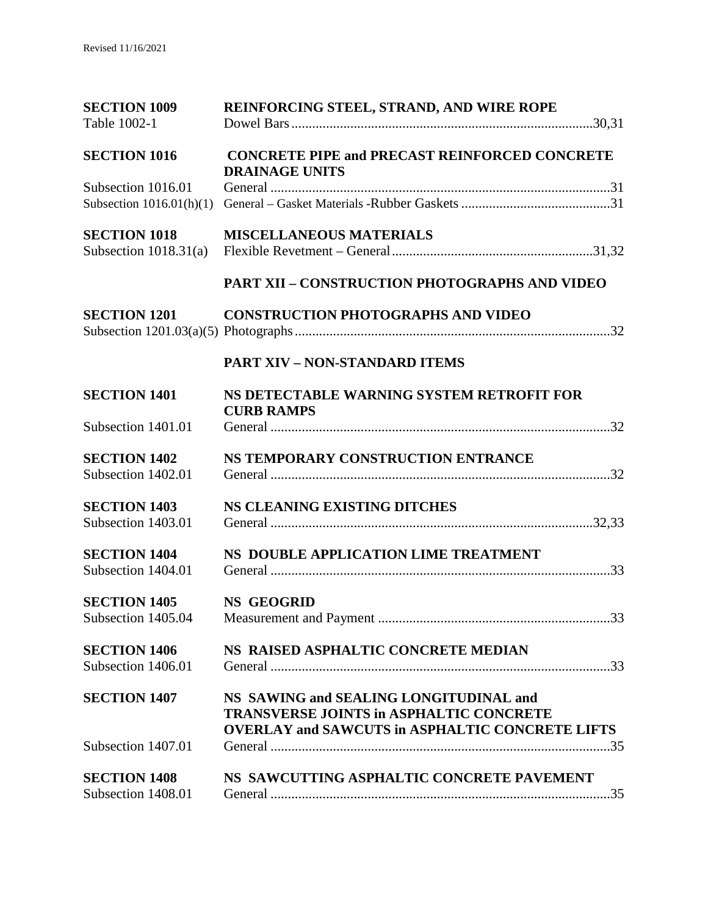| <b>SECTION 1009</b>        | REINFORCING STEEL, STRAND, AND WIRE ROPE                                                                                                           |
|----------------------------|----------------------------------------------------------------------------------------------------------------------------------------------------|
| Table 1002-1               |                                                                                                                                                    |
| <b>SECTION 1016</b>        | <b>CONCRETE PIPE and PRECAST REINFORCED CONCRETE</b><br><b>DRAINAGE UNITS</b>                                                                      |
| Subsection 1016.01         |                                                                                                                                                    |
| Subsection $1016.01(h)(1)$ |                                                                                                                                                    |
| <b>SECTION 1018</b>        | <b>MISCELLANEOUS MATERIALS</b>                                                                                                                     |
| Subsection $1018.31(a)$    |                                                                                                                                                    |
|                            | <b>PART XII - CONSTRUCTION PHOTOGRAPHS AND VIDEO</b>                                                                                               |
| <b>SECTION 1201</b>        | <b>CONSTRUCTION PHOTOGRAPHS AND VIDEO</b>                                                                                                          |
|                            |                                                                                                                                                    |
|                            | <b>PART XIV - NON-STANDARD ITEMS</b>                                                                                                               |
| <b>SECTION 1401</b>        | NS DETECTABLE WARNING SYSTEM RETROFIT FOR<br><b>CURB RAMPS</b>                                                                                     |
| Subsection 1401.01         |                                                                                                                                                    |
| <b>SECTION 1402</b>        | NS TEMPORARY CONSTRUCTION ENTRANCE                                                                                                                 |
| Subsection 1402.01         |                                                                                                                                                    |
| <b>SECTION 1403</b>        | <b>NS CLEANING EXISTING DITCHES</b>                                                                                                                |
| Subsection 1403.01         |                                                                                                                                                    |
| <b>SECTION 1404</b>        | NS DOUBLE APPLICATION LIME TREATMENT                                                                                                               |
| Subsection 1404.01         |                                                                                                                                                    |
| <b>SECTION 1405</b>        | <b>NS GEOGRID</b>                                                                                                                                  |
| Subsection 1405.04         |                                                                                                                                                    |
| <b>SECTION 1406</b>        | NS RAISED ASPHALTIC CONCRETE MEDIAN                                                                                                                |
| Subsection 1406.01         |                                                                                                                                                    |
| <b>SECTION 1407</b>        | NS SAWING and SEALING LONGITUDINAL and<br><b>TRANSVERSE JOINTS in ASPHALTIC CONCRETE</b><br><b>OVERLAY and SAWCUTS in ASPHALTIC CONCRETE LIFTS</b> |
| Subsection 1407.01         |                                                                                                                                                    |
| <b>SECTION 1408</b>        | NS SAWCUTTING ASPHALTIC CONCRETE PAVEMENT                                                                                                          |
| Subsection 1408.01         |                                                                                                                                                    |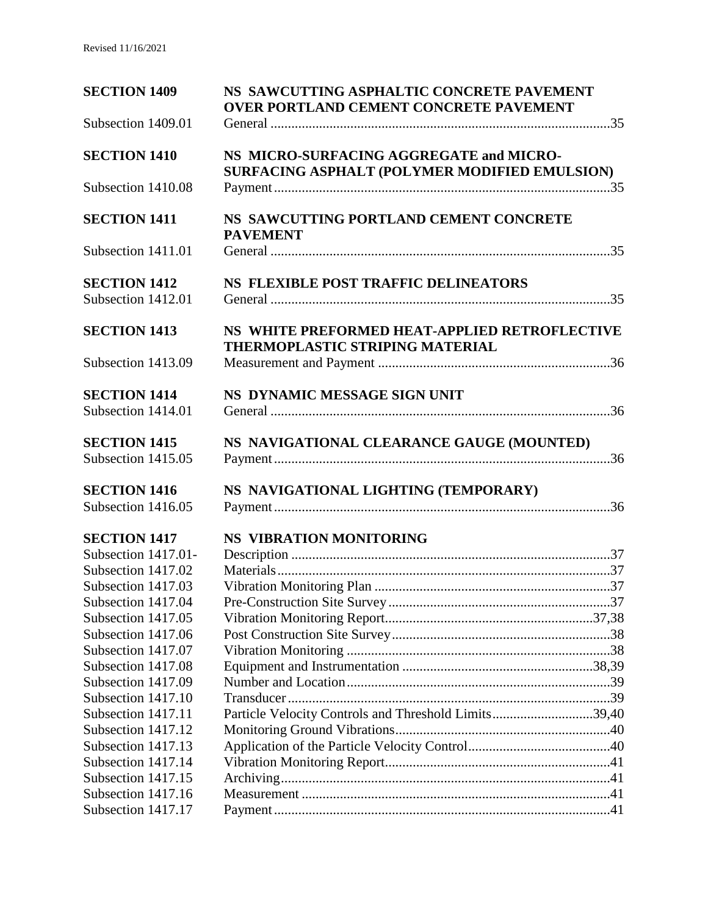| <b>SECTION 1409</b>                       | NS SAWCUTTING ASPHALTIC CONCRETE PAVEMENT<br><b>OVER PORTLAND CEMENT CONCRETE PAVEMENT</b> |  |
|-------------------------------------------|--------------------------------------------------------------------------------------------|--|
| Subsection 1409.01                        |                                                                                            |  |
| <b>SECTION 1410</b>                       | NS MICRO-SURFACING AGGREGATE and MICRO-<br>SURFACING ASPHALT (POLYMER MODIFIED EMULSION)   |  |
| Subsection 1410.08                        |                                                                                            |  |
| <b>SECTION 1411</b>                       | NS SAWCUTTING PORTLAND CEMENT CONCRETE<br><b>PAVEMENT</b>                                  |  |
| Subsection 1411.01                        |                                                                                            |  |
| <b>SECTION 1412</b><br>Subsection 1412.01 | NS FLEXIBLE POST TRAFFIC DELINEATORS                                                       |  |
| <b>SECTION 1413</b>                       | NS WHITE PREFORMED HEAT-APPLIED RETROFLECTIVE<br>THERMOPLASTIC STRIPING MATERIAL           |  |
| Subsection 1413.09                        |                                                                                            |  |
| <b>SECTION 1414</b>                       | NS DYNAMIC MESSAGE SIGN UNIT                                                               |  |
| Subsection 1414.01                        |                                                                                            |  |
| <b>SECTION 1415</b>                       | NS NAVIGATIONAL CLEARANCE GAUGE (MOUNTED)                                                  |  |
| Subsection 1415.05                        |                                                                                            |  |
| <b>SECTION 1416</b>                       | NS NAVIGATIONAL LIGHTING (TEMPORARY)                                                       |  |
| Subsection 1416.05                        |                                                                                            |  |
| <b>SECTION 1417</b>                       | <b>NS VIBRATION MONITORING</b>                                                             |  |
| Subsection 1417.01-                       |                                                                                            |  |
| Subsection 1417.02                        |                                                                                            |  |
| Subsection 1417.03                        |                                                                                            |  |
| Subsection 1417.04                        |                                                                                            |  |
| Subsection 1417.05                        |                                                                                            |  |
| Subsection 1417.06                        |                                                                                            |  |
| Subsection 1417.07                        |                                                                                            |  |
| Subsection 1417.08                        |                                                                                            |  |
| Subsection 1417.09                        |                                                                                            |  |
| Subsection 1417.10                        |                                                                                            |  |
| Subsection 1417.11                        | Particle Velocity Controls and Threshold Limits39,40                                       |  |
| Subsection 1417.12                        |                                                                                            |  |
| Subsection 1417.13                        |                                                                                            |  |
| Subsection 1417.14                        |                                                                                            |  |
| Subsection 1417.15                        |                                                                                            |  |
| Subsection 1417.16                        |                                                                                            |  |
| Subsection 1417.17                        |                                                                                            |  |
|                                           |                                                                                            |  |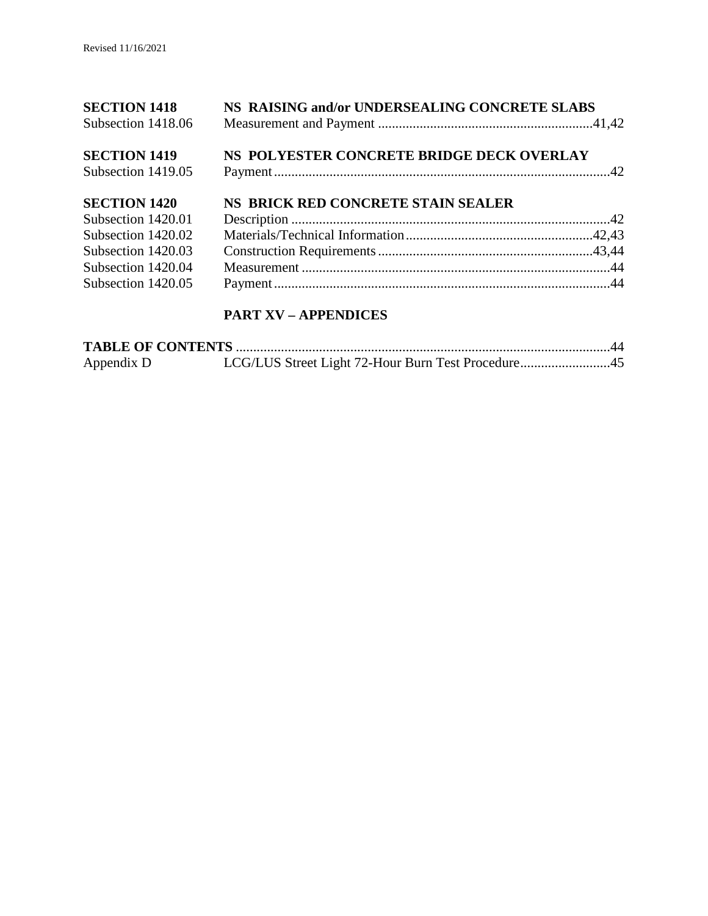| <b>SECTION 1418</b><br>Subsection 1418.06 | NS RAISING and/or UNDERSEALING CONCRETE SLABS |
|-------------------------------------------|-----------------------------------------------|
| <b>SECTION 1419</b>                       | NS POLYESTER CONCRETE BRIDGE DECK OVERLAY     |
| Subsection 1419.05                        |                                               |
| <b>SECTION 1420</b>                       | NS BRICK RED CONCRETE STAIN SEALER            |
| Subsection 1420.01                        |                                               |
| Subsection 1420.02                        |                                               |
| Subsection 1420.03                        |                                               |
| Subsection 1420.04                        |                                               |
| Subsection 1420.05                        |                                               |

# **PART XV – APPENDICES**

| Appendix D | LCG/LUS Street Light 72-Hour Burn Test Procedure45 |  |
|------------|----------------------------------------------------|--|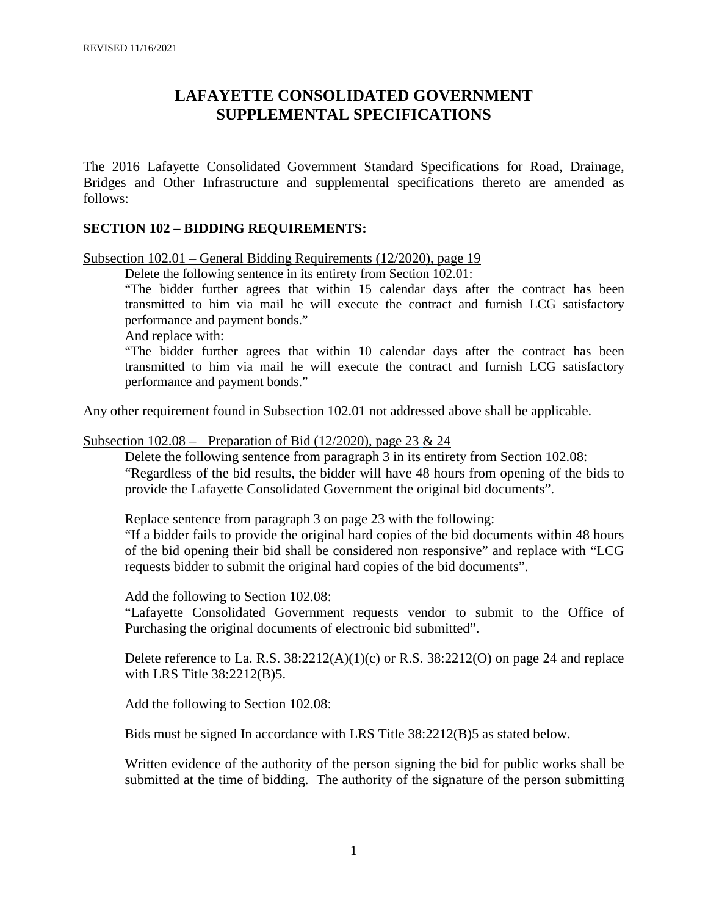# **LAFAYETTE CONSOLIDATED GOVERNMENT SUPPLEMENTAL SPECIFICATIONS**

The 2016 Lafayette Consolidated Government Standard Specifications for Road, Drainage, Bridges and Other Infrastructure and supplemental specifications thereto are amended as follows:

#### **SECTION 102 – BIDDING REQUIREMENTS:**

Subsection 102.01 – General Bidding Requirements (12/2020), page 19

Delete the following sentence in its entirety from Section 102.01:

"The bidder further agrees that within 15 calendar days after the contract has been transmitted to him via mail he will execute the contract and furnish LCG satisfactory performance and payment bonds."

And replace with:

"The bidder further agrees that within 10 calendar days after the contract has been transmitted to him via mail he will execute the contract and furnish LCG satisfactory performance and payment bonds."

Any other requirement found in Subsection 102.01 not addressed above shall be applicable.

Subsection  $102.08$  – Preparation of Bid (12/2020), page 23 & 24

Delete the following sentence from paragraph 3 in its entirety from Section 102.08: "Regardless of the bid results, the bidder will have 48 hours from opening of the bids to provide the Lafayette Consolidated Government the original bid documents".

Replace sentence from paragraph 3 on page 23 with the following:

"If a bidder fails to provide the original hard copies of the bid documents within 48 hours of the bid opening their bid shall be considered non responsive" and replace with "LCG requests bidder to submit the original hard copies of the bid documents".

Add the following to Section 102.08:

"Lafayette Consolidated Government requests vendor to submit to the Office of Purchasing the original documents of electronic bid submitted".

Delete reference to La. R.S.  $38:2212(A)(1)(c)$  or R.S.  $38:2212(O)$  on page 24 and replace with LRS Title 38:2212(B)5.

Add the following to Section 102.08:

Bids must be signed In accordance with LRS Title 38:2212(B)5 as stated below.

Written evidence of the authority of the person signing the bid for public works shall be submitted at the time of bidding. The authority of the signature of the person submitting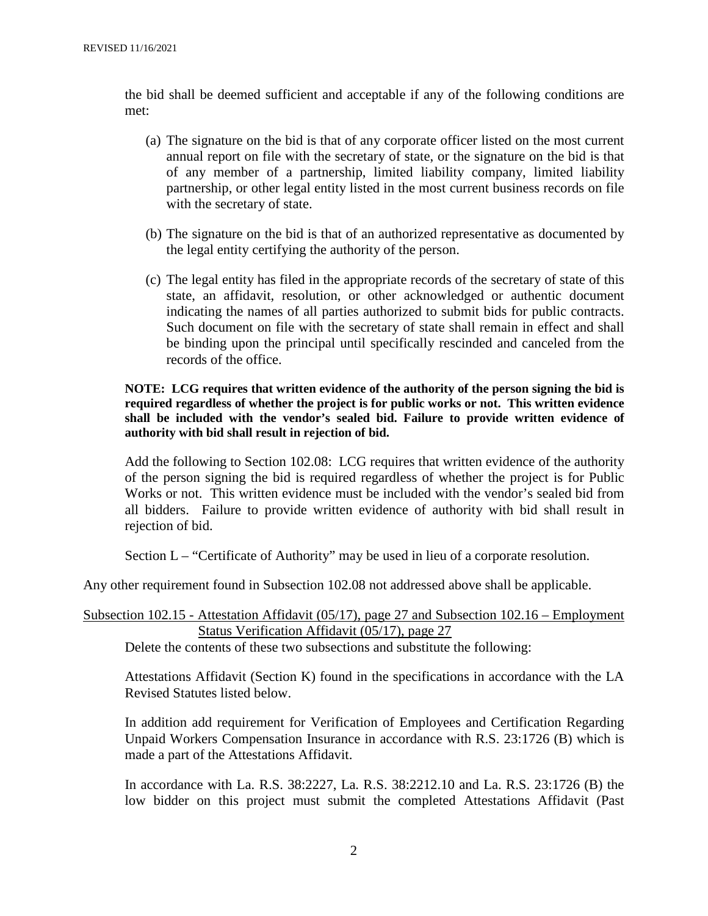the bid shall be deemed sufficient and acceptable if any of the following conditions are met:

- (a) The signature on the bid is that of any corporate officer listed on the most current annual report on file with the secretary of state, or the signature on the bid is that of any member of a partnership, limited liability company, limited liability partnership, or other legal entity listed in the most current business records on file with the secretary of state.
- (b) The signature on the bid is that of an authorized representative as documented by the legal entity certifying the authority of the person.
- (c) The legal entity has filed in the appropriate records of the secretary of state of this state, an affidavit, resolution, or other acknowledged or authentic document indicating the names of all parties authorized to submit bids for public contracts. Such document on file with the secretary of state shall remain in effect and shall be binding upon the principal until specifically rescinded and canceled from the records of the office.

#### **NOTE: LCG requires that written evidence of the authority of the person signing the bid is required regardless of whether the project is for public works or not. This written evidence shall be included with the vendor's sealed bid. Failure to provide written evidence of authority with bid shall result in rejection of bid.**

Add the following to Section 102.08: LCG requires that written evidence of the authority of the person signing the bid is required regardless of whether the project is for Public Works or not. This written evidence must be included with the vendor's sealed bid from all bidders. Failure to provide written evidence of authority with bid shall result in rejection of bid.

Section L – "Certificate of Authority" may be used in lieu of a corporate resolution.

Any other requirement found in Subsection 102.08 not addressed above shall be applicable.

#### Subsection 102.15 - Attestation Affidavit (05/17), page 27 and Subsection 102.16 – Employment Status Verification Affidavit (05/17), page 27

Delete the contents of these two subsections and substitute the following:

Attestations Affidavit (Section K) found in the specifications in accordance with the LA Revised Statutes listed below.

In addition add requirement for Verification of Employees and Certification Regarding Unpaid Workers Compensation Insurance in accordance with R.S. 23:1726 (B) which is made a part of the Attestations Affidavit.

In accordance with La. R.S. 38:2227, La. R.S. 38:2212.10 and La. R.S. 23:1726 (B) the low bidder on this project must submit the completed Attestations Affidavit (Past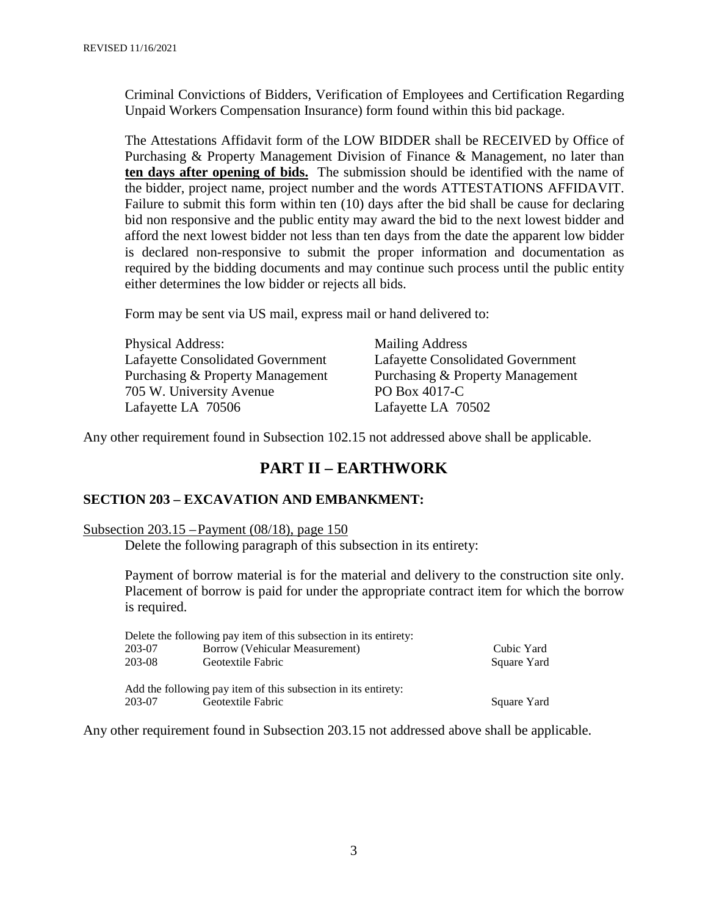Criminal Convictions of Bidders, Verification of Employees and Certification Regarding Unpaid Workers Compensation Insurance) form found within this bid package.

The Attestations Affidavit form of the LOW BIDDER shall be RECEIVED by Office of Purchasing & Property Management Division of Finance & Management, no later than **ten days after opening of bids.** The submission should be identified with the name of the bidder, project name, project number and the words ATTESTATIONS AFFIDAVIT. Failure to submit this form within ten (10) days after the bid shall be cause for declaring bid non responsive and the public entity may award the bid to the next lowest bidder and afford the next lowest bidder not less than ten days from the date the apparent low bidder is declared non-responsive to submit the proper information and documentation as required by the bidding documents and may continue such process until the public entity either determines the low bidder or rejects all bids.

Form may be sent via US mail, express mail or hand delivered to:

| <b>Physical Address:</b>                 | <b>Mailing Address</b>                   |
|------------------------------------------|------------------------------------------|
| <b>Lafayette Consolidated Government</b> | <b>Lafayette Consolidated Government</b> |
| Purchasing & Property Management         | Purchasing & Property Management         |
| 705 W. University Avenue                 | PO Box 4017-C                            |
| Lafayette LA 70506                       | Lafayette LA 70502                       |

Any other requirement found in Subsection 102.15 not addressed above shall be applicable.

#### **PART II – EARTHWORK**

#### **SECTION 203 – EXCAVATION AND EMBANKMENT:**

#### Subsection 203.15 –Payment (08/18), page 150

Delete the following paragraph of this subsection in its entirety:

Payment of borrow material is for the material and delivery to the construction site only. Placement of borrow is paid for under the appropriate contract item for which the borrow is required.

| Delete the following pay item of this subsection in its entirety: |                                |             |  |
|-------------------------------------------------------------------|--------------------------------|-------------|--|
| 203-07                                                            | Borrow (Vehicular Measurement) | Cubic Yard  |  |
| 203-08                                                            | Geotextile Fabric              | Square Yard |  |
|                                                                   |                                |             |  |
| Add the following pay item of this subsection in its entirety:    |                                |             |  |
| 203-07                                                            | Geotextile Fabric              | Square Yard |  |

Any other requirement found in Subsection 203.15 not addressed above shall be applicable.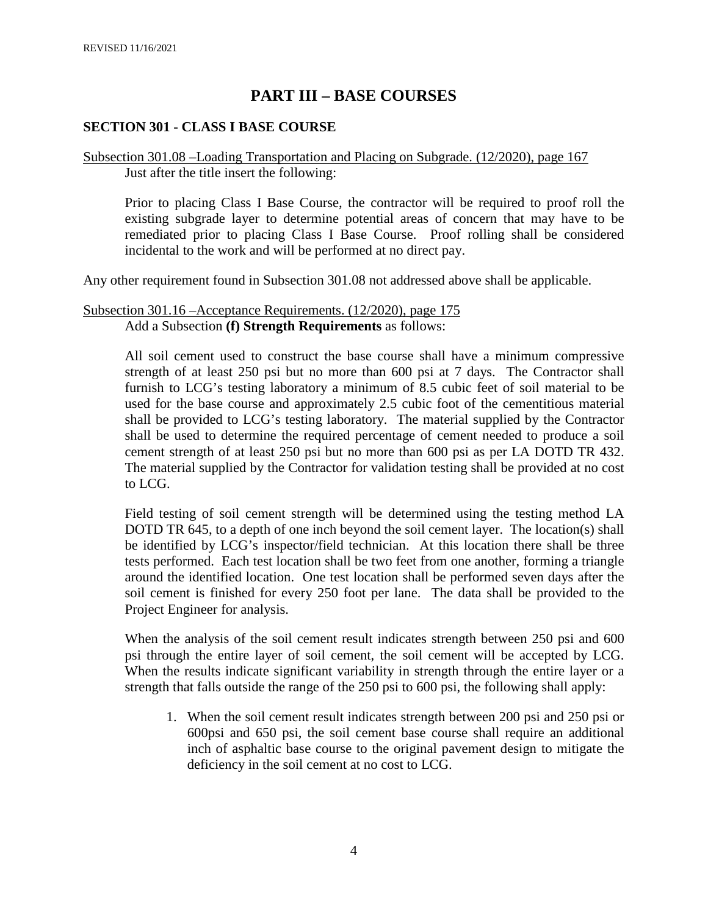# **PART III – BASE COURSES**

#### **SECTION 301 - CLASS I BASE COURSE**

#### Subsection 301.08 –Loading Transportation and Placing on Subgrade. (12/2020), page 167 Just after the title insert the following:

Prior to placing Class I Base Course, the contractor will be required to proof roll the existing subgrade layer to determine potential areas of concern that may have to be remediated prior to placing Class I Base Course. Proof rolling shall be considered incidental to the work and will be performed at no direct pay.

Any other requirement found in Subsection 301.08 not addressed above shall be applicable.

#### Subsection 301.16 –Acceptance Requirements. (12/2020), page 175 Add a Subsection **(f) Strength Requirements** as follows:

All soil cement used to construct the base course shall have a minimum compressive strength of at least 250 psi but no more than 600 psi at 7 days. The Contractor shall furnish to LCG's testing laboratory a minimum of 8.5 cubic feet of soil material to be used for the base course and approximately 2.5 cubic foot of the cementitious material shall be provided to LCG's testing laboratory. The material supplied by the Contractor shall be used to determine the required percentage of cement needed to produce a soil cement strength of at least 250 psi but no more than 600 psi as per LA DOTD TR 432. The material supplied by the Contractor for validation testing shall be provided at no cost to LCG.

Field testing of soil cement strength will be determined using the testing method LA DOTD TR 645, to a depth of one inch beyond the soil cement layer. The location(s) shall be identified by LCG's inspector/field technician. At this location there shall be three tests performed. Each test location shall be two feet from one another, forming a triangle around the identified location. One test location shall be performed seven days after the soil cement is finished for every 250 foot per lane. The data shall be provided to the Project Engineer for analysis.

When the analysis of the soil cement result indicates strength between 250 psi and 600 psi through the entire layer of soil cement, the soil cement will be accepted by LCG. When the results indicate significant variability in strength through the entire layer or a strength that falls outside the range of the 250 psi to 600 psi, the following shall apply:

1. When the soil cement result indicates strength between 200 psi and 250 psi or 600psi and 650 psi, the soil cement base course shall require an additional inch of asphaltic base course to the original pavement design to mitigate the deficiency in the soil cement at no cost to LCG.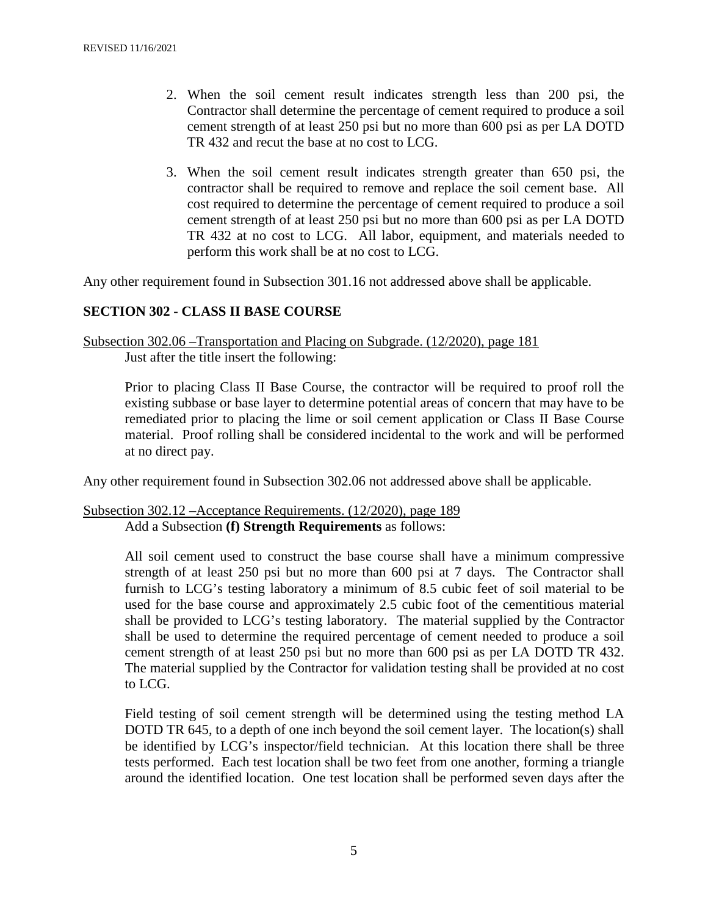- 2. When the soil cement result indicates strength less than 200 psi, the Contractor shall determine the percentage of cement required to produce a soil cement strength of at least 250 psi but no more than 600 psi as per LA DOTD TR 432 and recut the base at no cost to LCG.
- 3. When the soil cement result indicates strength greater than 650 psi, the contractor shall be required to remove and replace the soil cement base. All cost required to determine the percentage of cement required to produce a soil cement strength of at least 250 psi but no more than 600 psi as per LA DOTD TR 432 at no cost to LCG. All labor, equipment, and materials needed to perform this work shall be at no cost to LCG.

Any other requirement found in Subsection 301.16 not addressed above shall be applicable.

#### **SECTION 302 - CLASS II BASE COURSE**

Subsection 302.06 –Transportation and Placing on Subgrade. (12/2020), page 181 Just after the title insert the following:

Prior to placing Class II Base Course, the contractor will be required to proof roll the existing subbase or base layer to determine potential areas of concern that may have to be remediated prior to placing the lime or soil cement application or Class II Base Course material. Proof rolling shall be considered incidental to the work and will be performed at no direct pay.

Any other requirement found in Subsection 302.06 not addressed above shall be applicable.

Subsection 302.12 –Acceptance Requirements. (12/2020), page 189 Add a Subsection **(f) Strength Requirements** as follows:

> All soil cement used to construct the base course shall have a minimum compressive strength of at least 250 psi but no more than 600 psi at 7 days. The Contractor shall furnish to LCG's testing laboratory a minimum of 8.5 cubic feet of soil material to be used for the base course and approximately 2.5 cubic foot of the cementitious material shall be provided to LCG's testing laboratory. The material supplied by the Contractor shall be used to determine the required percentage of cement needed to produce a soil cement strength of at least 250 psi but no more than 600 psi as per LA DOTD TR 432. The material supplied by the Contractor for validation testing shall be provided at no cost to LCG.

> Field testing of soil cement strength will be determined using the testing method LA DOTD TR 645, to a depth of one inch beyond the soil cement layer. The location(s) shall be identified by LCG's inspector/field technician. At this location there shall be three tests performed. Each test location shall be two feet from one another, forming a triangle around the identified location. One test location shall be performed seven days after the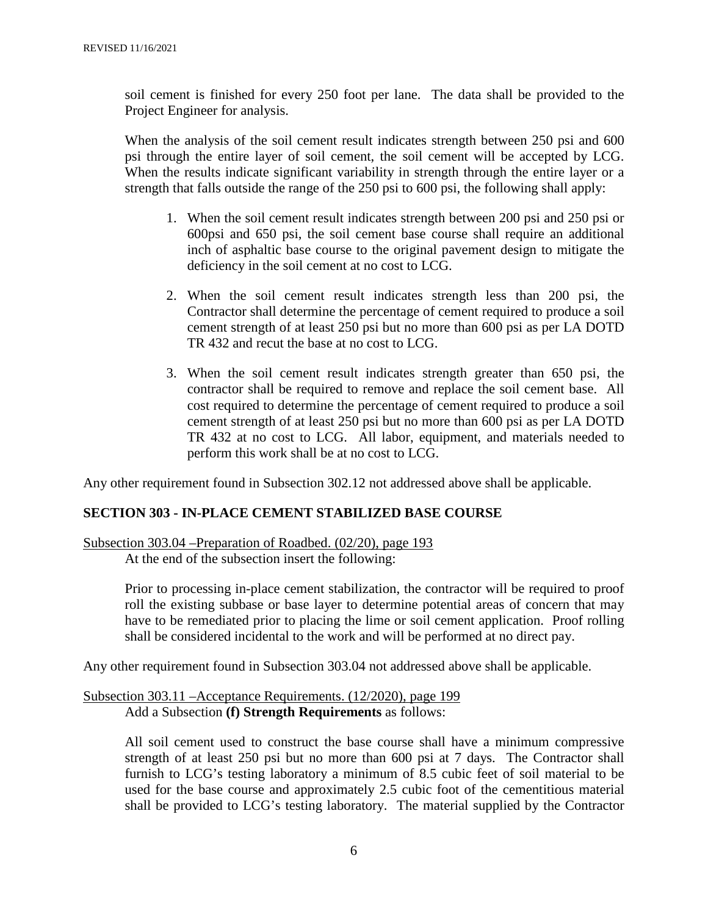soil cement is finished for every 250 foot per lane. The data shall be provided to the Project Engineer for analysis.

When the analysis of the soil cement result indicates strength between 250 psi and 600 psi through the entire layer of soil cement, the soil cement will be accepted by LCG. When the results indicate significant variability in strength through the entire layer or a strength that falls outside the range of the 250 psi to 600 psi, the following shall apply:

- 1. When the soil cement result indicates strength between 200 psi and 250 psi or 600psi and 650 psi, the soil cement base course shall require an additional inch of asphaltic base course to the original pavement design to mitigate the deficiency in the soil cement at no cost to LCG.
- 2. When the soil cement result indicates strength less than 200 psi, the Contractor shall determine the percentage of cement required to produce a soil cement strength of at least 250 psi but no more than 600 psi as per LA DOTD TR 432 and recut the base at no cost to LCG.
- 3. When the soil cement result indicates strength greater than 650 psi, the contractor shall be required to remove and replace the soil cement base. All cost required to determine the percentage of cement required to produce a soil cement strength of at least 250 psi but no more than 600 psi as per LA DOTD TR 432 at no cost to LCG. All labor, equipment, and materials needed to perform this work shall be at no cost to LCG.

Any other requirement found in Subsection 302.12 not addressed above shall be applicable.

#### **SECTION 303 - IN-PLACE CEMENT STABILIZED BASE COURSE**

Subsection 303.04 –Preparation of Roadbed. (02/20), page 193

At the end of the subsection insert the following:

Prior to processing in-place cement stabilization, the contractor will be required to proof roll the existing subbase or base layer to determine potential areas of concern that may have to be remediated prior to placing the lime or soil cement application. Proof rolling shall be considered incidental to the work and will be performed at no direct pay.

Any other requirement found in Subsection 303.04 not addressed above shall be applicable.

#### Subsection 303.11 –Acceptance Requirements. (12/2020), page 199 Add a Subsection **(f) Strength Requirements** as follows:

All soil cement used to construct the base course shall have a minimum compressive strength of at least 250 psi but no more than 600 psi at 7 days. The Contractor shall furnish to LCG's testing laboratory a minimum of 8.5 cubic feet of soil material to be used for the base course and approximately 2.5 cubic foot of the cementitious material shall be provided to LCG's testing laboratory. The material supplied by the Contractor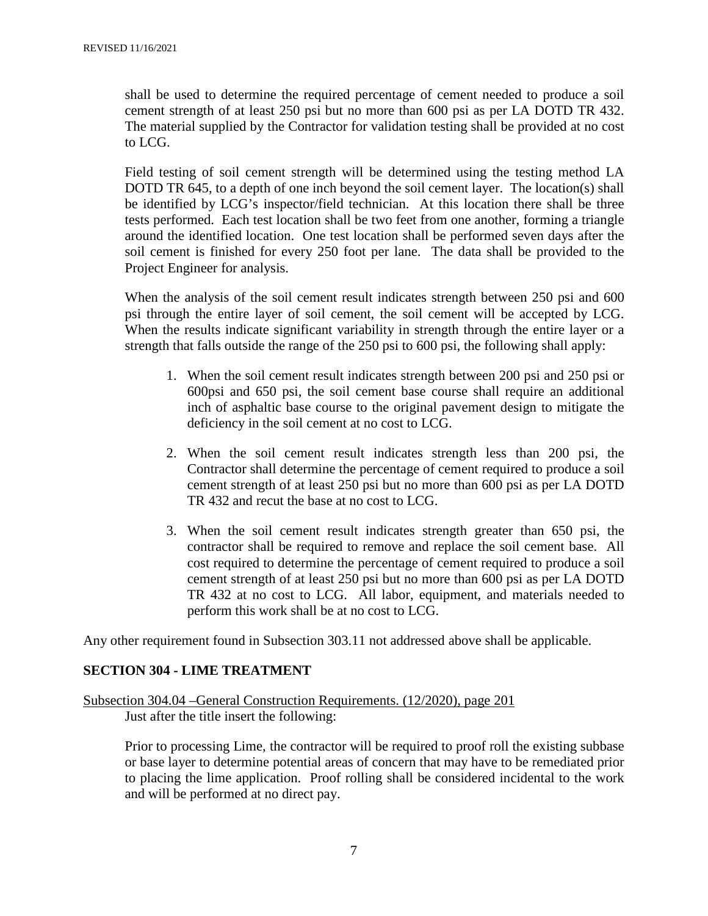shall be used to determine the required percentage of cement needed to produce a soil cement strength of at least 250 psi but no more than 600 psi as per LA DOTD TR 432. The material supplied by the Contractor for validation testing shall be provided at no cost to LCG.

Field testing of soil cement strength will be determined using the testing method LA DOTD TR 645, to a depth of one inch beyond the soil cement layer. The location(s) shall be identified by LCG's inspector/field technician. At this location there shall be three tests performed. Each test location shall be two feet from one another, forming a triangle around the identified location. One test location shall be performed seven days after the soil cement is finished for every 250 foot per lane. The data shall be provided to the Project Engineer for analysis.

When the analysis of the soil cement result indicates strength between 250 psi and 600 psi through the entire layer of soil cement, the soil cement will be accepted by LCG. When the results indicate significant variability in strength through the entire layer or a strength that falls outside the range of the 250 psi to 600 psi, the following shall apply:

- 1. When the soil cement result indicates strength between 200 psi and 250 psi or 600psi and 650 psi, the soil cement base course shall require an additional inch of asphaltic base course to the original pavement design to mitigate the deficiency in the soil cement at no cost to LCG.
- 2. When the soil cement result indicates strength less than 200 psi, the Contractor shall determine the percentage of cement required to produce a soil cement strength of at least 250 psi but no more than 600 psi as per LA DOTD TR 432 and recut the base at no cost to LCG.
- 3. When the soil cement result indicates strength greater than 650 psi, the contractor shall be required to remove and replace the soil cement base. All cost required to determine the percentage of cement required to produce a soil cement strength of at least 250 psi but no more than 600 psi as per LA DOTD TR 432 at no cost to LCG. All labor, equipment, and materials needed to perform this work shall be at no cost to LCG.

Any other requirement found in Subsection 303.11 not addressed above shall be applicable.

#### **SECTION 304 - LIME TREATMENT**

Subsection 304.04 –General Construction Requirements. (12/2020), page 201 Just after the title insert the following:

Prior to processing Lime, the contractor will be required to proof roll the existing subbase or base layer to determine potential areas of concern that may have to be remediated prior to placing the lime application. Proof rolling shall be considered incidental to the work and will be performed at no direct pay.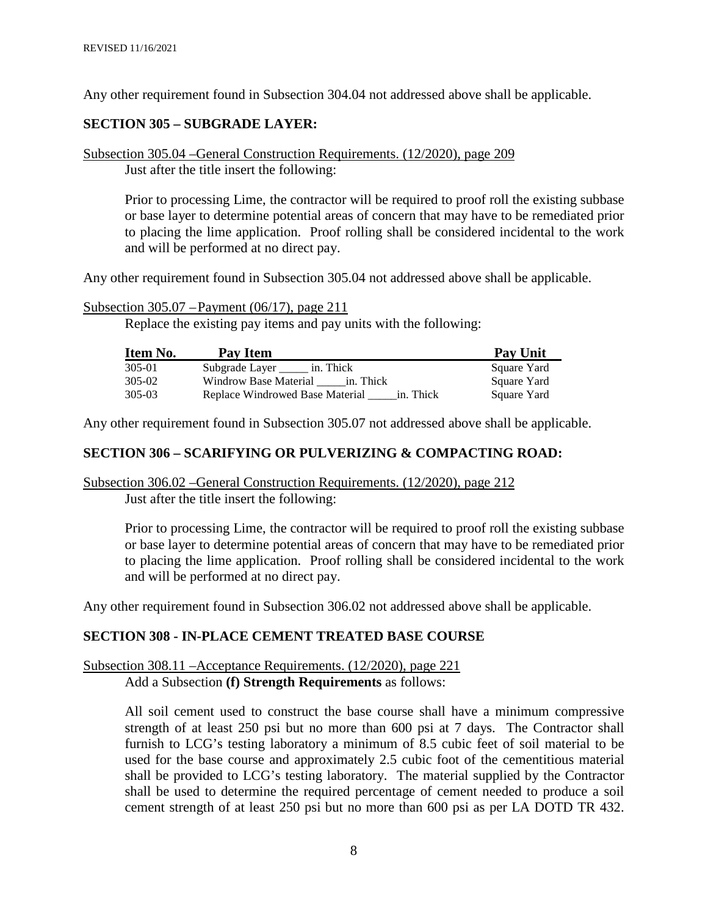Any other requirement found in Subsection 304.04 not addressed above shall be applicable.

#### **SECTION 305 – SUBGRADE LAYER:**

Subsection 305.04 –General Construction Requirements. (12/2020), page 209 Just after the title insert the following:

Prior to processing Lime, the contractor will be required to proof roll the existing subbase or base layer to determine potential areas of concern that may have to be remediated prior to placing the lime application. Proof rolling shall be considered incidental to the work and will be performed at no direct pay.

Any other requirement found in Subsection 305.04 not addressed above shall be applicable.

Subsection 305.07 –Payment (06/17), page 211

Replace the existing pay items and pay units with the following:

| <b>Item No.</b> | <b>Pay Item</b>                              | <b>Pay Unit</b> |
|-----------------|----------------------------------------------|-----------------|
| 305-01          | Subgrade Layer<br>in. Thick                  | Square Yard     |
| 305-02          | Windrow Base Material<br>in. Thick           | Square Yard     |
| 305-03          | in. Thick<br>Replace Windrowed Base Material | Square Yard     |

Any other requirement found in Subsection 305.07 not addressed above shall be applicable.

#### **SECTION 306 – SCARIFYING OR PULVERIZING & COMPACTING ROAD:**

#### Subsection 306.02 –General Construction Requirements. (12/2020), page 212 Just after the title insert the following:

Prior to processing Lime, the contractor will be required to proof roll the existing subbase or base layer to determine potential areas of concern that may have to be remediated prior to placing the lime application. Proof rolling shall be considered incidental to the work and will be performed at no direct pay.

Any other requirement found in Subsection 306.02 not addressed above shall be applicable.

#### **SECTION 308 - IN-PLACE CEMENT TREATED BASE COURSE**

# Subsection 308.11 –Acceptance Requirements. (12/2020), page 221

Add a Subsection **(f) Strength Requirements** as follows:

All soil cement used to construct the base course shall have a minimum compressive strength of at least 250 psi but no more than 600 psi at 7 days. The Contractor shall furnish to LCG's testing laboratory a minimum of 8.5 cubic feet of soil material to be used for the base course and approximately 2.5 cubic foot of the cementitious material shall be provided to LCG's testing laboratory. The material supplied by the Contractor shall be used to determine the required percentage of cement needed to produce a soil cement strength of at least 250 psi but no more than 600 psi as per LA DOTD TR 432.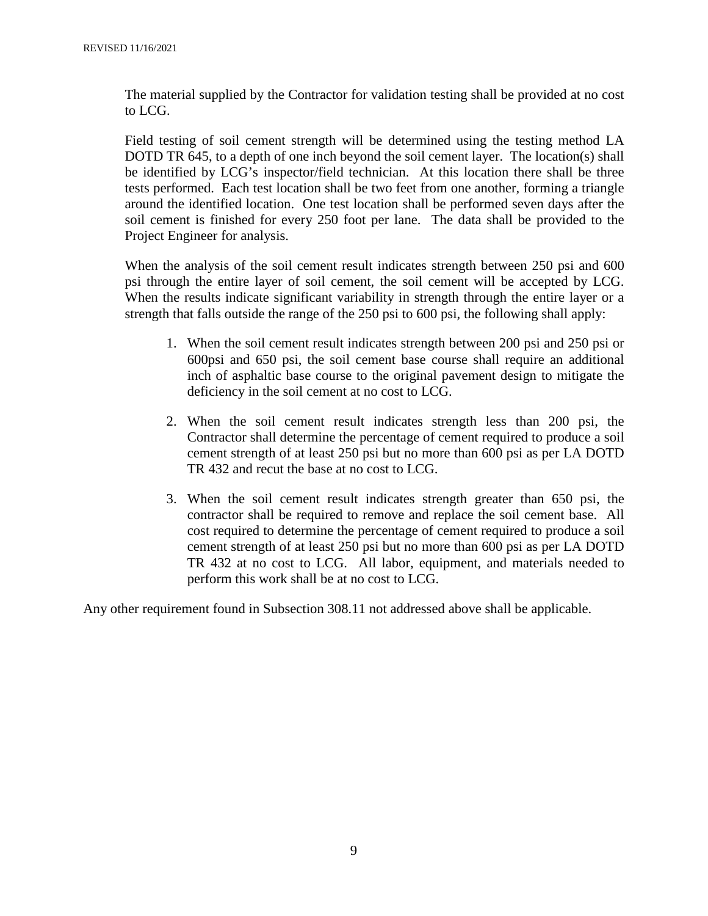The material supplied by the Contractor for validation testing shall be provided at no cost to LCG.

Field testing of soil cement strength will be determined using the testing method LA DOTD TR 645, to a depth of one inch beyond the soil cement layer. The location(s) shall be identified by LCG's inspector/field technician. At this location there shall be three tests performed. Each test location shall be two feet from one another, forming a triangle around the identified location. One test location shall be performed seven days after the soil cement is finished for every 250 foot per lane. The data shall be provided to the Project Engineer for analysis.

When the analysis of the soil cement result indicates strength between 250 psi and 600 psi through the entire layer of soil cement, the soil cement will be accepted by LCG. When the results indicate significant variability in strength through the entire layer or a strength that falls outside the range of the 250 psi to 600 psi, the following shall apply:

- 1. When the soil cement result indicates strength between 200 psi and 250 psi or 600psi and 650 psi, the soil cement base course shall require an additional inch of asphaltic base course to the original pavement design to mitigate the deficiency in the soil cement at no cost to LCG.
- 2. When the soil cement result indicates strength less than 200 psi, the Contractor shall determine the percentage of cement required to produce a soil cement strength of at least 250 psi but no more than 600 psi as per LA DOTD TR 432 and recut the base at no cost to LCG.
- 3. When the soil cement result indicates strength greater than 650 psi, the contractor shall be required to remove and replace the soil cement base. All cost required to determine the percentage of cement required to produce a soil cement strength of at least 250 psi but no more than 600 psi as per LA DOTD TR 432 at no cost to LCG. All labor, equipment, and materials needed to perform this work shall be at no cost to LCG.

Any other requirement found in Subsection 308.11 not addressed above shall be applicable.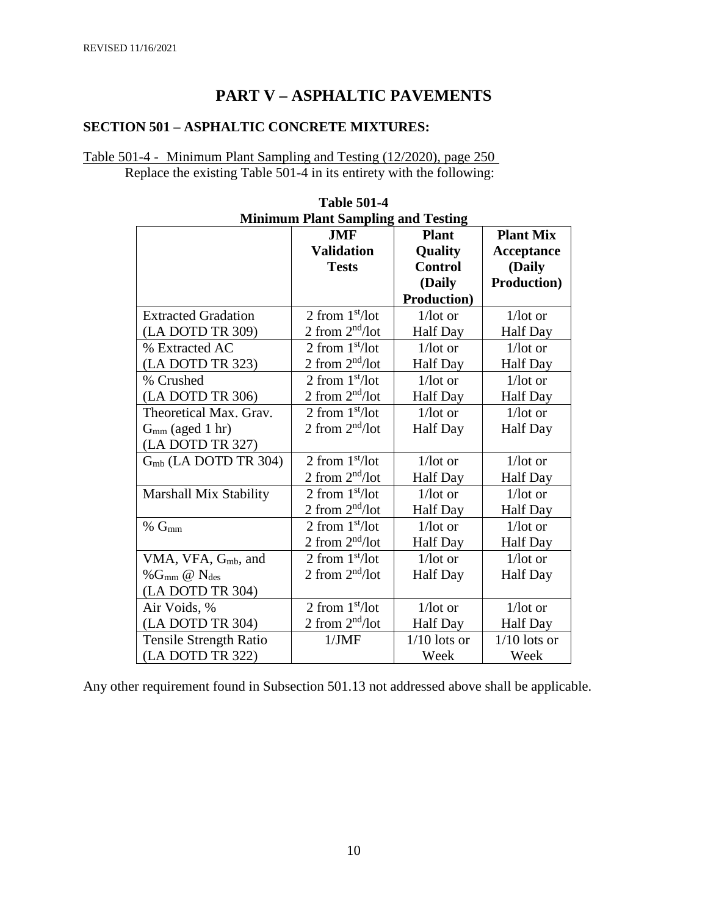# **PART V – ASPHALTIC PAVEMENTS**

# **SECTION 501 – ASPHALTIC CONCRETE MIXTURES:**

### Table 501-4 - Minimum Plant Sampling and Testing (12/2020), page 250 Replace the existing Table 501-4 in its entirety with the following:

| Minimum Piant Sampling and Testing |                   |                     |                     |  |
|------------------------------------|-------------------|---------------------|---------------------|--|
|                                    | <b>JMF</b>        | <b>Plant</b>        | <b>Plant Mix</b>    |  |
|                                    | <b>Validation</b> | <b>Quality</b>      | Acceptance          |  |
|                                    | <b>Tests</b>      | <b>Control</b>      | (Daily              |  |
|                                    |                   | (Daily              | <b>Production</b> ) |  |
|                                    |                   | <b>Production</b> ) |                     |  |
| <b>Extracted Gradation</b>         | 2 from $1st/lot$  | $1$ /lot or         | $1/lot$ or          |  |
| (LA DOTD TR 309)                   | 2 from $2nd/lot$  | <b>Half</b> Day     | <b>Half</b> Day     |  |
| % Extracted AC                     | 2 from $1st/lot$  | $1/\text{lot}$ or   | $1/lot$ or          |  |
| (LA DOTD TR 323)                   | 2 from $2nd/lot$  | <b>Half Day</b>     | <b>Half Day</b>     |  |
| % Crushed                          | 2 from $1st/lot$  | $1/lot$ or          | $1/\text{lot}$ or   |  |
| (LA DOTD TR 306)                   | 2 from $2nd/lot$  | <b>Half</b> Day     | <b>Half Day</b>     |  |
| Theoretical Max. Grav.             | 2 from $1st/lot$  | $1/lot$ or          | $1/lot$ or          |  |
| $Gmm$ (aged 1 hr)                  | 2 from $2nd/lot$  | <b>Half</b> Day     | <b>Half</b> Day     |  |
| (LA DOTD TR 327)                   |                   |                     |                     |  |
| $Gmb$ (LA DOTD TR 304)             | 2 from $1st/lot$  | $1/lot$ or          | $1/lot$ or          |  |
|                                    | 2 from $2nd/lot$  | <b>Half</b> Day     | Half Day            |  |
| Marshall Mix Stability             | 2 from $1st/lot$  | $1/\text{lot}$ or   | $1/\text{lot}$ or   |  |
|                                    | 2 from $2nd/lot$  | <b>Half</b> Day     | <b>Half</b> Day     |  |
| $%$ $G_{mm}$                       | 2 from $1st/lot$  | $1/\text{lot}$ or   | $1/\text{lot}$ or   |  |
|                                    | 2 from $2nd/lot$  | <b>Half</b> Day     | <b>Half Day</b>     |  |
| VMA, VFA, $G_{mb}$ , and           | 2 from $1st/lot$  | $1/\text{lot}$ or   | $1/\text{lot}$ or   |  |
| % $G_{mm}$ @ $N_{des}$             | 2 from $2nd/lot$  | <b>Half</b> Day     | <b>Half Day</b>     |  |
| (LA DOTD TR 304)                   |                   |                     |                     |  |
| Air Voids, %                       | 2 from $1st/lot$  | $1/lot$ or          | $1/lot$ or          |  |
| (LA DOTD TR 304)                   | 2 from $2nd/lot$  | <b>Half</b> Day     | <b>Half</b> Day     |  |
| <b>Tensile Strength Ratio</b>      | 1/JMF             | $1/10$ lots or      | $1/10$ lots or      |  |
| (LA DOTD TR 322)                   |                   | Week                | Week                |  |

| <b>Table 501-4</b>                        |
|-------------------------------------------|
| <b>Minimum Plant Sampling and Testing</b> |

Any other requirement found in Subsection 501.13 not addressed above shall be applicable.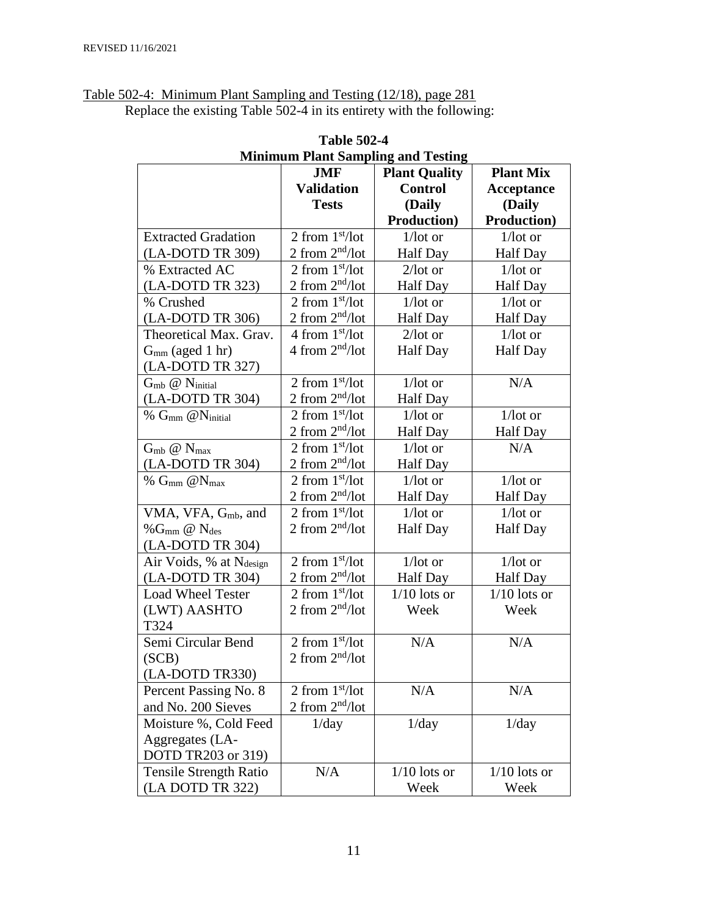| Table 502-4: Minimum Plant Sampling and Testing (12/18), page 281 |                                                                      |
|-------------------------------------------------------------------|----------------------------------------------------------------------|
|                                                                   | Replace the existing Table 502-4 in its entirety with the following: |

| <b>Minimum Plant Sampling and Testing</b> |                   |                      |                     |  |  |
|-------------------------------------------|-------------------|----------------------|---------------------|--|--|
|                                           | <b>JMF</b>        | <b>Plant Quality</b> | <b>Plant Mix</b>    |  |  |
|                                           | <b>Validation</b> | <b>Control</b>       | Acceptance          |  |  |
|                                           | <b>Tests</b>      | (Daily               | (Daily              |  |  |
|                                           |                   | <b>Production</b> )  | <b>Production</b> ) |  |  |
| <b>Extracted Gradation</b>                | 2 from $1st/lot$  | $1/lot$ or           | $1/lot$ or          |  |  |
| (LA-DOTD TR 309)                          | 2 from $2nd/lot$  | <b>Half</b> Day      | Half Day            |  |  |
| % Extracted AC                            | 2 from $1st/lot$  | $2$ /lot or          | $1/lot$ or          |  |  |
| (LA-DOTD TR 323)                          | 2 from $2nd/lot$  | <b>Half</b> Day      | <b>Half</b> Day     |  |  |
| % Crushed                                 | 2 from $1st/lot$  | $1/lot$ or           | $1/lot$ or          |  |  |
| (LA-DOTD TR 306)                          | 2 from $2nd/lot$  | <b>Half Day</b>      | <b>Half Day</b>     |  |  |
| Theoretical Max. Grav.                    | 4 from $1st/lot$  | $2$ /lot or          | $1/lot$ or          |  |  |
| $Gmm$ (aged 1 hr)                         | 4 from $2nd/lot$  | <b>Half Day</b>      | <b>Half</b> Day     |  |  |
| (LA-DOTD TR 327)                          |                   |                      |                     |  |  |
| $G_{mb}$ $@$ N <sub>initial</sub>         | 2 from $1st/lot$  | $1/lot$ or           | N/A                 |  |  |
| (LA-DOTD TR 304)                          | 2 from $2nd/lot$  | <b>Half</b> Day      |                     |  |  |
| % $G_{mm}$ @Ninitial                      | 2 from $1st/lot$  | $1/lot$ or           | $1/lot$ or          |  |  |
|                                           | 2 from $2nd/lot$  | <b>Half</b> Day      | <b>Half</b> Day     |  |  |
| $G_{mb}$ $@$ $N_{max}$                    | 2 from $1st/lot$  | $1/lot$ or           | N/A                 |  |  |
| (LA-DOTD TR 304)                          | 2 from $2nd/lot$  | <b>Half Day</b>      |                     |  |  |
| % $G_{mm}$ @ $N_{max}$                    | 2 from $1st/lot$  | $1/lot$ or           | $1/lot$ or          |  |  |
|                                           | 2 from $2nd/lot$  | <b>Half Day</b>      | <b>Half</b> Day     |  |  |
| VMA, VFA, G <sub>mb</sub> , and           | 2 from $1st/lot$  | $1/lot$ or           | $1/lot$ or          |  |  |
| % $G_{mm}$ @ $N_{des}$                    | 2 from $2nd/lot$  | <b>Half Day</b>      | <b>Half</b> Day     |  |  |
| (LA-DOTD TR 304)                          |                   |                      |                     |  |  |
| Air Voids, % at Ndesign                   | 2 from $1st/lot$  | $1/lot$ or           | $1/lot$ or          |  |  |
| (LA-DOTD TR 304)                          | 2 from $2nd/lot$  | Half Day             | Half Day            |  |  |
| <b>Load Wheel Tester</b>                  | 2 from $1st/lot$  | $1/10$ lots or       | $1/10$ lots or      |  |  |
| (LWT) AASHTO                              | 2 from $2nd/lot$  | Week                 | Week                |  |  |
| T324                                      |                   |                      |                     |  |  |
| Semi Circular Bend                        | 2 from $1st/lot$  | N/A                  | N/A                 |  |  |
| (SCB)                                     | 2 from $2nd/lot$  |                      |                     |  |  |
| (LA-DOTD TR330)                           |                   |                      |                     |  |  |
| Percent Passing No. 8                     | 2 from $1st/lot$  | N/A                  | N/A                 |  |  |
| and No. 200 Sieves                        | 2 from $2nd/lot$  |                      |                     |  |  |
| Moisture %, Cold Feed                     | 1/day             | 1/day                | 1/day               |  |  |
| Aggregates (LA-                           |                   |                      |                     |  |  |
| DOTD TR203 or 319)                        |                   |                      |                     |  |  |
| <b>Tensile Strength Ratio</b>             | N/A               | $1/10$ lots or       | $1/10$ lots or      |  |  |
| (LA DOTD TR 322)                          |                   | Week                 | Week                |  |  |

**Table 502-4 Minimum Plant Sampling and Testing**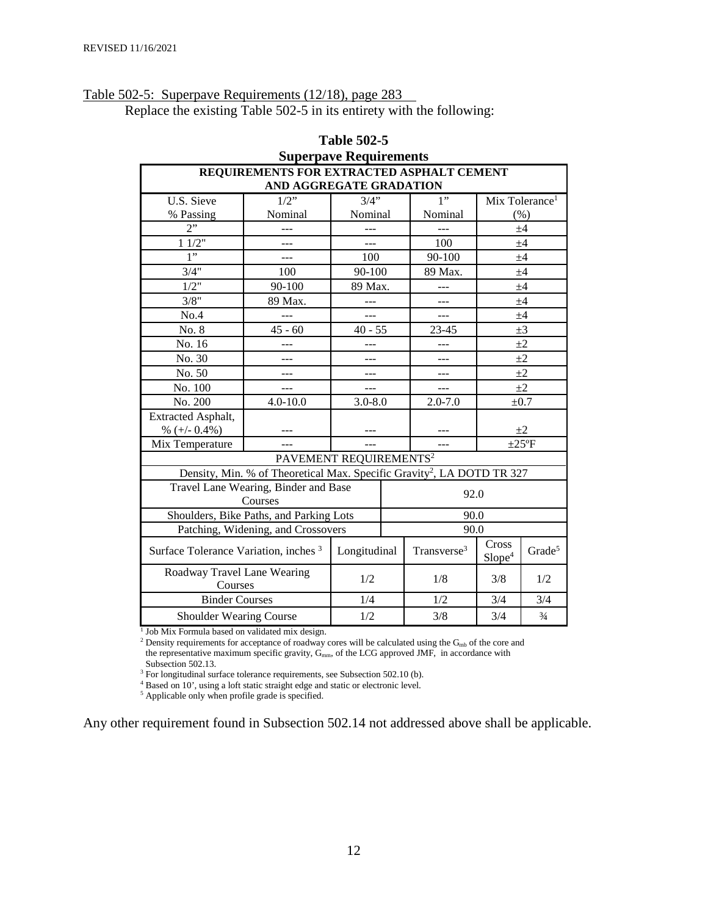# Table 502-5: Superpave Requirements (12/18), page 283

Replace the existing Table 502-5 in its entirety with the following:

| <b>Superpave Requirements</b>           |                                                                                    |                                         |                             |                    |     |                            |
|-----------------------------------------|------------------------------------------------------------------------------------|-----------------------------------------|-----------------------------|--------------------|-----|----------------------------|
|                                         | REQUIREMENTS FOR EXTRACTED ASPHALT CEMENT                                          |                                         |                             |                    |     |                            |
|                                         | AND AGGREGATE GRADATION                                                            |                                         |                             |                    |     |                            |
| U.S. Sieve                              | $1/2$ "                                                                            | 3/4"                                    |                             | 1"                 |     | Mix Tolerance <sup>1</sup> |
| % Passing                               | Nominal                                                                            | Nominal                                 |                             | Nominal            |     | (% )                       |
| 2"                                      | ---                                                                                | ---                                     |                             |                    | ±4  |                            |
| 11/2"                                   | $---$                                                                              | $\sim$                                  |                             | 100                |     | ±4                         |
| 1"                                      |                                                                                    | 100                                     |                             | 90-100             |     | $+4$                       |
| 3/4"                                    | 100                                                                                | 90-100                                  |                             | 89 Max.            |     | $+4$                       |
| 1/2"                                    | 90-100                                                                             | 89 Max.                                 |                             |                    |     | ±4                         |
| 3/8"                                    | 89 Max.                                                                            |                                         |                             |                    |     | $+4$                       |
| No.4                                    | ---                                                                                | $---$                                   |                             | $---$              |     | ±4                         |
| No. 8                                   | $45 - 60$                                                                          | $40 - 55$                               |                             | 23-45              |     | $\pm 3$                    |
| No. 16                                  |                                                                                    | ---                                     |                             |                    |     | $+2$                       |
| No. 30                                  | ---                                                                                | ---                                     |                             | ---                |     | $\pm 2$                    |
| No. 50                                  | $---$                                                                              | ---                                     |                             |                    |     | $\pm 2$                    |
| No. 100                                 | $---$                                                                              | $---$                                   |                             |                    |     | $\pm 2$                    |
| No. 200                                 | $4.0 - 10.0$                                                                       | $3.0 - 8.0$<br>$2.0 - 7.0$<br>$\pm 0.7$ |                             |                    |     |                            |
| Extracted Asphalt,                      |                                                                                    |                                         |                             |                    |     |                            |
| % $(+/- 0.4%)$                          |                                                                                    |                                         | $\pm 2$                     |                    |     |                            |
| Mix Temperature                         | $---$                                                                              |                                         | $\pm 25$ °F<br>---          |                    |     |                            |
| PAVEMENT REQUIREMENTS <sup>2</sup>      |                                                                                    |                                         |                             |                    |     |                            |
|                                         | Density, Min. % of Theoretical Max. Specific Gravity <sup>2</sup> , LA DOTD TR 327 |                                         |                             |                    |     |                            |
|                                         | Travel Lane Wearing, Binder and Base                                               |                                         |                             | 92.0               |     |                            |
|                                         | Courses                                                                            |                                         |                             |                    |     |                            |
| Shoulders, Bike Paths, and Parking Lots |                                                                                    | 90.0                                    |                             |                    |     |                            |
|                                         | Patching, Widening, and Crossovers                                                 | 90.0                                    |                             |                    |     |                            |
|                                         | Longitudinal<br>Transverse <sup>3</sup><br>Surface Tolerance Variation, inches 3   |                                         | Cross<br>Slope <sup>4</sup> | Grade <sup>5</sup> |     |                            |
|                                         | Roadway Travel Lane Wearing<br>1/2<br>Courses                                      |                                         |                             | 1/8                | 3/8 | 1/2                        |
| <b>Binder Courses</b>                   |                                                                                    | 1/4                                     |                             | 1/2                | 3/4 | 3/4                        |
| <b>Shoulder Wearing Course</b>          |                                                                                    | 1/2                                     |                             | 3/8<br>3/4         |     | $\frac{3}{4}$              |

# **Table 502-5**

<sup>1</sup> Job Mix Formula based on validated mix design.

<sup>2</sup> Density requirements for acceptance of roadway cores will be calculated using the  $G_{mb}$  of the core and the representative maximum specific gravity, G<sub>mm</sub>, of the LCG approved JMF, in accordance with Subsection 502.13.

<sup>3</sup> For longitudinal surface tolerance requirements, see Subsection 502.10 (b).

<sup>4</sup> Based on 10', using a loft static straight edge and static or electronic level.

<sup>5</sup> Applicable only when profile grade is specified.

Any other requirement found in Subsection 502.14 not addressed above shall be applicable.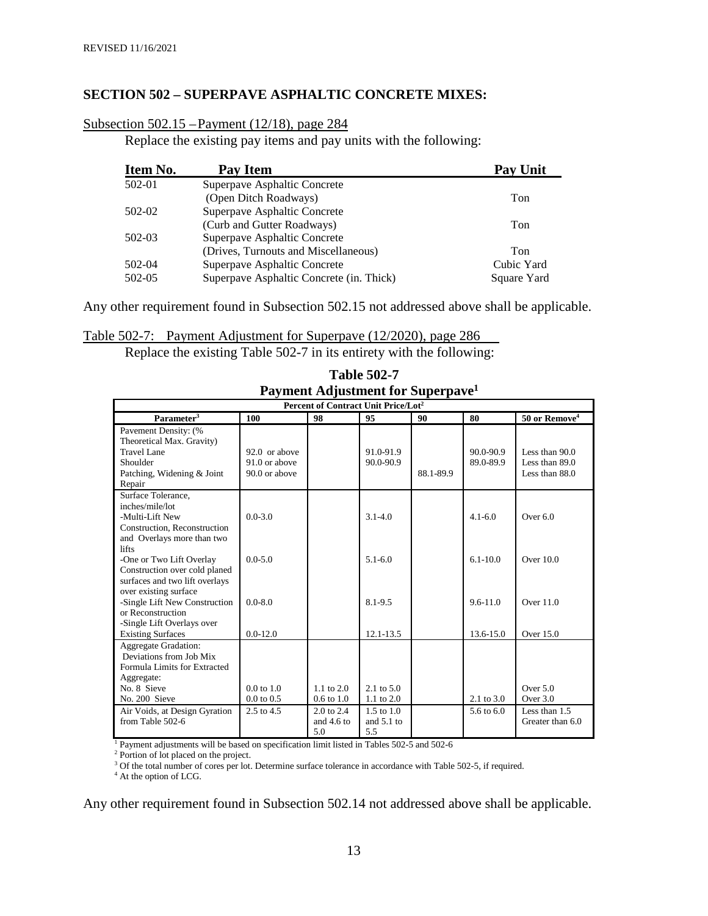#### **SECTION 502 – SUPERPAVE ASPHALTIC CONCRETE MIXES:**

|--|

Replace the existing pay items and pay units with the following:

| Item No. | Pay Item                                 | <b>Pay Unit</b> |
|----------|------------------------------------------|-----------------|
| 502-01   | Superpave Asphaltic Concrete             |                 |
|          | (Open Ditch Roadways)                    | Ton             |
| 502-02   | Superpave Asphaltic Concrete             |                 |
|          | (Curb and Gutter Roadways)               | Ton             |
| 502-03   | Superpave Asphaltic Concrete             |                 |
|          | (Drives, Turnouts and Miscellaneous)     | Ton             |
| 502-04   | Superpave Asphaltic Concrete             | Cubic Yard      |
| 502-05   | Superpave Asphaltic Concrete (in. Thick) | Square Yard     |

Any other requirement found in Subsection 502.15 not addressed above shall be applicable.

Table 502-7: Payment Adjustment for Superpave (12/2020), page 286

Replace the existing Table 502-7 in its entirety with the following:

| Percent of Contract Unit Price/Lot <sup>2</sup>                                                                        |                                                 |                                   |                                              |           |                            |                                                      |
|------------------------------------------------------------------------------------------------------------------------|-------------------------------------------------|-----------------------------------|----------------------------------------------|-----------|----------------------------|------------------------------------------------------|
| Parameter <sup>3</sup>                                                                                                 | 100                                             | 98                                | 95                                           | 90        | 80                         | 50 or Remove <sup>4</sup>                            |
| Pavement Density: (%<br>Theoretical Max. Gravity)<br>Travel Lane<br>Shoulder<br>Patching, Widening & Joint<br>Repair   | 92.0 or above<br>91.0 or above<br>90.0 or above |                                   | 91.0-91.9<br>90.0-90.9                       | 88.1-89.9 | $90.0 - 90.9$<br>89.0-89.9 | Less than $90.0$<br>Less than 89.0<br>Less than 88.0 |
| Surface Tolerance.<br>inches/mile/lot<br>-Multi-Lift New<br>Construction, Reconstruction<br>and Overlays more than two | $0.0 - 3.0$                                     |                                   | $3.1 - 4.0$                                  |           | $4.1 - 6.0$                | Over $6.0$                                           |
| <b>lifts</b><br>-One or Two Lift Overlay<br>Construction over cold planed<br>surfaces and two lift overlays            | $0.0 - 5.0$                                     |                                   | $5.1 - 6.0$                                  |           | $6.1 - 10.0$               | Over $10.0$                                          |
| over existing surface<br>-Single Lift New Construction<br>or Reconstruction<br>-Single Lift Overlays over              | $0.0 - 8.0$                                     |                                   | 8.1-9.5                                      |           | $9.6 - 11.0$               | Over $11.0$                                          |
| <b>Existing Surfaces</b>                                                                                               | $0.0 - 12.0$                                    |                                   | 12.1-13.5                                    |           | 13.6-15.0                  | Over 15.0                                            |
| <b>Aggregate Gradation:</b><br>Deviations from Job Mix<br>Formula Limits for Extracted<br>Aggregate:<br>No. 8 Sieve    | $0.0 \text{ to } 1.0$                           | 1.1 to $2.0$                      | 2.1 to $5.0$                                 |           |                            | Over 5.0                                             |
| No. 200 Sieve                                                                                                          | $0.0 \text{ to } 0.5$                           | $0.6$ to $1.0$                    | 1.1 to $2.0$                                 |           | 2.1 to $3.0$               | Over $3.0$                                           |
| Air Voids, at Design Gyration<br>from Table 502-6                                                                      | $2.5 \text{ to } 4.5$                           | 2.0 to 2.4<br>and $4.6$ to<br>5.0 | $1.5 \text{ to } 1.0$<br>and $5.1$ to<br>5.5 |           | 5.6 to $6.0$               | Less than 1.5<br>Greater than 6.0                    |

| <b>Table 502-7</b>                            |
|-----------------------------------------------|
| Payment Adjustment for Superpave <sup>1</sup> |

 $\frac{1}{1}$  Payment adjustments will be based on specification limit listed in Tables 502-5 and 502-6<br>  $\frac{2}{1}$  Portion of lot placed on the project.<br>  $\frac{3}{1}$  Of the total number of cores per lot. Determine surface toler

Any other requirement found in Subsection 502.14 not addressed above shall be applicable.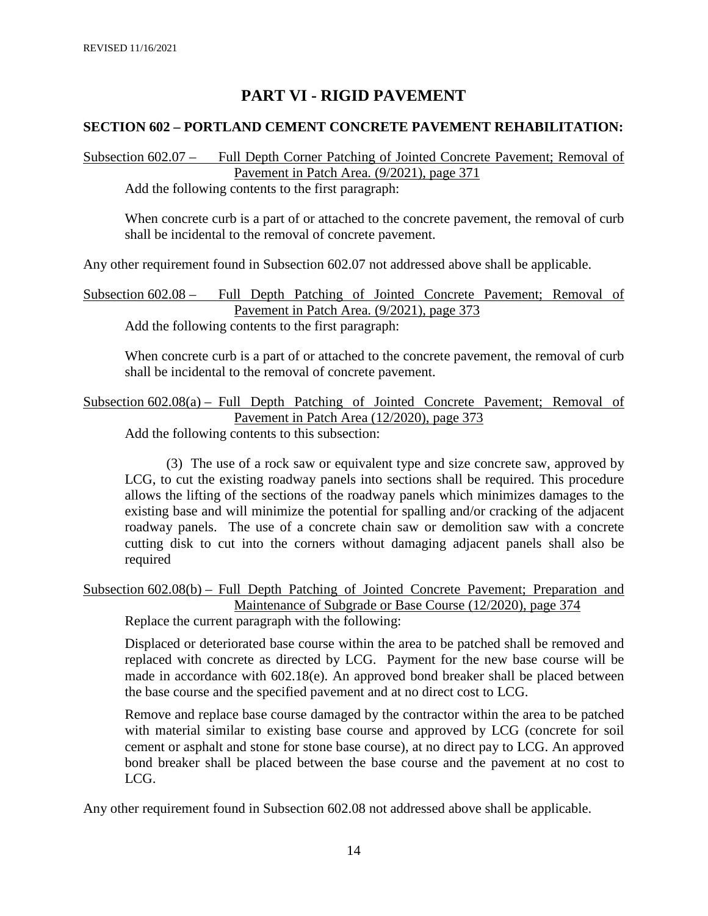# **PART VI - RIGID PAVEMENT**

#### **SECTION 602 – PORTLAND CEMENT CONCRETE PAVEMENT REHABILITATION:**

Subsection 602.07 – Full Depth Corner Patching of Jointed Concrete Pavement; Removal of Pavement in Patch Area. (9/2021), page 371

Add the following contents to the first paragraph:

When concrete curb is a part of or attached to the concrete pavement, the removal of curb shall be incidental to the removal of concrete pavement.

Any other requirement found in Subsection 602.07 not addressed above shall be applicable.

Subsection 602.08 – Full Depth Patching of Jointed Concrete Pavement; Removal of Pavement in Patch Area. (9/2021), page 373

Add the following contents to the first paragraph:

When concrete curb is a part of or attached to the concrete pavement, the removal of curb shall be incidental to the removal of concrete pavement.

Subsection 602.08(a) – Full Depth Patching of Jointed Concrete Pavement; Removal of Pavement in Patch Area (12/2020), page 373

Add the following contents to this subsection:

(3) The use of a rock saw or equivalent type and size concrete saw, approved by LCG, to cut the existing roadway panels into sections shall be required. This procedure allows the lifting of the sections of the roadway panels which minimizes damages to the existing base and will minimize the potential for spalling and/or cracking of the adjacent roadway panels. The use of a concrete chain saw or demolition saw with a concrete cutting disk to cut into the corners without damaging adjacent panels shall also be required

Subsection 602.08(b) – Full Depth Patching of Jointed Concrete Pavement; Preparation and Maintenance of Subgrade or Base Course (12/2020), page 374

Replace the current paragraph with the following:

Displaced or deteriorated base course within the area to be patched shall be removed and replaced with concrete as directed by LCG. Payment for the new base course will be made in accordance with 602.18(e). An approved bond breaker shall be placed between the base course and the specified pavement and at no direct cost to LCG.

Remove and replace base course damaged by the contractor within the area to be patched with material similar to existing base course and approved by LCG (concrete for soil cement or asphalt and stone for stone base course), at no direct pay to LCG. An approved bond breaker shall be placed between the base course and the pavement at no cost to LCG.

Any other requirement found in Subsection 602.08 not addressed above shall be applicable.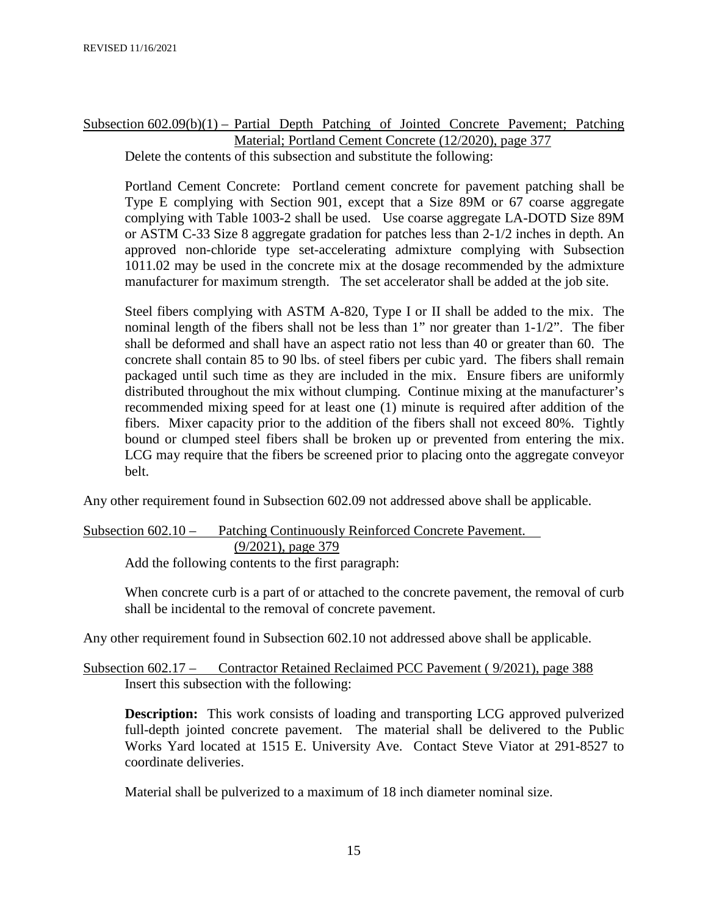# Subsection 602.09(b)(1) – Partial Depth Patching of Jointed Concrete Pavement; Patching Material; Portland Cement Concrete (12/2020), page 377

Delete the contents of this subsection and substitute the following:

Portland Cement Concrete: Portland cement concrete for pavement patching shall be Type E complying with Section 901, except that a Size 89M or 67 coarse aggregate complying with Table 1003-2 shall be used. Use coarse aggregate LA-DOTD Size 89M or ASTM C-33 Size 8 aggregate gradation for patches less than 2-1/2 inches in depth. An approved non-chloride type set-accelerating admixture complying with Subsection 1011.02 may be used in the concrete mix at the dosage recommended by the admixture manufacturer for maximum strength. The set accelerator shall be added at the job site.

Steel fibers complying with ASTM A-820, Type I or II shall be added to the mix. The nominal length of the fibers shall not be less than 1" nor greater than 1-1/2". The fiber shall be deformed and shall have an aspect ratio not less than 40 or greater than 60. The concrete shall contain 85 to 90 lbs. of steel fibers per cubic yard. The fibers shall remain packaged until such time as they are included in the mix. Ensure fibers are uniformly distributed throughout the mix without clumping. Continue mixing at the manufacturer's recommended mixing speed for at least one (1) minute is required after addition of the fibers. Mixer capacity prior to the addition of the fibers shall not exceed 80%. Tightly bound or clumped steel fibers shall be broken up or prevented from entering the mix. LCG may require that the fibers be screened prior to placing onto the aggregate conveyor belt.

Any other requirement found in Subsection 602.09 not addressed above shall be applicable.

Subsection 602.10 – Patching Continuously Reinforced Concrete Pavement. (9/2021), page 379 Add the following contents to the first paragraph:

When concrete curb is a part of or attached to the concrete pavement, the removal of curb shall be incidental to the removal of concrete pavement.

Any other requirement found in Subsection 602.10 not addressed above shall be applicable.

Subsection 602.17 – Contractor Retained Reclaimed PCC Pavement ( 9/2021), page 388 Insert this subsection with the following:

**Description:** This work consists of loading and transporting LCG approved pulverized full-depth jointed concrete pavement. The material shall be delivered to the Public Works Yard located at 1515 E. University Ave. Contact Steve Viator at 291-8527 to coordinate deliveries.

Material shall be pulverized to a maximum of 18 inch diameter nominal size.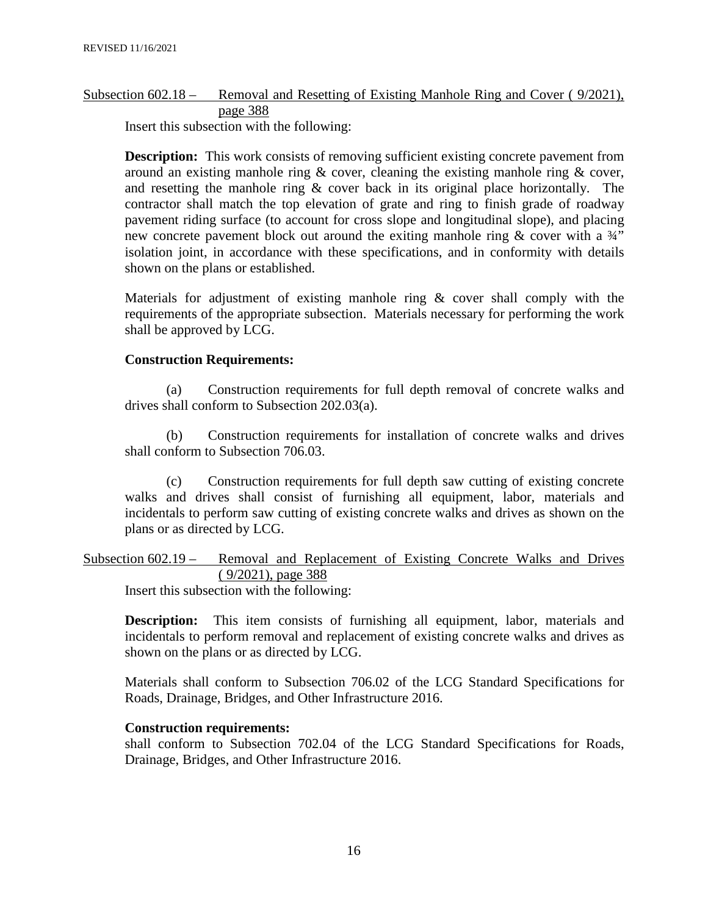# Subsection 602.18 – Removal and Resetting of Existing Manhole Ring and Cover ( 9/2021), page 388

Insert this subsection with the following:

**Description:** This work consists of removing sufficient existing concrete pavement from around an existing manhole ring  $\&$  cover, cleaning the existing manhole ring  $\&$  cover, and resetting the manhole ring & cover back in its original place horizontally. The contractor shall match the top elevation of grate and ring to finish grade of roadway pavement riding surface (to account for cross slope and longitudinal slope), and placing new concrete pavement block out around the exiting manhole ring  $\&$  cover with a  $\frac{3}{4}$ " isolation joint, in accordance with these specifications, and in conformity with details shown on the plans or established.

Materials for adjustment of existing manhole ring  $\&$  cover shall comply with the requirements of the appropriate subsection. Materials necessary for performing the work shall be approved by LCG.

#### **Construction Requirements:**

(a) Construction requirements for full depth removal of concrete walks and drives shall conform to Subsection 202.03(a).

(b) Construction requirements for installation of concrete walks and drives shall conform to Subsection 706.03.

(c) Construction requirements for full depth saw cutting of existing concrete walks and drives shall consist of furnishing all equipment, labor, materials and incidentals to perform saw cutting of existing concrete walks and drives as shown on the plans or as directed by LCG.

Subsection 602.19 – Removal and Replacement of Existing Concrete Walks and Drives ( 9/2021), page 388

Insert this subsection with the following:

**Description:** This item consists of furnishing all equipment, labor, materials and incidentals to perform removal and replacement of existing concrete walks and drives as shown on the plans or as directed by LCG.

Materials shall conform to Subsection 706.02 of the LCG Standard Specifications for Roads, Drainage, Bridges, and Other Infrastructure 2016.

#### **Construction requirements:**

shall conform to Subsection 702.04 of the LCG Standard Specifications for Roads, Drainage, Bridges, and Other Infrastructure 2016.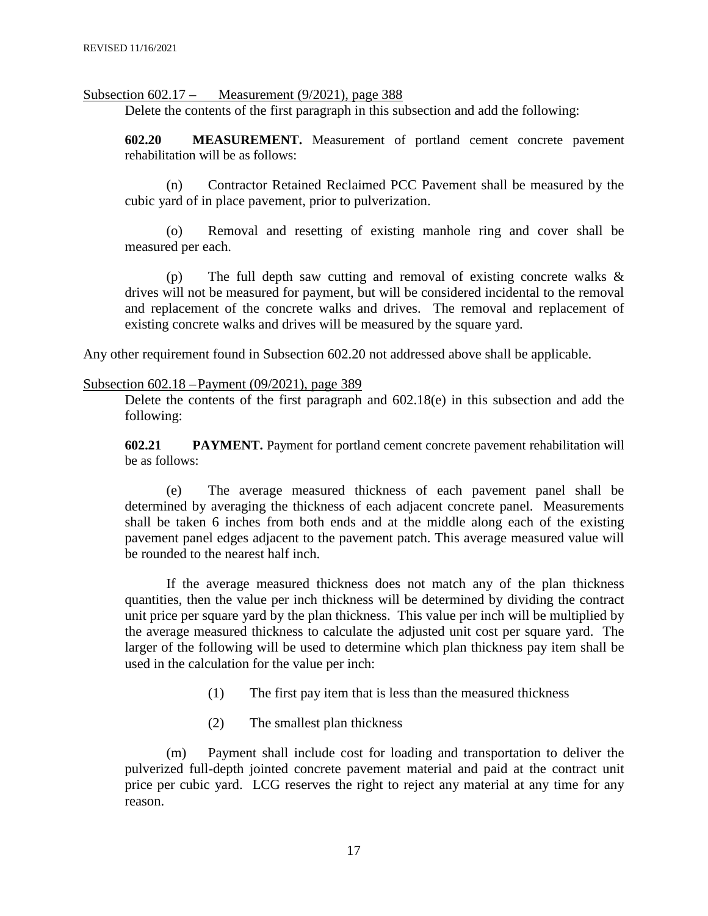Subsection 602.17 – Measurement (9/2021), page 388

Delete the contents of the first paragraph in this subsection and add the following:

**602.20 MEASUREMENT.** Measurement of portland cement concrete pavement rehabilitation will be as follows:

(n) Contractor Retained Reclaimed PCC Pavement shall be measured by the cubic yard of in place pavement, prior to pulverization.

(o) Removal and resetting of existing manhole ring and cover shall be measured per each.

(p) The full depth saw cutting and removal of existing concrete walks & drives will not be measured for payment, but will be considered incidental to the removal and replacement of the concrete walks and drives. The removal and replacement of existing concrete walks and drives will be measured by the square yard.

Any other requirement found in Subsection 602.20 not addressed above shall be applicable.

#### Subsection 602.18 –Payment (09/2021), page 389

Delete the contents of the first paragraph and 602.18(e) in this subsection and add the following:

**602.21 PAYMENT.** Payment for portland cement concrete pavement rehabilitation will be as follows:

(e) The average measured thickness of each pavement panel shall be determined by averaging the thickness of each adjacent concrete panel. Measurements shall be taken 6 inches from both ends and at the middle along each of the existing pavement panel edges adjacent to the pavement patch. This average measured value will be rounded to the nearest half inch.

If the average measured thickness does not match any of the plan thickness quantities, then the value per inch thickness will be determined by dividing the contract unit price per square yard by the plan thickness. This value per inch will be multiplied by the average measured thickness to calculate the adjusted unit cost per square yard. The larger of the following will be used to determine which plan thickness pay item shall be used in the calculation for the value per inch:

- (1) The first pay item that is less than the measured thickness
- (2) The smallest plan thickness

(m) Payment shall include cost for loading and transportation to deliver the pulverized full-depth jointed concrete pavement material and paid at the contract unit price per cubic yard. LCG reserves the right to reject any material at any time for any reason.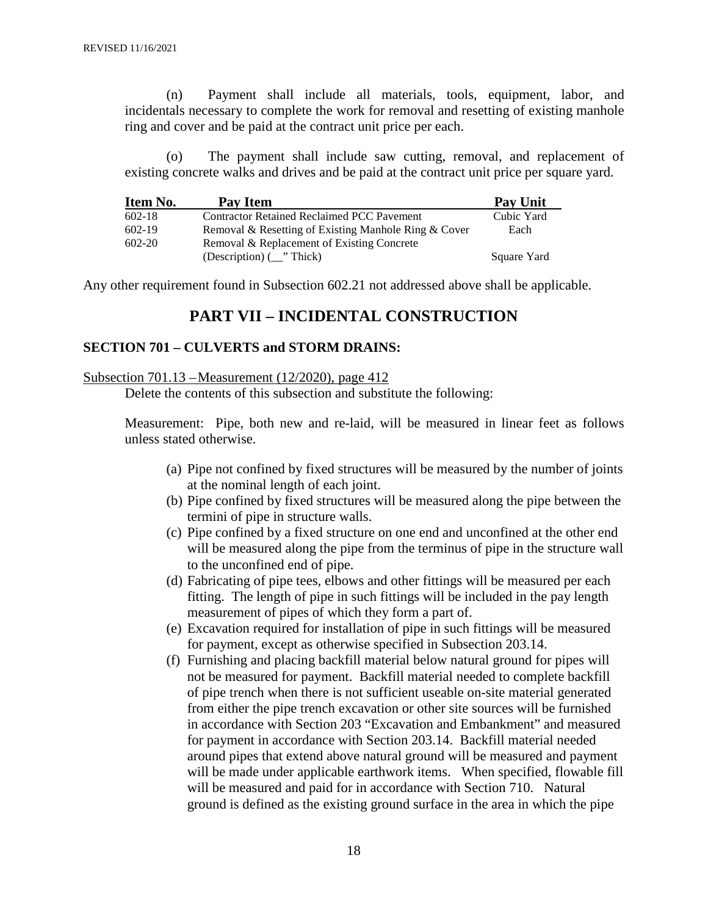(n) Payment shall include all materials, tools, equipment, labor, and incidentals necessary to complete the work for removal and resetting of existing manhole ring and cover and be paid at the contract unit price per each.

(o) The payment shall include saw cutting, removal, and replacement of existing concrete walks and drives and be paid at the contract unit price per square yard.

| Item No.   | Pay Item                                             | <b>Pay Unit</b> |
|------------|------------------------------------------------------|-----------------|
| $602 - 18$ | <b>Contractor Retained Reclaimed PCC Pavement</b>    | Cubic Yard      |
| $602-19$   | Removal & Resetting of Existing Manhole Ring & Cover | Each            |
| $602 - 20$ | Removal & Replacement of Existing Concrete           |                 |
|            | (Description) $(\_\cdot\text{''}$ Thick)             | Square Yard     |

Any other requirement found in Subsection 602.21 not addressed above shall be applicable.

#### **PART VII – INCIDENTAL CONSTRUCTION**

#### **SECTION 701 – CULVERTS and STORM DRAINS:**

#### Subsection 701.13 –Measurement (12/2020), page 412

Delete the contents of this subsection and substitute the following:

Measurement: Pipe, both new and re-laid, will be measured in linear feet as follows unless stated otherwise.

- (a) Pipe not confined by fixed structures will be measured by the number of joints at the nominal length of each joint.
- (b) Pipe confined by fixed structures will be measured along the pipe between the termini of pipe in structure walls.
- (c) Pipe confined by a fixed structure on one end and unconfined at the other end will be measured along the pipe from the terminus of pipe in the structure wall to the unconfined end of pipe.
- (d) Fabricating of pipe tees, elbows and other fittings will be measured per each fitting. The length of pipe in such fittings will be included in the pay length measurement of pipes of which they form a part of.
- (e) Excavation required for installation of pipe in such fittings will be measured for payment, except as otherwise specified in Subsection 203.14.
- (f) Furnishing and placing backfill material below natural ground for pipes will not be measured for payment. Backfill material needed to complete backfill of pipe trench when there is not sufficient useable on-site material generated from either the pipe trench excavation or other site sources will be furnished in accordance with Section 203 "Excavation and Embankment" and measured for payment in accordance with Section 203.14. Backfill material needed around pipes that extend above natural ground will be measured and payment will be made under applicable earthwork items. When specified, flowable fill will be measured and paid for in accordance with Section 710. Natural ground is defined as the existing ground surface in the area in which the pipe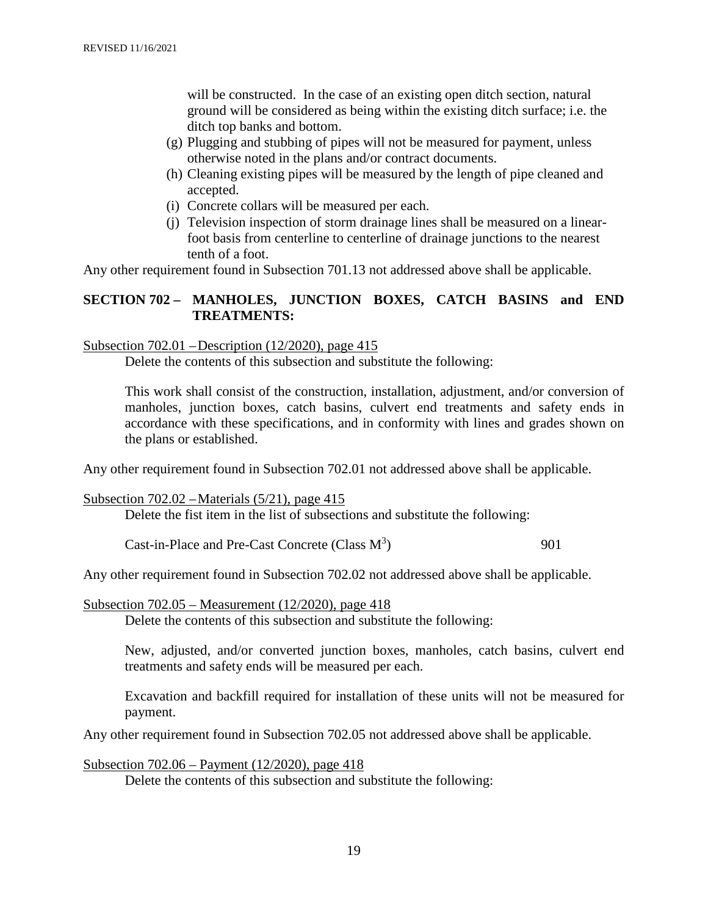will be constructed. In the case of an existing open ditch section, natural ground will be considered as being within the existing ditch surface; i.e. the ditch top banks and bottom.

- (g) Plugging and stubbing of pipes will not be measured for payment, unless otherwise noted in the plans and/or contract documents.
- (h) Cleaning existing pipes will be measured by the length of pipe cleaned and accepted.
- (i) Concrete collars will be measured per each.
- (j) Television inspection of storm drainage lines shall be measured on a linearfoot basis from centerline to centerline of drainage junctions to the nearest tenth of a foot.

Any other requirement found in Subsection 701.13 not addressed above shall be applicable.

#### **SECTION 702 – MANHOLES, JUNCTION BOXES, CATCH BASINS and END TREATMENTS:**

#### Subsection 702.01 –Description (12/2020), page 415

Delete the contents of this subsection and substitute the following:

This work shall consist of the construction, installation, adjustment, and/or conversion of manholes, junction boxes, catch basins, culvert end treatments and safety ends in accordance with these specifications, and in conformity with lines and grades shown on the plans or established.

Any other requirement found in Subsection 702.01 not addressed above shall be applicable.

#### Subsection 702.02 –Materials (5/21), page 415

Delete the fist item in the list of subsections and substitute the following:

Cast-in-Place and Pre-Cast Concrete (Class  $M^3$ ) ) 901

Any other requirement found in Subsection 702.02 not addressed above shall be applicable.

#### Subsection 702.05 – Measurement (12/2020), page 418

Delete the contents of this subsection and substitute the following:

New, adjusted, and/or converted junction boxes, manholes, catch basins, culvert end treatments and safety ends will be measured per each.

Excavation and backfill required for installation of these units will not be measured for payment.

Any other requirement found in Subsection 702.05 not addressed above shall be applicable.

Subsection 702.06 – Payment (12/2020), page 418

Delete the contents of this subsection and substitute the following: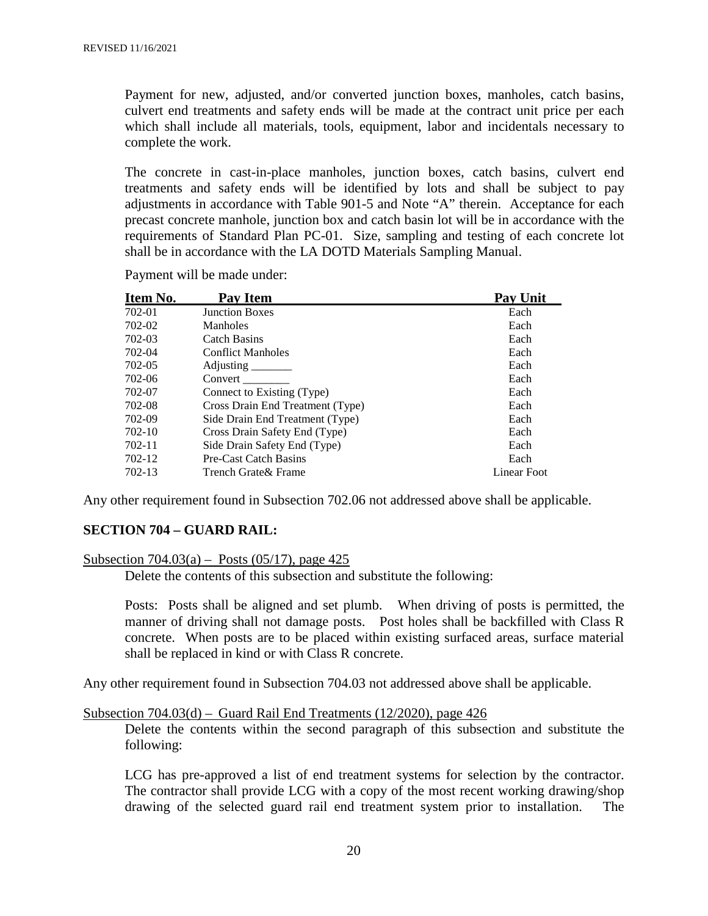Payment for new, adjusted, and/or converted junction boxes, manholes, catch basins, culvert end treatments and safety ends will be made at the contract unit price per each which shall include all materials, tools, equipment, labor and incidentals necessary to complete the work.

The concrete in cast-in-place manholes, junction boxes, catch basins, culvert end treatments and safety ends will be identified by lots and shall be subject to pay adjustments in accordance with Table 901-5 and Note "A" therein. Acceptance for each precast concrete manhole, junction box and catch basin lot will be in accordance with the requirements of Standard Plan PC-01. Size, sampling and testing of each concrete lot shall be in accordance with the LA DOTD Materials Sampling Manual.

| Item No. | Pay Item                         | <b>Pay Unit</b> |
|----------|----------------------------------|-----------------|
| 702-01   | <b>Junction Boxes</b>            | Each            |
| 702-02   | Manholes                         | Each            |
| 702-03   | Catch Basins                     | Each            |
| 702-04   | <b>Conflict Manholes</b>         | Each            |
| 702-05   | Adjusting                        | Each            |
| 702-06   | Convert                          | Each            |
| 702-07   | Connect to Existing (Type)       | Each            |
| 702-08   | Cross Drain End Treatment (Type) | Each            |
| 702-09   | Side Drain End Treatment (Type)  | Each            |
| 702-10   | Cross Drain Safety End (Type)    | Each            |
| 702-11   | Side Drain Safety End (Type)     | Each            |
| 702-12   | Pre-Cast Catch Basins            | Each            |
| 702-13   | Trench Grate & Frame             | Linear Foot     |

Payment will be made under:

Any other requirement found in Subsection 702.06 not addressed above shall be applicable.

#### **SECTION 704 – GUARD RAIL:**

#### Subsection 704.03(a) – Posts (05/17), page 425

Delete the contents of this subsection and substitute the following:

Posts: Posts shall be aligned and set plumb. When driving of posts is permitted, the manner of driving shall not damage posts. Post holes shall be backfilled with Class R concrete. When posts are to be placed within existing surfaced areas, surface material shall be replaced in kind or with Class R concrete.

Any other requirement found in Subsection 704.03 not addressed above shall be applicable.

#### Subsection 704.03(d) – Guard Rail End Treatments (12/2020), page 426

Delete the contents within the second paragraph of this subsection and substitute the following:

LCG has pre-approved a list of end treatment systems for selection by the contractor. The contractor shall provide LCG with a copy of the most recent working drawing/shop drawing of the selected guard rail end treatment system prior to installation. The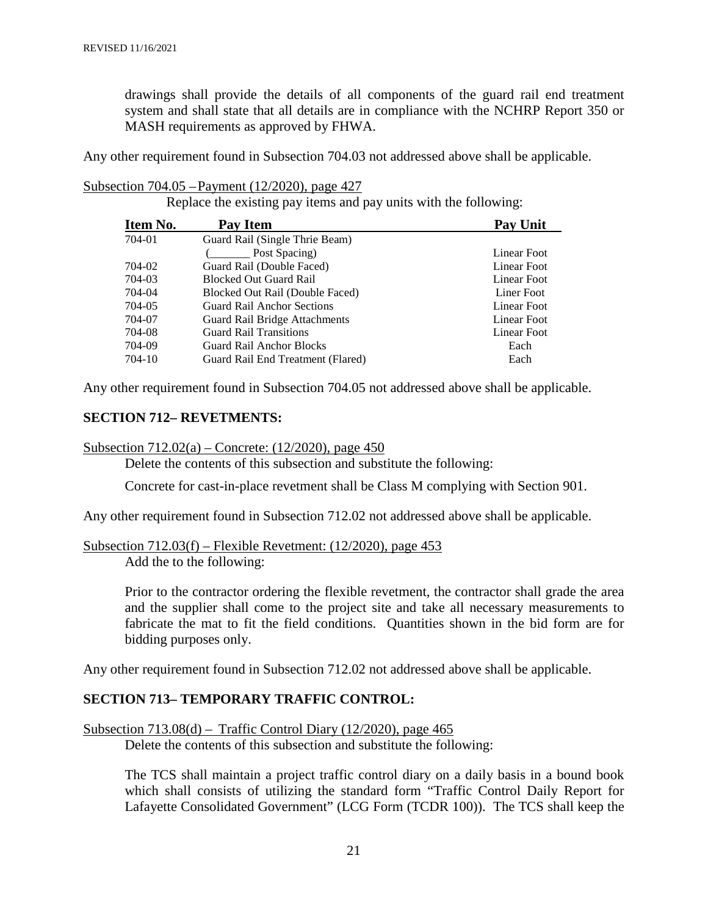drawings shall provide the details of all components of the guard rail end treatment system and shall state that all details are in compliance with the NCHRP Report 350 or MASH requirements as approved by FHWA.

Any other requirement found in Subsection 704.03 not addressed above shall be applicable.

Subsection 704.05 –Payment (12/2020), page 427

Replace the existing pay items and pay units with the following:

| Item No. | Pay Item                          | <b>Pay Unit</b> |
|----------|-----------------------------------|-----------------|
| 704-01   | Guard Rail (Single Thrie Beam)    |                 |
|          | Post Spacing)                     | Linear Foot     |
| 704-02   | Guard Rail (Double Faced)         | Linear Foot     |
| 704-03   | <b>Blocked Out Guard Rail</b>     | Linear Foot     |
| 704-04   | Blocked Out Rail (Double Faced)   | Liner Foot      |
| 704-05   | <b>Guard Rail Anchor Sections</b> | Linear Foot     |
| 704-07   | Guard Rail Bridge Attachments     | Linear Foot     |
| 704-08   | <b>Guard Rail Transitions</b>     | Linear Foot     |
| 704-09   | <b>Guard Rail Anchor Blocks</b>   | Each            |
| 704-10   | Guard Rail End Treatment (Flared) | Each            |

Any other requirement found in Subsection 704.05 not addressed above shall be applicable.

#### **SECTION 712– REVETMENTS:**

Subsection 712.02(a) – Concrete: (12/2020), page 450

Delete the contents of this subsection and substitute the following:

Concrete for cast-in-place revetment shall be Class M complying with Section 901.

Any other requirement found in Subsection 712.02 not addressed above shall be applicable.

#### Subsection 712.03(f) – Flexible Revetment: (12/2020), page 453 Add the to the following:

Prior to the contractor ordering the flexible revetment, the contractor shall grade the area and the supplier shall come to the project site and take all necessary measurements to fabricate the mat to fit the field conditions. Quantities shown in the bid form are for bidding purposes only.

Any other requirement found in Subsection 712.02 not addressed above shall be applicable.

#### **SECTION 713– TEMPORARY TRAFFIC CONTROL:**

Subsection  $713.08(d)$  – Traffic Control Diary  $(12/2020)$ , page 465

Delete the contents of this subsection and substitute the following:

The TCS shall maintain a project traffic control diary on a daily basis in a bound book which shall consists of utilizing the standard form "Traffic Control Daily Report for Lafayette Consolidated Government" (LCG Form (TCDR 100)). The TCS shall keep the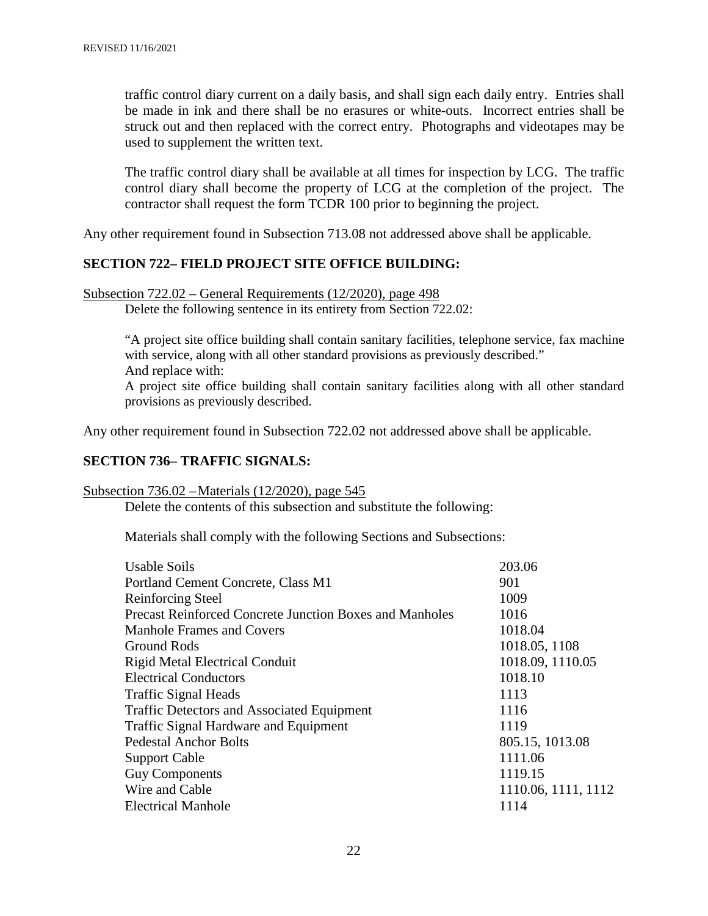traffic control diary current on a daily basis, and shall sign each daily entry. Entries shall be made in ink and there shall be no erasures or white-outs. Incorrect entries shall be struck out and then replaced with the correct entry. Photographs and videotapes may be used to supplement the written text.

The traffic control diary shall be available at all times for inspection by LCG. The traffic control diary shall become the property of LCG at the completion of the project. The contractor shall request the form TCDR 100 prior to beginning the project.

Any other requirement found in Subsection 713.08 not addressed above shall be applicable.

#### **SECTION 722– FIELD PROJECT SITE OFFICE BUILDING:**

#### Subsection 722.02 – General Requirements (12/2020), page 498

Delete the following sentence in its entirety from Section 722.02:

"A project site office building shall contain sanitary facilities, telephone service, fax machine with service, along with all other standard provisions as previously described." And replace with:

A project site office building shall contain sanitary facilities along with all other standard provisions as previously described.

Any other requirement found in Subsection 722.02 not addressed above shall be applicable.

#### **SECTION 736– TRAFFIC SIGNALS:**

Subsection 736.02 –Materials (12/2020), page 545

Delete the contents of this subsection and substitute the following:

Materials shall comply with the following Sections and Subsections:

| 901<br>Portland Cement Concrete, Class M1<br>1009<br><b>Reinforcing Steel</b><br><b>Precast Reinforced Concrete Junction Boxes and Manholes</b><br>1016<br>1018.04<br><b>Manhole Frames and Covers</b><br>1018.05, 1108<br>Ground Rods<br>1018.09, 1110.05<br><b>Rigid Metal Electrical Conduit</b><br><b>Electrical Conductors</b><br>1018.10<br>1113<br><b>Traffic Signal Heads</b><br><b>Traffic Detectors and Associated Equipment</b><br>1116<br><b>Traffic Signal Hardware and Equipment</b><br>1119<br><b>Pedestal Anchor Bolts</b><br>805.15, 1013.08<br>1111.06<br><b>Support Cable</b><br><b>Guy Components</b><br>1119.15 |  |
|--------------------------------------------------------------------------------------------------------------------------------------------------------------------------------------------------------------------------------------------------------------------------------------------------------------------------------------------------------------------------------------------------------------------------------------------------------------------------------------------------------------------------------------------------------------------------------------------------------------------------------------|--|
|                                                                                                                                                                                                                                                                                                                                                                                                                                                                                                                                                                                                                                      |  |
|                                                                                                                                                                                                                                                                                                                                                                                                                                                                                                                                                                                                                                      |  |
|                                                                                                                                                                                                                                                                                                                                                                                                                                                                                                                                                                                                                                      |  |
|                                                                                                                                                                                                                                                                                                                                                                                                                                                                                                                                                                                                                                      |  |
|                                                                                                                                                                                                                                                                                                                                                                                                                                                                                                                                                                                                                                      |  |
|                                                                                                                                                                                                                                                                                                                                                                                                                                                                                                                                                                                                                                      |  |
|                                                                                                                                                                                                                                                                                                                                                                                                                                                                                                                                                                                                                                      |  |
|                                                                                                                                                                                                                                                                                                                                                                                                                                                                                                                                                                                                                                      |  |
|                                                                                                                                                                                                                                                                                                                                                                                                                                                                                                                                                                                                                                      |  |
|                                                                                                                                                                                                                                                                                                                                                                                                                                                                                                                                                                                                                                      |  |
|                                                                                                                                                                                                                                                                                                                                                                                                                                                                                                                                                                                                                                      |  |
|                                                                                                                                                                                                                                                                                                                                                                                                                                                                                                                                                                                                                                      |  |
|                                                                                                                                                                                                                                                                                                                                                                                                                                                                                                                                                                                                                                      |  |
| Wire and Cable<br>1110.06, 1111, 1112                                                                                                                                                                                                                                                                                                                                                                                                                                                                                                                                                                                                |  |
| <b>Electrical Manhole</b><br>1114                                                                                                                                                                                                                                                                                                                                                                                                                                                                                                                                                                                                    |  |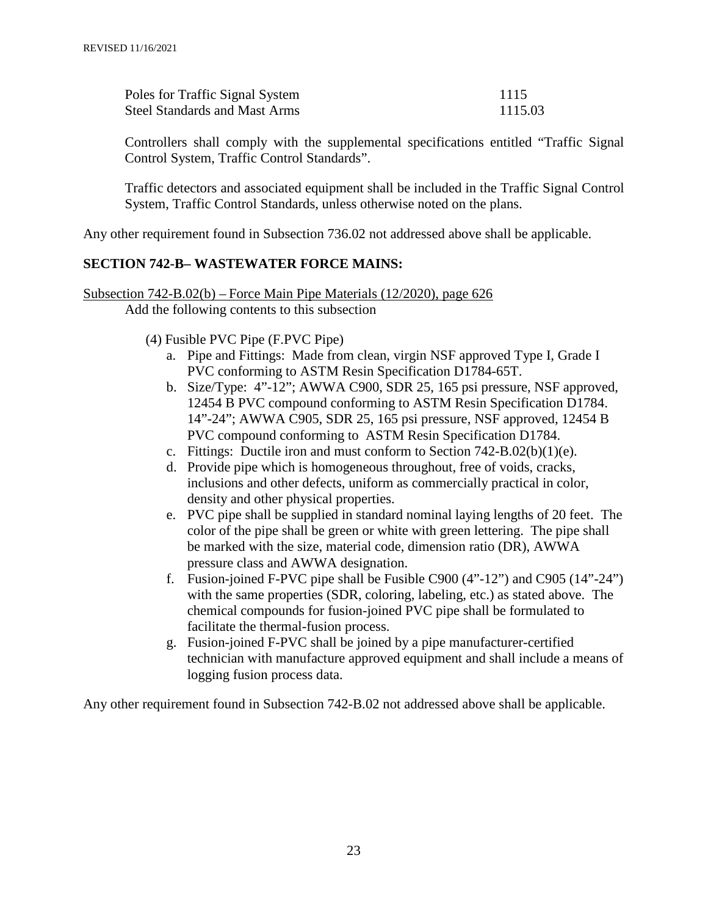| Poles for Traffic Signal System      | 1115    |
|--------------------------------------|---------|
| <b>Steel Standards and Mast Arms</b> | 1115.03 |

Controllers shall comply with the supplemental specifications entitled "Traffic Signal Control System, Traffic Control Standards".

Traffic detectors and associated equipment shall be included in the Traffic Signal Control System, Traffic Control Standards, unless otherwise noted on the plans.

Any other requirement found in Subsection 736.02 not addressed above shall be applicable.

#### **SECTION 742-B– WASTEWATER FORCE MAINS:**

Subsection 742-B.02(b) – Force Main Pipe Materials (12/2020), page 626 Add the following contents to this subsection

(4) Fusible PVC Pipe (F.PVC Pipe)

- a. Pipe and Fittings: Made from clean, virgin NSF approved Type I, Grade I PVC conforming to ASTM Resin Specification D1784-65T.
- b. Size/Type: 4"-12"; AWWA C900, SDR 25, 165 psi pressure, NSF approved, 12454 B PVC compound conforming to ASTM Resin Specification D1784. 14"-24"; AWWA C905, SDR 25, 165 psi pressure, NSF approved, 12454 B PVC compound conforming to ASTM Resin Specification D1784.
- c. Fittings: Ductile iron and must conform to Section 742-B.02(b)(1)(e).
- d. Provide pipe which is homogeneous throughout, free of voids, cracks, inclusions and other defects, uniform as commercially practical in color, density and other physical properties.
- e. PVC pipe shall be supplied in standard nominal laying lengths of 20 feet. The color of the pipe shall be green or white with green lettering. The pipe shall be marked with the size, material code, dimension ratio (DR), AWWA pressure class and AWWA designation.
- f. Fusion-joined F-PVC pipe shall be Fusible C900 (4"-12") and C905 (14"-24") with the same properties (SDR, coloring, labeling, etc.) as stated above. The chemical compounds for fusion-joined PVC pipe shall be formulated to facilitate the thermal-fusion process.
- g. Fusion-joined F-PVC shall be joined by a pipe manufacturer-certified technician with manufacture approved equipment and shall include a means of logging fusion process data.

Any other requirement found in Subsection 742-B.02 not addressed above shall be applicable.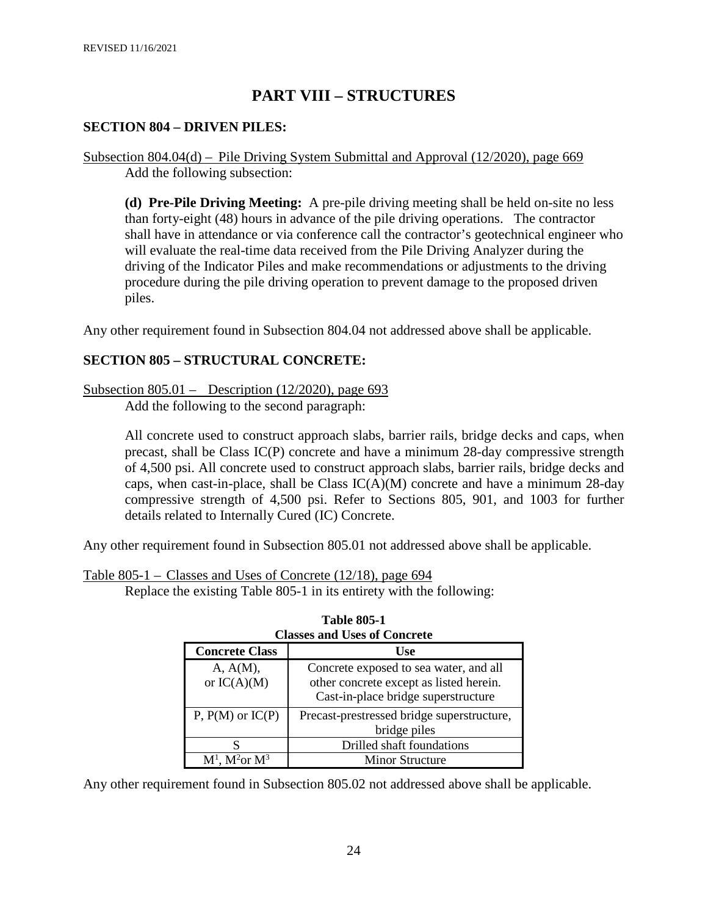# **PART VIII – STRUCTURES**

#### **SECTION 804 – DRIVEN PILES:**

Subsection 804.04(d) – Pile Driving System Submittal and Approval (12/2020), page 669 Add the following subsection:

**(d) Pre-Pile Driving Meeting:** A pre-pile driving meeting shall be held on-site no less than forty-eight (48) hours in advance of the pile driving operations. The contractor shall have in attendance or via conference call the contractor's geotechnical engineer who will evaluate the real-time data received from the Pile Driving Analyzer during the driving of the Indicator Piles and make recommendations or adjustments to the driving procedure during the pile driving operation to prevent damage to the proposed driven piles.

Any other requirement found in Subsection 804.04 not addressed above shall be applicable.

#### **SECTION 805 – STRUCTURAL CONCRETE:**

Subsection 805.01 – Description (12/2020), page 693

Add the following to the second paragraph:

All concrete used to construct approach slabs, barrier rails, bridge decks and caps, when precast, shall be Class IC(P) concrete and have a minimum 28-day compressive strength of 4,500 psi. All concrete used to construct approach slabs, barrier rails, bridge decks and caps, when cast-in-place, shall be Class  $IC(A)(M)$  concrete and have a minimum 28-day compressive strength of 4,500 psi. Refer to Sections 805, 901, and 1003 for further details related to Internally Cured (IC) Concrete.

Any other requirement found in Subsection 805.01 not addressed above shall be applicable.

Table 805-1 – Classes and Uses of Concrete (12/18), page 694

Replace the existing Table 805-1 in its entirety with the following:

| <b>Classes and Uses of Concrete</b> |                                                                                                                          |  |  |
|-------------------------------------|--------------------------------------------------------------------------------------------------------------------------|--|--|
| <b>Concrete Class</b>               | <b>Use</b>                                                                                                               |  |  |
| A, A(M),<br>or $IC(A)(M)$           | Concrete exposed to sea water, and all<br>other concrete except as listed herein.<br>Cast-in-place bridge superstructure |  |  |
| $P, P(M)$ or $IC(P)$                | Precast-prestressed bridge superstructure,<br>bridge piles                                                               |  |  |
|                                     | Drilled shaft foundations                                                                                                |  |  |
| $M1$ , $M2$ or $M3$                 | <b>Minor Structure</b>                                                                                                   |  |  |

| <b>Table 805-1</b>                  |
|-------------------------------------|
| <b>Classes and Uses of Concrete</b> |

Any other requirement found in Subsection 805.02 not addressed above shall be applicable.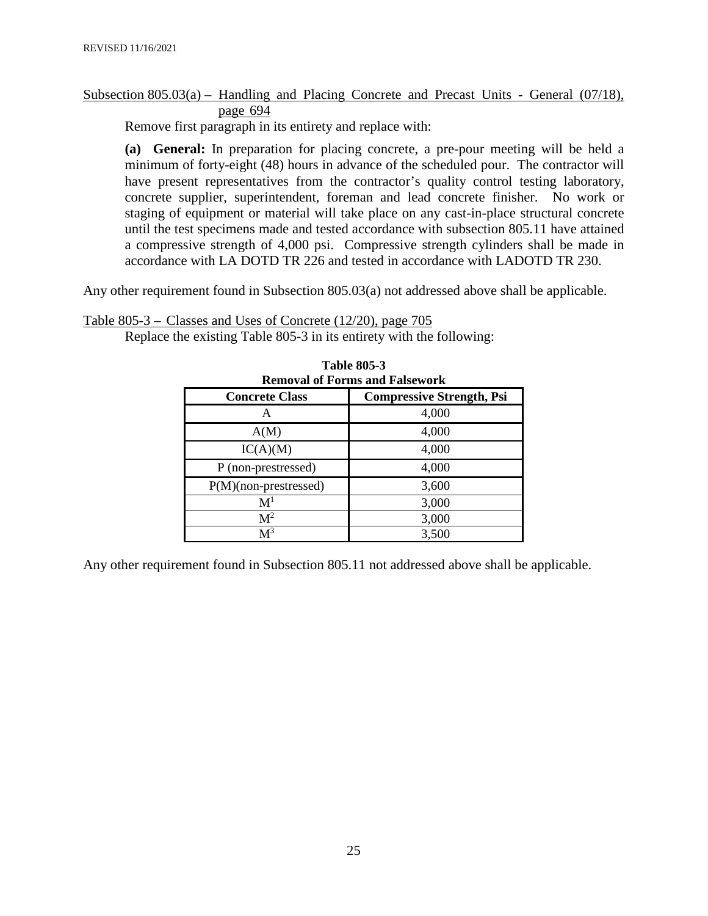#### Subsection 805.03(a) – Handling and Placing Concrete and Precast Units - General (07/18), page 694

Remove first paragraph in its entirety and replace with:

**(a) General:** In preparation for placing concrete, a pre-pour meeting will be held a minimum of forty-eight (48) hours in advance of the scheduled pour. The contractor will have present representatives from the contractor's quality control testing laboratory, concrete supplier, superintendent, foreman and lead concrete finisher. No work or staging of equipment or material will take place on any cast-in-place structural concrete until the test specimens made and tested accordance with subsection 805.11 have attained a compressive strength of 4,000 psi. Compressive strength cylinders shall be made in accordance with LA DOTD TR 226 and tested in accordance with LADOTD TR 230.

Any other requirement found in Subsection 805.03(a) not addressed above shall be applicable.

Table 805-3 – Classes and Uses of Concrete (12/20), page 705

Replace the existing Table 805-3 in its entirety with the following:

| таніе міэ-э<br><b>Removal of Forms and Falsework</b>      |       |  |  |  |
|-----------------------------------------------------------|-------|--|--|--|
| <b>Compressive Strength, Psi</b><br><b>Concrete Class</b> |       |  |  |  |
| А                                                         | 4,000 |  |  |  |
| A(M)                                                      | 4,000 |  |  |  |
| IC(A)(M)                                                  | 4,000 |  |  |  |
| P (non-prestressed)                                       | 4,000 |  |  |  |
| P(M)(non-prestressed)                                     | 3,600 |  |  |  |
| $\mathbf{M}^1$                                            | 3,000 |  |  |  |
| $\mathbf{M}^2$                                            | 3,000 |  |  |  |
| M <sup>3</sup>                                            | 3,500 |  |  |  |

**Table 805-3**

Any other requirement found in Subsection 805.11 not addressed above shall be applicable.

25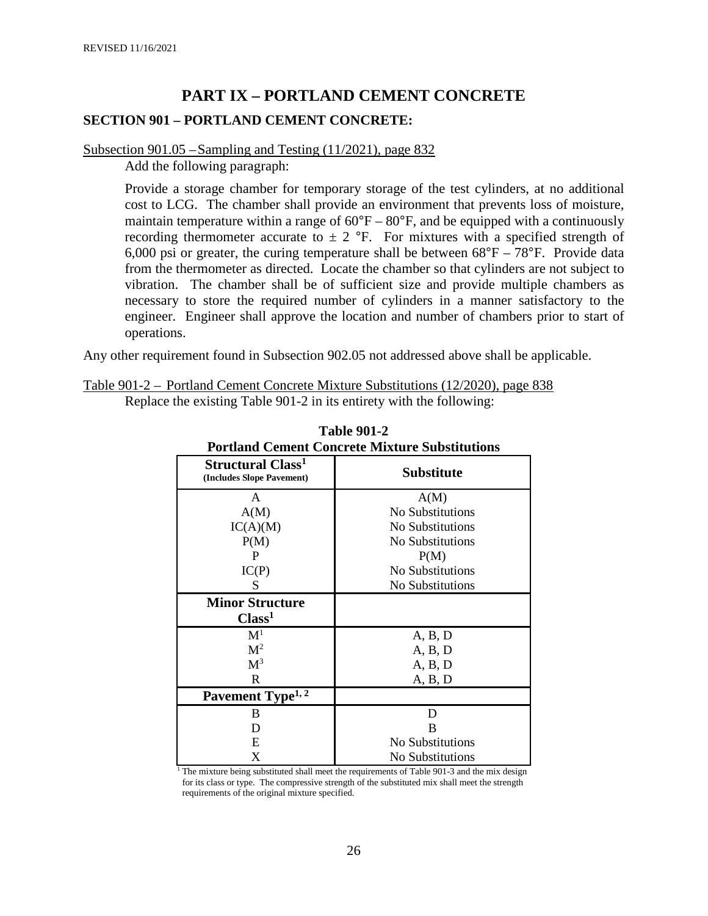# **PART IX – PORTLAND CEMENT CONCRETE**

#### **SECTION 901 – PORTLAND CEMENT CONCRETE:**

#### Subsection 901.05 –Sampling and Testing (11/2021), page 832

Add the following paragraph:

Provide a storage chamber for temporary storage of the test cylinders, at no additional cost to LCG. The chamber shall provide an environment that prevents loss of moisture, maintain temperature within a range of  $60^{\circ}F - 80^{\circ}F$ , and be equipped with a continuously recording thermometer accurate to  $\pm 2$  °F. For mixtures with a specified strength of 6,000 psi or greater, the curing temperature shall be between  $68^{\circ}F - 78^{\circ}F$ . Provide data from the thermometer as directed. Locate the chamber so that cylinders are not subject to vibration. The chamber shall be of sufficient size and provide multiple chambers as necessary to store the required number of cylinders in a manner satisfactory to the engineer. Engineer shall approve the location and number of chambers prior to start of operations.

Any other requirement found in Subsection 902.05 not addressed above shall be applicable.

| Table 901-2 – Portland Cement Concrete Mixture Substitutions (12/2020), page 838 |                                                                      |  |  |
|----------------------------------------------------------------------------------|----------------------------------------------------------------------|--|--|
|                                                                                  | Replace the existing Table 901-2 in its entirety with the following: |  |  |

| <b>Portland Cement Concrete Mixture Substitutions</b>      |                   |  |  |
|------------------------------------------------------------|-------------------|--|--|
| Structural Class <sup>1</sup><br>(Includes Slope Pavement) | <b>Substitute</b> |  |  |
| A                                                          | A(M)              |  |  |
| A(M)                                                       | No Substitutions  |  |  |
| IC(A)(M)                                                   | No Substitutions  |  |  |
| P(M)                                                       | No Substitutions  |  |  |
| P                                                          | P(M)              |  |  |
| IC(P)                                                      | No Substitutions  |  |  |
| S                                                          | No Substitutions  |  |  |
| <b>Minor Structure</b>                                     |                   |  |  |
| Class <sup>1</sup>                                         |                   |  |  |
| $\mathbf{M}^1$                                             | A, B, D           |  |  |
| M <sup>2</sup>                                             | A, B, D           |  |  |
| $M^3$                                                      | A, B, D           |  |  |
| $\mathbf R$                                                | A, B, D           |  |  |
| Pavement Type <sup>1, 2</sup>                              |                   |  |  |
| B                                                          | D                 |  |  |
| D                                                          | B                 |  |  |
| E                                                          | No Substitutions  |  |  |
| X                                                          | No Substitutions  |  |  |

**Table 901-2**

<sup>1</sup> The mixture being substituted shall meet the requirements of Table 901-3 and the mix design for its class or type. The compressive strength of the substituted mix shall meet the strength requirements of the original mixture specified.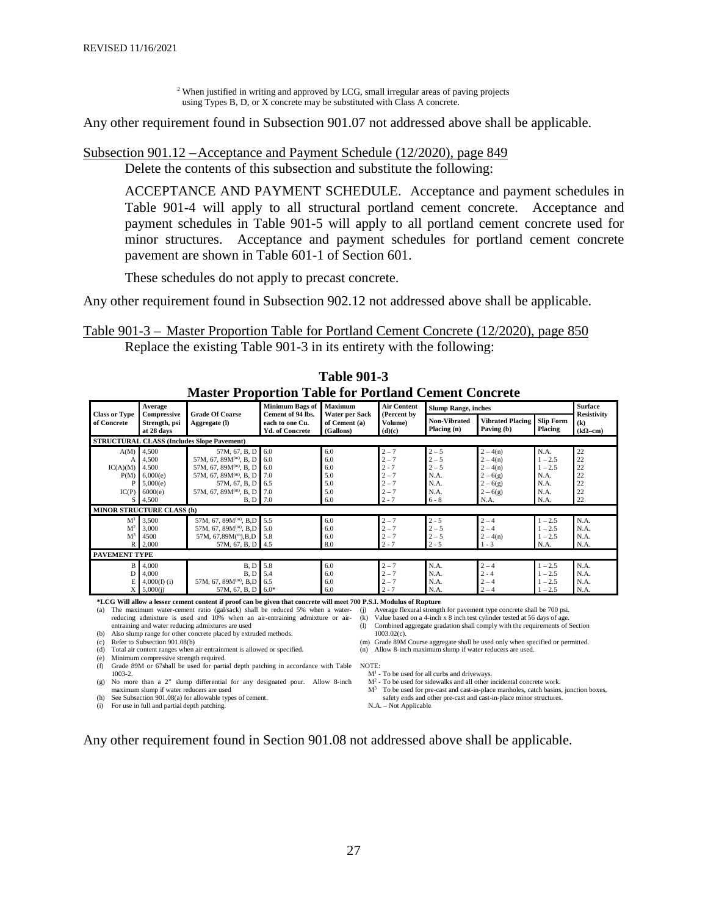<sup>2</sup> When justified in writing and approved by LCG, small irregular areas of paving projects using Types B, D, or X concrete may be substituted with Class A concrete.

Any other requirement found in Subsection 901.07 not addressed above shall be applicable.

#### Subsection 901.12 –Acceptance and Payment Schedule (12/2020), page 849

Delete the contents of this subsection and substitute the following:

ACCEPTANCE AND PAYMENT SCHEDULE. Acceptance and payment schedules in Table 901-4 will apply to all structural portland cement concrete. Acceptance and payment schedules in Table 901-5 will apply to all portland cement concrete used for minor structures. Acceptance and payment schedules for portland cement concrete pavement are shown in Table 601-1 of Section 601.

These schedules do not apply to precast concrete.

Any other requirement found in Subsection 902.12 not addressed above shall be applicable.

Table 901-3 – Master Proportion Table for Portland Cement Concrete (12/2020), page 850 Replace the existing Table 901-3 in its entirety with the following:

|                                                | Master Proportion Lable for Portland Cement Concrete |                                                                                                      |                                                                |                                              |                                          |                                          |                                             |                                             |                                             |
|------------------------------------------------|------------------------------------------------------|------------------------------------------------------------------------------------------------------|----------------------------------------------------------------|----------------------------------------------|------------------------------------------|------------------------------------------|---------------------------------------------|---------------------------------------------|---------------------------------------------|
|                                                | Minimum Bags of<br>Maximum<br>Average                |                                                                                                      | <b>Air Content</b>                                             | <b>Slump Range, inches</b>                   |                                          |                                          | <b>Surface</b>                              |                                             |                                             |
| <b>Class or Type</b><br>of Concrete            | Compressive<br>Strength, psi<br>at 28 days           | <b>Grade Of Coarse</b><br>Aggregate (I)                                                              | Cement of 94 lbs.<br>each to one Cu.<br><b>Yd. of Concrete</b> | Water per Sack<br>of Cement (a)<br>(Gallons) | (Percent by<br>Volume)<br>(d)(c)         | Non-Vibrated<br>Placing (n)              | <b>Vibrated Placing</b><br>Paving (b)       | <b>Slip Form</b><br>Placing                 | <b>Resistivity</b><br>(k)<br>$(k\Omega$ -cm |
|                                                |                                                      | <b>STRUCTURAL CLASS (Includes Slope Pavement)</b>                                                    |                                                                |                                              |                                          |                                          |                                             |                                             |                                             |
| A(M)                                           | 4,500<br>4,500                                       | 57M, 67, B, D<br>57M, 67, 89 $M^{(m)}$ , B, D                                                        | 6.0<br>6.0                                                     | 6.0<br>6.0                                   | $2 - 7$<br>$2 - 7$                       | $2 - 5$<br>$2 - 5$                       | $2 - 4(n)$<br>$2 - 4(n)$                    | N.A.<br>$1 - 2.5$                           | 22<br>22                                    |
| IC(A)(M)<br>P(M)                               | 4.500<br>6,000(e)                                    | 57M, 67, 89 $M^{(m)}$ , B, D<br>57M, 67, 89 $M^{(m)}$ , B, D                                         | 6.0<br>7.0                                                     | 6.0<br>5.0                                   | $2 - 7$<br>$2 - 7$                       | $2 - 5$<br>N.A.                          | $2 - 4(n)$<br>$2 - 6(g)$                    | $1 - 2.5$<br>N.A.                           | 22<br>22                                    |
| p<br>IC(P)                                     | 5,000(e)<br>6000(e)                                  | 57M, 67, B, D<br>57M, 67, 89M(m), B, D                                                               | 6.5<br>7.0                                                     | 5.0<br>5.0                                   | $2 - 7$<br>$2 - 7$                       | N.A.<br>N.A.                             | $2 - 6(g)$<br>$2 - 6(g)$                    | N.A.<br>N.A.                                | 22<br>22                                    |
| S                                              | 4,500                                                | <b>B</b> , <b>D</b> 7.0                                                                              |                                                                | 6.0                                          | $2 - 7$                                  | $6 - 8$                                  | N.A.                                        | N.A.                                        | 22                                          |
|                                                | <b>MINOR STRUCTURE CLASS (h)</b>                     |                                                                                                      |                                                                |                                              |                                          |                                          |                                             |                                             |                                             |
| M <sup>1</sup><br>M <sup>2</sup><br>$M^3$<br>R | 3,500<br>3,000<br>4500<br>2,000                      | 57M, 67, 89M(m), B,D<br>57M, 67, 89M(m), B,D<br>57M, $67,89M^{\text{m}}$ , B, D<br>57M, 67, B, D 4.5 | 5.5<br>5.0<br>5.8                                              | 6.0<br>6.0<br>6.0<br>8.0                     | $2 - 7$<br>$2 - 7$<br>$2 - 7$<br>$2 - 7$ | $2 - 5$<br>$2 - 5$<br>$2 - 5$<br>$2 - 5$ | $2 - 4$<br>$2 - 4$<br>$2 - 4(n)$<br>$1 - 3$ | $1 - 2.5$<br>$1 - 2.5$<br>$1 - 2.5$<br>N.A. | N.A.<br>N.A.<br>N.A.<br>N.A.                |
| <b>PAVEMENT TYPE</b>                           |                                                      |                                                                                                      |                                                                |                                              |                                          |                                          |                                             |                                             |                                             |
| B<br>D<br>E                                    | 4,000<br>4,000<br>$4,000(f)$ (i)                     | B, D<br>B. D<br>57M, 67, 89 $M^{(m)}$ , B,D                                                          | 5.8<br>5.4<br>6.5                                              | 6.0<br>6.0<br>6.0                            | $2 - 7$<br>$2 - 7$<br>$2 - 7$            | N.A.<br>N.A.<br>N.A.                     | $2 - 4$<br>$2 - 4$<br>$2 - 4$               | $1 - 2.5$<br>$1 - 2.5$<br>$1 - 2.5$         | N.A.<br>N.A.<br>N.A.                        |
|                                                | 5,000(i)                                             | 57M, 67, B, D                                                                                        | $6.0*$                                                         | 6.0                                          | $2 - 7$                                  | N.A.                                     | $2 - 4$                                     | $1 - 2.5$                                   | N.A.                                        |

**Table 901-3 Master Proportion Table for Portland Cement Concrete**

**\*LCG Will allow a lesser cement content if proof can be given that concrete will meet 700 P.S.I. Modulus of Rupture**

(a) The maximum water-cement ratio (gal/sack) shall be reduced 5% when a water- (j) Average flexural strength for pavement type concrete shall be 700 psi.<br>reducing admixture is used and 10% when an air-entraining admixture reducing admixture is used and 10% when an air-entraining admixture or airentraining and water reducing admixtures are used

(b) Also slump range for other concrete placed by extruded methods.

(c) Refer to Subsection 901.08(b)

(d) Total air content ranges when air entrainment is allowed or specified.

(e) Minimum compressive strength required. (f) Grade 89M or 67shall be used for partial depth patching in accordance with Table NOTE: 1003-2. (g) No more than a 2" slump differential for any designated pour. Allow 8-inch

maximum slump if water reducers are used

(h) See Subsection 901.08(a) for allowable types of cement.

(i) Bee Busselem  $\frac{1}{2}$  of the line where  $\frac{1}{2}$  (i) For use in full and partial depth patching.

(l) Combined aggregate gradation shall comply with the requirements of Section

1003.02(c). (m) Grade 89M Course aggregate shall be used only when specified or permitted.

(n) Allow 8-inch maximum slump if water reducers are used.

 $M<sup>1</sup>$  - To be used for all curbs and driveways.<br> $M<sup>2</sup>$  - To be used for sidewalks and all other incidental concrete work.

M3 To be used for pre-cast and cast-in-place manholes, catch basins, junction boxes, safety ends and other pre-cast and cast-in-place minor structures.

N.A. – Not Applicable

Any other requirement found in Section 901.08 not addressed above shall be applicable.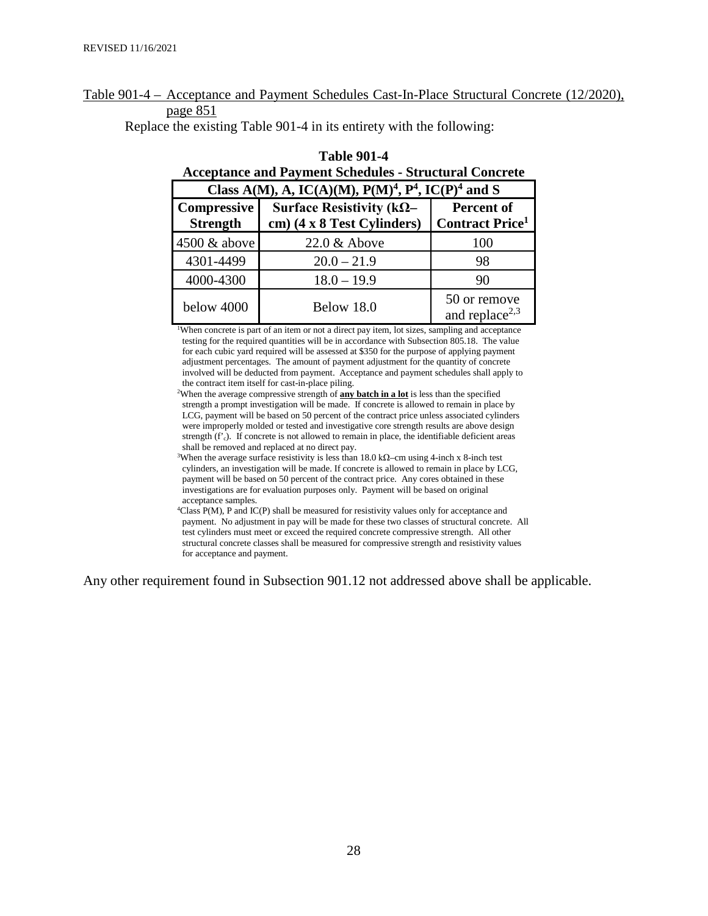#### Table 901-4 – Acceptance and Payment Schedules Cast-In-Place Structural Concrete (12/2020), page 851

Replace the existing Table 901-4 in its entirety with the following:

| Class A(M), A, IC(A)(M), P(M) <sup>4</sup> , P <sup>4</sup> , IC(P) <sup>4</sup> and S            |               |                                                  |  |  |  |  |
|---------------------------------------------------------------------------------------------------|---------------|--------------------------------------------------|--|--|--|--|
| Compressive<br>Surface Resistivity ( $k\Omega$ -<br><b>Strength</b><br>cm) (4 x 8 Test Cylinders) |               | Percent of<br><b>Contract Price</b> <sup>1</sup> |  |  |  |  |
| 4500 & above                                                                                      | 22.0 & Above  | 100                                              |  |  |  |  |
| 4301-4499                                                                                         | $20.0 - 21.9$ | 98                                               |  |  |  |  |
| 4000-4300                                                                                         | $18.0 - 19.9$ | 90                                               |  |  |  |  |
| below 4000                                                                                        | Below 18.0    | 50 or remove<br>and replace <sup>2,3</sup>       |  |  |  |  |

# **Table 901-4 Acceptance and Payment Schedules - Structural Concrete**

<sup>1</sup>When concrete is part of an item or not a direct pay item, lot sizes, sampling and acceptance testing for the required quantities will be in accordance with Subsection 805.18. The value for each cubic yard required will be assessed at \$350 for the purpose of applying payment adjustment percentages. The amount of payment adjustment for the quantity of concrete involved will be deducted from payment. Acceptance and payment schedules shall apply to the contract item itself for cast-in-place piling.

When the average compressive strength of **any batch in a lot** is less than the specified strength a prompt investigation will be made. If concrete is allowed to remain in place by LCG, payment will be based on 50 percent of the contract price unless associated cylinders were improperly molded or tested and investigative core strength results are above design strength  $(f<sub>c</sub>)$ . If concrete is not allowed to remain in place, the identifiable deficient areas shall be removed and replaced at no direct pay.

<sup>3</sup>When the average surface resistivity is less than 18.0 k $\Omega$ –cm using 4-inch x 8-inch test cylinders, an investigation will be made. If concrete is allowed to remain in place by LCG, payment will be based on 50 percent of the contract price. Any cores obtained in these investigations are for evaluation purposes only. Payment will be based on original acceptance samples.

4 Class P(M), P and IC(P) shall be measured for resistivity values only for acceptance and payment. No adjustment in pay will be made for these two classes of structural concrete. All test cylinders must meet or exceed the required concrete compressive strength. All other structural concrete classes shall be measured for compressive strength and resistivity values for acceptance and payment.

Any other requirement found in Subsection 901.12 not addressed above shall be applicable.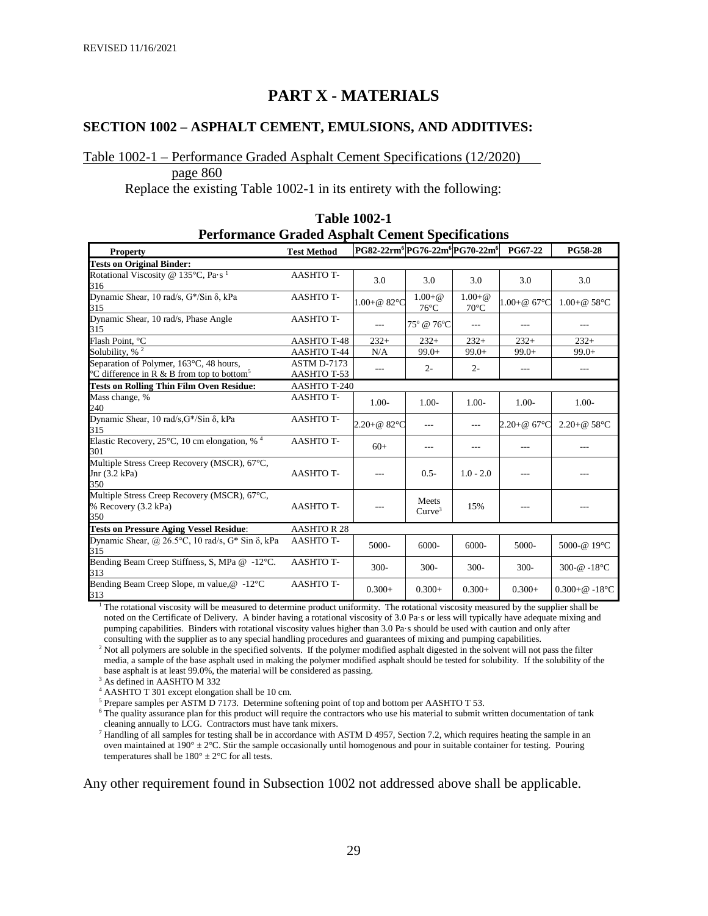# **PART X - MATERIALS**

#### **SECTION 1002 – ASPHALT CEMENT, EMULSIONS, AND ADDITIVES:**

#### Table 1002-1 – Performance Graded Asphalt Cement Specifications (12/2020)

page 860

Replace the existing Table 1002-1 in its entirety with the following:

| <b>Performance Graded Asphalt Cement Specifications</b>                                           |                            |                                                                    |                                   |                                   |                        |                                     |
|---------------------------------------------------------------------------------------------------|----------------------------|--------------------------------------------------------------------|-----------------------------------|-----------------------------------|------------------------|-------------------------------------|
| <b>Property</b>                                                                                   | <b>Test Method</b>         | PG82-22rm <sup>6</sup> PG76-22m <sup>6</sup> PG70-22m <sup>6</sup> |                                   |                                   | <b>PG67-22</b>         | <b>PG58-28</b>                      |
| <b>Tests on Original Binder:</b>                                                                  |                            |                                                                    |                                   |                                   |                        |                                     |
| Rotational Viscosity @ 135 $^{\circ}$ C, Pa $\cdot$ s <sup>1</sup><br>316                         | <b>AASHTO T-</b>           | 3.0                                                                | 3.0                               | 3.0                               | 3.0                    | 3.0                                 |
| Dynamic Shear, 10 rad/s, G*/Sin δ, kPa<br>315                                                     | <b>AASHTOT-</b>            | $1.00 + @ 82^{\circ}C$                                             | $1.00 + \omega$<br>$76^{\circ}$ C | $1.00 + \omega$<br>$70^{\circ}$ C | $1.00 + @ 67$ °C       | $1.00 + @ 58°C$                     |
| Dynamic Shear, 10 rad/s, Phase Angle<br>315                                                       | <b>AASHTO T-</b>           | $---$                                                              | 75° @ 76°C                        | $---$                             | $---$                  |                                     |
| Flash Point, °C                                                                                   | <b>AASHTO T-48</b>         | $232+$                                                             | $232+$                            | $232+$                            | $232+$                 | $232+$                              |
| Solubility, $\sqrt[3]{6^2}$                                                                       | <b>AASHTO T-44</b>         | N/A                                                                | $99.0+$                           | $99.0+$                           | $99.0+$                | $99.0+$                             |
| Separation of Polymer, 163°C, 48 hours,<br>°C difference in R & B from top to bottom <sup>5</sup> | ASTM D-7173<br>AASHTO T-53 | ---                                                                | $2 -$                             | $2 -$                             | ---                    | ---                                 |
| <b>Tests on Rolling Thin Film Oven Residue:</b>                                                   | AASHTO T-240               |                                                                    |                                   |                                   |                        |                                     |
| Mass change, %<br>240                                                                             | AASHTO T-                  | $1.00-$                                                            | $1.00-$                           | $1.00-$                           | $1.00-$                | $1.00-$                             |
| Dynamic Shear, 10 rad/s, G*/Sin δ, kPa<br>315                                                     | <b>AASHTO T-</b>           | $2.20 + @ 82^{\circ}C$                                             | $---$                             | $---$                             | $2.20 + @ 67^{\circ}C$ | $2.20 + @ 58^{\circ}C$              |
| Elastic Recovery, 25 $\degree$ C, 10 cm elongation, % <sup>4</sup><br>301                         | <b>AASHTO T-</b>           | $60+$                                                              | ---                               | ---                               | ---                    | ---                                 |
| Multiple Stress Creep Recovery (MSCR), 67°C,<br>Jnr $(3.2$ kPa)<br>350                            | <b>AASHTO T-</b>           | $---$                                                              | $0.5 -$                           | $1.0 - 2.0$                       | ---                    |                                     |
| Multiple Stress Creep Recovery (MSCR), 67°C,<br>% Recovery (3.2 kPa)<br>350                       | <b>AASHTO T-</b>           | ---                                                                | Meets<br>Curve <sup>3</sup>       | 15%                               |                        |                                     |
| <b>Tests on Pressure Aging Vessel Residue:</b>                                                    | <b>AASHTOR28</b>           |                                                                    |                                   |                                   |                        |                                     |
| Dynamic Shear, @ 26.5 $\degree$ C, 10 rad/s, G* Sin $\delta$ , kPa<br>315                         | <b>AASHTO T-</b>           | 5000-                                                              | 6000-                             | $6000 -$                          | 5000-                  | 5000-@ 19°C                         |
| Bending Beam Creep Stiffness, S, MPa @ -12°C.<br>313                                              | <b>AASHTO T-</b>           | $300 -$                                                            | $300 -$                           | $300 -$                           | $300 -$                | 300- $@ - 18°C$                     |
| Bending Beam Creep Slope, m value, @ -12°C<br>313                                                 | <b>AASHTO T-</b>           | $0.300+$                                                           | $0.300+$                          | $0.300+$                          | $0.300+$               | $0.300 + \omega$ -18 <sup>o</sup> C |

**Table 1002-1 Performance Graded Asphalt Cement Specifications**

<sup>1</sup> The rotational viscosity will be measured to determine product uniformity. The rotational viscosity measured by the supplier shall be noted on the Certificate of Delivery. A binder having a rotational viscosity of 3.0 Pa·s or less will typically have adequate mixing and pumping capabilities. Binders with rotational viscosity values higher than 3.0 Pa·s should be used with caution and only after consulting with the supplier as to any special handling procedures and guarantees of mixing and pumping capabilities.

<sup>2</sup> Not all polymers are soluble in the specified solvents. If the polymer modified asphalt digested in the solvent will not pass the filter media, a sample of the base asphalt used in making the polymer modified asphalt should be tested for solubility. If the solubility of the base asphalt is at least 99.0%, the material will be considered as passing.

<sup>3</sup> As defined in AASHTO M 332

<sup>4</sup> AASHTO T 301 except elongation shall be 10 cm.

 $5$  Prepare samples per ASTM  $\overline{D}$  7173. Determine softening point of top and bottom per AASHTO T 53.

<sup>6</sup> The quality assurance plan for this product will require the contractors who use his material to submit written documentation of tank cleaning annually to LCG. Contractors must have tank mixers.

 $<sup>7</sup>$  Handling of all samples for testing shall be in accordance with ASTM D 4957, Section 7.2, which requires heating the sample in an</sup> oven maintained at  $190^\circ \pm 2^\circ$ C. Stir the sample occasionally until homogenous and pour in suitable container for testing. Pouring temperatures shall be  $180^\circ \pm 2^\circ \text{C}$  for all tests.

Any other requirement found in Subsection 1002 not addressed above shall be applicable.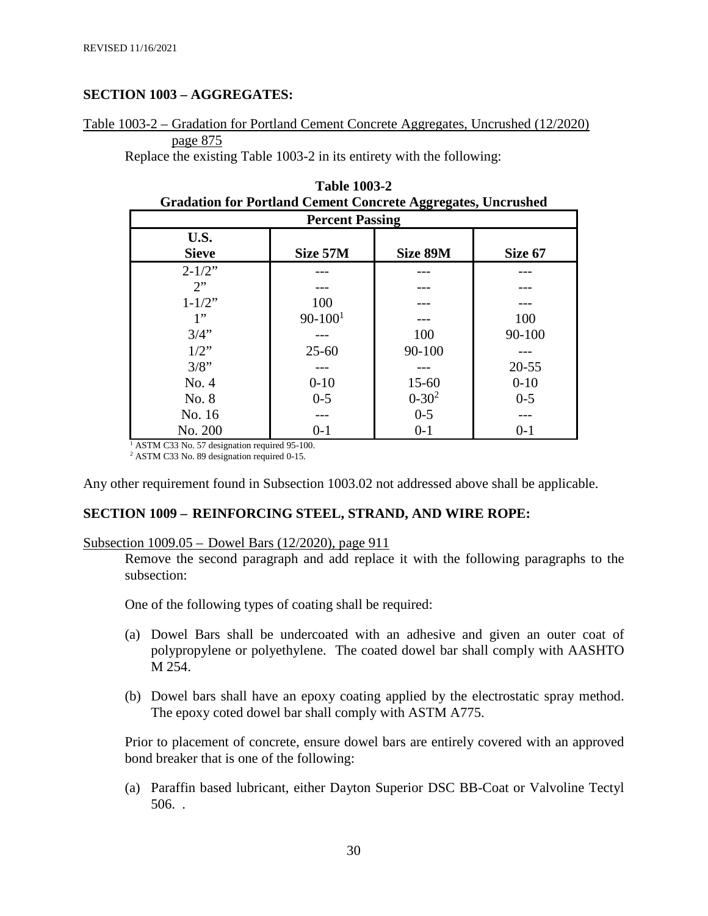#### **SECTION 1003 – AGGREGATES:**

Table 1003-2 – Gradation for Portland Cement Concrete Aggregates, Uncrushed (12/2020) page 875

Replace the existing Table 1003-2 in its entirety with the following:

|                      | Oradation for Fortiand Centent Concrete Aggregates, Oncrushed |            |           |  |
|----------------------|---------------------------------------------------------------|------------|-----------|--|
|                      | <b>Percent Passing</b>                                        |            |           |  |
| U.S.<br><b>Sieve</b> | Size 57M                                                      | Size 89M   | Size 67   |  |
|                      |                                                               |            |           |  |
| $2 - 1/2$ "          |                                                               |            |           |  |
| 2                    |                                                               |            |           |  |
| $1 - 1/2$ "          | 100                                                           |            |           |  |
| 1"                   | $90 - 1001$                                                   |            | 100       |  |
| 3/4"                 |                                                               | 100        | 90-100    |  |
| $1/2$ "              | $25 - 60$                                                     | $90 - 100$ |           |  |
| 3/8"                 |                                                               |            | $20 - 55$ |  |
| No. 4                | $0 - 10$                                                      | $15 - 60$  | $0 - 10$  |  |
| No. 8                | $0 - 5$                                                       | $0 - 30^2$ | $0 - 5$   |  |
| No. 16               |                                                               | $0 - 5$    |           |  |
| No. 200              | $0 - 1$                                                       | $0-1$      | $0 - 1$   |  |

| <b>Table 1003-2</b>                                                 |  |
|---------------------------------------------------------------------|--|
| <b>Gradation for Portland Cement Concrete Aggregates, Uncrushed</b> |  |

 $\frac{1}{1}$  ASTM C33 No. 57 designation required 95-100.

<sup>2</sup> ASTM C33 No. 89 designation required 0-15.

Any other requirement found in Subsection 1003.02 not addressed above shall be applicable.

#### **SECTION 1009 – REINFORCING STEEL, STRAND, AND WIRE ROPE:**

#### Subsection 1009.05 – Dowel Bars (12/2020), page 911

Remove the second paragraph and add replace it with the following paragraphs to the subsection:

One of the following types of coating shall be required:

- (a) Dowel Bars shall be undercoated with an adhesive and given an outer coat of polypropylene or polyethylene. The coated dowel bar shall comply with AASHTO M 254.
- (b) Dowel bars shall have an epoxy coating applied by the electrostatic spray method. The epoxy coted dowel bar shall comply with ASTM A775.

Prior to placement of concrete, ensure dowel bars are entirely covered with an approved bond breaker that is one of the following:

(a) Paraffin based lubricant, either Dayton Superior DSC BB-Coat or Valvoline Tectyl 506. .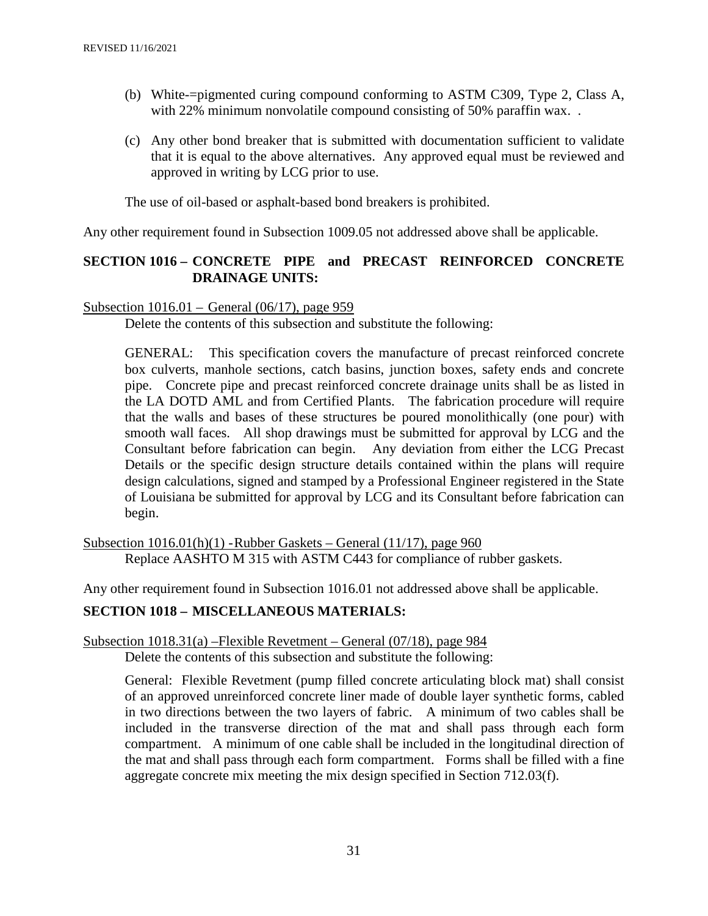- (b) White-=pigmented curing compound conforming to ASTM C309, Type 2, Class A, with 22% minimum nonvolatile compound consisting of 50% paraffin wax...
- (c) Any other bond breaker that is submitted with documentation sufficient to validate that it is equal to the above alternatives. Any approved equal must be reviewed and approved in writing by LCG prior to use.

The use of oil-based or asphalt-based bond breakers is prohibited.

Any other requirement found in Subsection 1009.05 not addressed above shall be applicable.

#### **SECTION 1016 – CONCRETE PIPE and PRECAST REINFORCED CONCRETE DRAINAGE UNITS:**

#### Subsection 1016.01 – General (06/17), page 959

Delete the contents of this subsection and substitute the following:

GENERAL: This specification covers the manufacture of precast reinforced concrete box culverts, manhole sections, catch basins, junction boxes, safety ends and concrete pipe. Concrete pipe and precast reinforced concrete drainage units shall be as listed in the LA DOTD AML and from Certified Plants. The fabrication procedure will require that the walls and bases of these structures be poured monolithically (one pour) with smooth wall faces. All shop drawings must be submitted for approval by LCG and the Consultant before fabrication can begin. Any deviation from either the LCG Precast Details or the specific design structure details contained within the plans will require design calculations, signed and stamped by a Professional Engineer registered in the State of Louisiana be submitted for approval by LCG and its Consultant before fabrication can begin.

Subsection  $1016.01(h)(1)$  -Rubber Gaskets – General  $(11/17)$ , page  $960$ Replace AASHTO M 315 with ASTM C443 for compliance of rubber gaskets.

Any other requirement found in Subsection 1016.01 not addressed above shall be applicable.

#### **SECTION 1018 – MISCELLANEOUS MATERIALS:**

#### Subsection 1018.31(a) –Flexible Revetment – General (07/18), page 984

Delete the contents of this subsection and substitute the following:

General: Flexible Revetment (pump filled concrete articulating block mat) shall consist of an approved unreinforced concrete liner made of double layer synthetic forms, cabled in two directions between the two layers of fabric. A minimum of two cables shall be included in the transverse direction of the mat and shall pass through each form compartment. A minimum of one cable shall be included in the longitudinal direction of the mat and shall pass through each form compartment. Forms shall be filled with a fine aggregate concrete mix meeting the mix design specified in Section 712.03(f).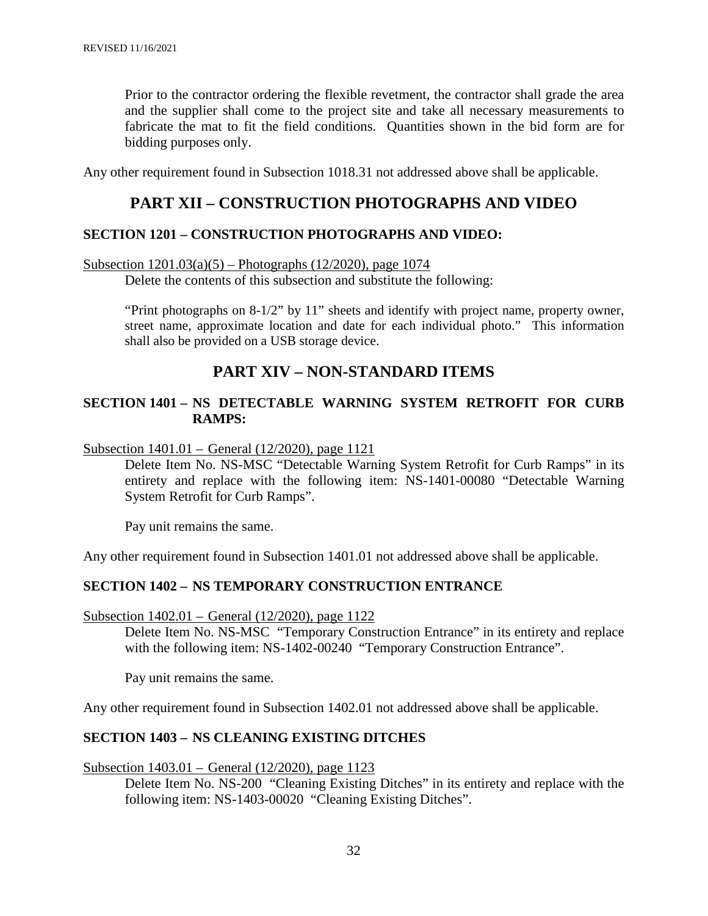Prior to the contractor ordering the flexible revetment, the contractor shall grade the area and the supplier shall come to the project site and take all necessary measurements to fabricate the mat to fit the field conditions. Quantities shown in the bid form are for bidding purposes only.

Any other requirement found in Subsection 1018.31 not addressed above shall be applicable.

#### **PART XII – CONSTRUCTION PHOTOGRAPHS AND VIDEO**

#### **SECTION 1201 – CONSTRUCTION PHOTOGRAPHS AND VIDEO:**

Subsection 1201.03(a)(5) – Photographs (12/2020), page 1074

Delete the contents of this subsection and substitute the following:

"Print photographs on  $8-1/2$ " by 11" sheets and identify with project name, property owner, street name, approximate location and date for each individual photo." This information shall also be provided on a USB storage device.

## **PART XIV – NON-STANDARD ITEMS**

#### **SECTION 1401 – NS DETECTABLE WARNING SYSTEM RETROFIT FOR CURB RAMPS:**

Subsection 1401.01 – General (12/2020), page 1121

Delete Item No. NS-MSC "Detectable Warning System Retrofit for Curb Ramps" in its entirety and replace with the following item: NS-1401-00080 "Detectable Warning System Retrofit for Curb Ramps".

Pay unit remains the same.

Any other requirement found in Subsection 1401.01 not addressed above shall be applicable.

#### **SECTION 1402 – NS TEMPORARY CONSTRUCTION ENTRANCE**

Subsection 1402.01 – General (12/2020), page 1122

Delete Item No. NS-MSC "Temporary Construction Entrance" in its entirety and replace with the following item: NS-1402-00240 "Temporary Construction Entrance".

Pay unit remains the same.

Any other requirement found in Subsection 1402.01 not addressed above shall be applicable.

#### **SECTION 1403 – NS CLEANING EXISTING DITCHES**

Subsection 1403.01 – General (12/2020), page 1123

Delete Item No. NS-200 "Cleaning Existing Ditches" in its entirety and replace with the following item: NS-1403-00020 "Cleaning Existing Ditches".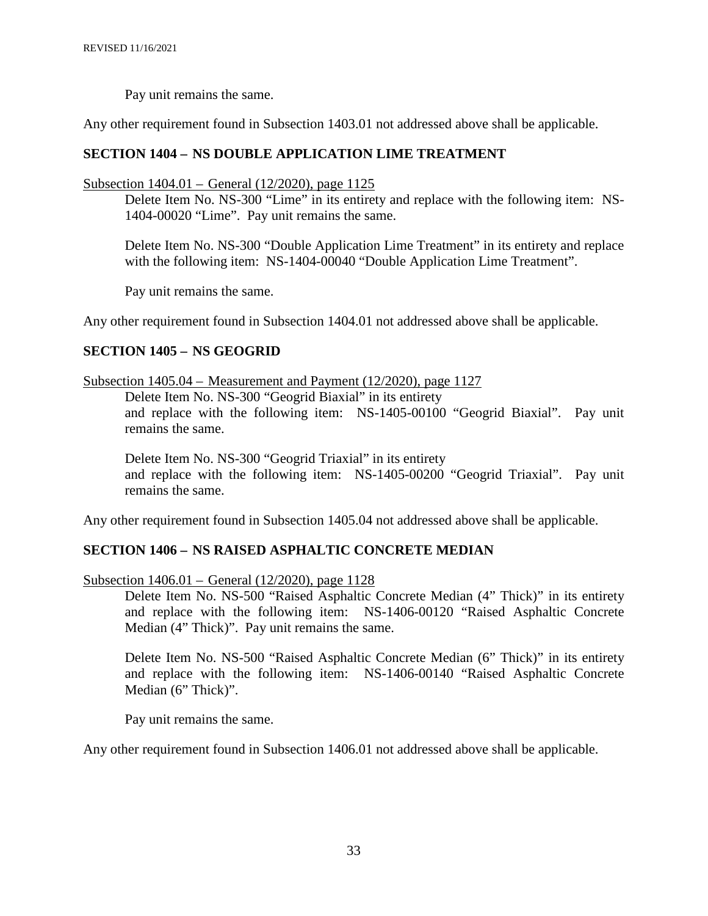Pay unit remains the same.

Any other requirement found in Subsection 1403.01 not addressed above shall be applicable.

#### **SECTION 1404 – NS DOUBLE APPLICATION LIME TREATMENT**

#### Subsection 1404.01 – General (12/2020), page 1125

Delete Item No. NS-300 "Lime" in its entirety and replace with the following item: NS-1404-00020 "Lime". Pay unit remains the same.

Delete Item No. NS-300 "Double Application Lime Treatment" in its entirety and replace with the following item: NS-1404-00040 "Double Application Lime Treatment".

Pay unit remains the same.

Any other requirement found in Subsection 1404.01 not addressed above shall be applicable.

#### **SECTION 1405 – NS GEOGRID**

Subsection 1405.04 – Measurement and Payment (12/2020), page 1127

Delete Item No. NS-300 "Geogrid Biaxial" in its entirety and replace with the following item: NS-1405-00100 "Geogrid Biaxial". Pay unit remains the same.

Delete Item No. NS-300 "Geogrid Triaxial" in its entirety and replace with the following item: NS-1405-00200 "Geogrid Triaxial". Pay unit remains the same.

Any other requirement found in Subsection 1405.04 not addressed above shall be applicable.

#### **SECTION 1406 – NS RAISED ASPHALTIC CONCRETE MEDIAN**

Subsection 1406.01 – General (12/2020), page 1128

Delete Item No. NS-500 "Raised Asphaltic Concrete Median (4" Thick)" in its entirety and replace with the following item: NS-1406-00120 "Raised Asphaltic Concrete Median (4" Thick)". Pay unit remains the same.

Delete Item No. NS-500 "Raised Asphaltic Concrete Median (6" Thick)" in its entirety and replace with the following item: NS-1406-00140 "Raised Asphaltic Concrete Median (6" Thick)".

Pay unit remains the same.

Any other requirement found in Subsection 1406.01 not addressed above shall be applicable.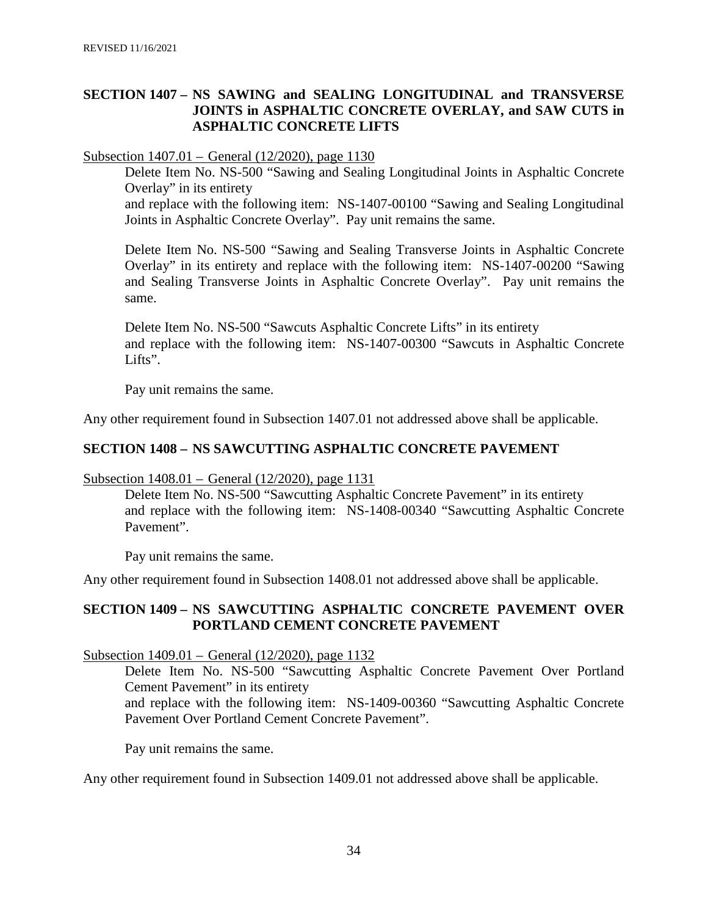#### **SECTION 1407 – NS SAWING and SEALING LONGITUDINAL and TRANSVERSE JOINTS in ASPHALTIC CONCRETE OVERLAY, and SAW CUTS in ASPHALTIC CONCRETE LIFTS**

#### Subsection 1407.01 – General (12/2020), page 1130

Delete Item No. NS-500 "Sawing and Sealing Longitudinal Joints in Asphaltic Concrete Overlay" in its entirety

and replace with the following item: NS-1407-00100 "Sawing and Sealing Longitudinal Joints in Asphaltic Concrete Overlay". Pay unit remains the same.

Delete Item No. NS-500 "Sawing and Sealing Transverse Joints in Asphaltic Concrete Overlay" in its entirety and replace with the following item: NS-1407-00200 "Sawing and Sealing Transverse Joints in Asphaltic Concrete Overlay". Pay unit remains the same.

Delete Item No. NS-500 "Sawcuts Asphaltic Concrete Lifts" in its entirety and replace with the following item: NS-1407-00300 "Sawcuts in Asphaltic Concrete Lifts".

Pay unit remains the same.

Any other requirement found in Subsection 1407.01 not addressed above shall be applicable.

#### **SECTION 1408 – NS SAWCUTTING ASPHALTIC CONCRETE PAVEMENT**

#### Subsection 1408.01 – General (12/2020), page 1131

Delete Item No. NS-500 "Sawcutting Asphaltic Concrete Pavement" in its entirety and replace with the following item: NS-1408-00340 "Sawcutting Asphaltic Concrete Pavement".

Pay unit remains the same.

Any other requirement found in Subsection 1408.01 not addressed above shall be applicable.

#### **SECTION 1409 – NS SAWCUTTING ASPHALTIC CONCRETE PAVEMENT OVER PORTLAND CEMENT CONCRETE PAVEMENT**

#### Subsection 1409.01 – General (12/2020), page 1132

Delete Item No. NS-500 "Sawcutting Asphaltic Concrete Pavement Over Portland Cement Pavement" in its entirety

and replace with the following item: NS-1409-00360 "Sawcutting Asphaltic Concrete Pavement Over Portland Cement Concrete Pavement".

Pay unit remains the same.

Any other requirement found in Subsection 1409.01 not addressed above shall be applicable.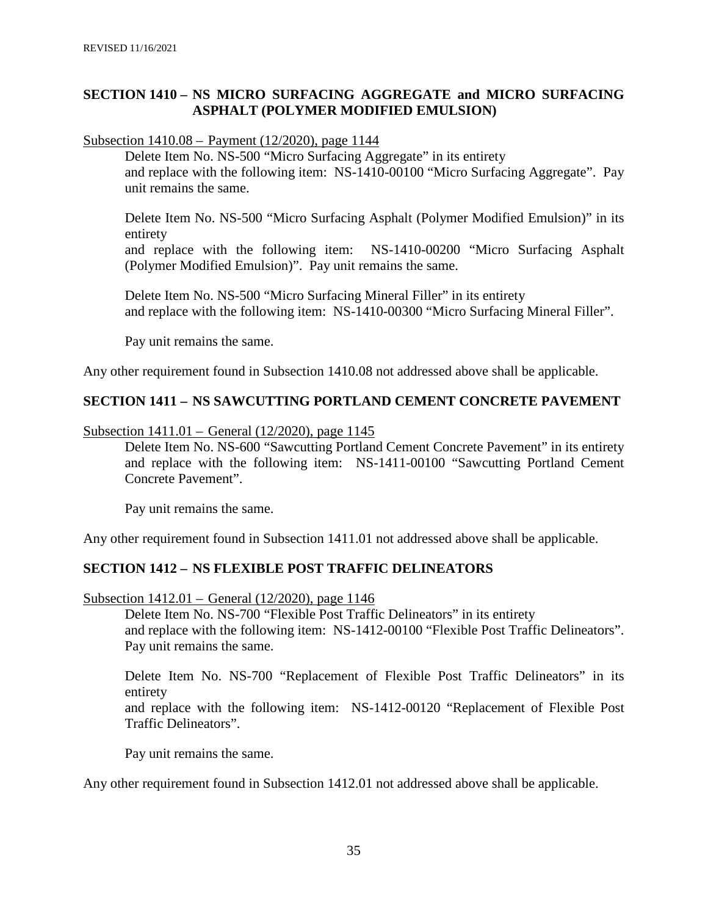#### **SECTION 1410 – NS MICRO SURFACING AGGREGATE and MICRO SURFACING ASPHALT (POLYMER MODIFIED EMULSION)**

Subsection 1410.08 – Payment (12/2020), page 1144

Delete Item No. NS-500 "Micro Surfacing Aggregate" in its entirety and replace with the following item: NS-1410-00100 "Micro Surfacing Aggregate". Pay unit remains the same.

Delete Item No. NS-500 "Micro Surfacing Asphalt (Polymer Modified Emulsion)" in its entirety

and replace with the following item: NS-1410-00200 "Micro Surfacing Asphalt (Polymer Modified Emulsion)". Pay unit remains the same.

Delete Item No. NS-500 "Micro Surfacing Mineral Filler" in its entirety and replace with the following item: NS-1410-00300 "Micro Surfacing Mineral Filler".

Pay unit remains the same.

Any other requirement found in Subsection 1410.08 not addressed above shall be applicable.

#### **SECTION 1411 – NS SAWCUTTING PORTLAND CEMENT CONCRETE PAVEMENT**

Subsection 1411.01 – General (12/2020), page 1145

Delete Item No. NS-600 "Sawcutting Portland Cement Concrete Pavement" in its entirety and replace with the following item: NS-1411-00100 "Sawcutting Portland Cement Concrete Pavement".

Pay unit remains the same.

Any other requirement found in Subsection 1411.01 not addressed above shall be applicable.

#### **SECTION 1412 – NS FLEXIBLE POST TRAFFIC DELINEATORS**

Subsection 1412.01 – General (12/2020), page 1146

Delete Item No. NS-700 "Flexible Post Traffic Delineators" in its entirety and replace with the following item: NS-1412-00100 "Flexible Post Traffic Delineators". Pay unit remains the same.

Delete Item No. NS-700 "Replacement of Flexible Post Traffic Delineators" in its entirety

and replace with the following item: NS-1412-00120 "Replacement of Flexible Post Traffic Delineators".

Pay unit remains the same.

Any other requirement found in Subsection 1412.01 not addressed above shall be applicable.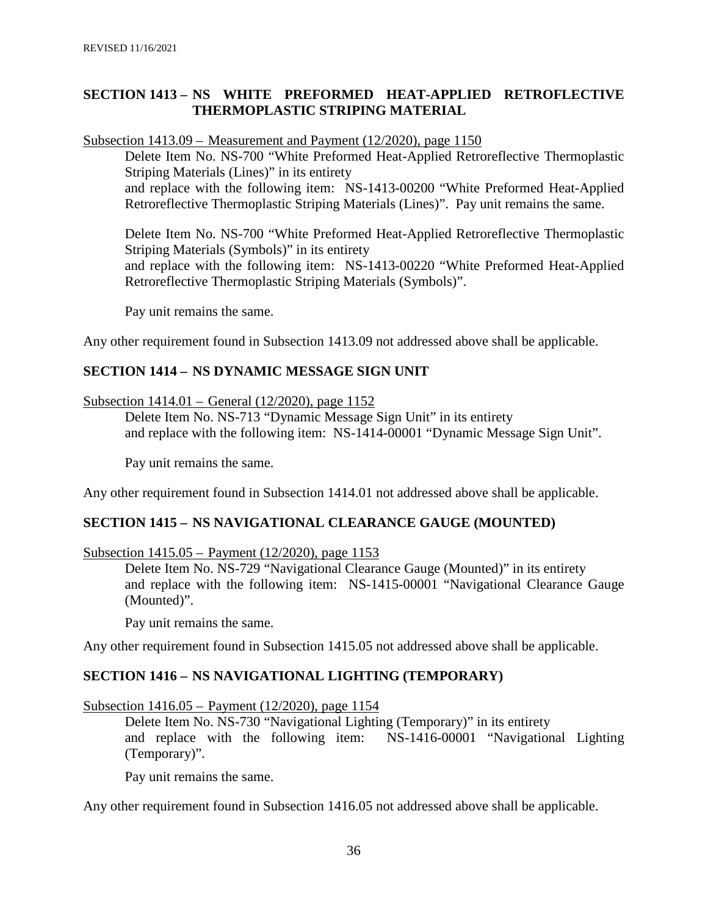#### **SECTION 1413 – NS WHITE PREFORMED HEAT-APPLIED RETROFLECTIVE THERMOPLASTIC STRIPING MATERIAL**

Subsection 1413.09 – Measurement and Payment (12/2020), page 1150

Delete Item No. NS-700 "White Preformed Heat-Applied Retroreflective Thermoplastic Striping Materials (Lines)" in its entirety and replace with the following item: NS-1413-00200 "White Preformed Heat-Applied Retroreflective Thermoplastic Striping Materials (Lines)". Pay unit remains the same.

Delete Item No. NS-700 "White Preformed Heat-Applied Retroreflective Thermoplastic Striping Materials (Symbols)" in its entirety and replace with the following item: NS-1413-00220 "White Preformed Heat-Applied Retroreflective Thermoplastic Striping Materials (Symbols)".

Pay unit remains the same.

Any other requirement found in Subsection 1413.09 not addressed above shall be applicable.

#### **SECTION 1414 – NS DYNAMIC MESSAGE SIGN UNIT**

#### Subsection 1414.01 – General (12/2020), page 1152

Delete Item No. NS-713 "Dynamic Message Sign Unit" in its entirety and replace with the following item: NS-1414-00001 "Dynamic Message Sign Unit".

Pay unit remains the same.

Any other requirement found in Subsection 1414.01 not addressed above shall be applicable.

#### **SECTION 1415 – NS NAVIGATIONAL CLEARANCE GAUGE (MOUNTED)**

#### Subsection 1415.05 – Payment (12/2020), page 1153

Delete Item No. NS-729 "Navigational Clearance Gauge (Mounted)" in its entirety and replace with the following item: NS-1415-00001 "Navigational Clearance Gauge (Mounted)".

Pay unit remains the same.

Any other requirement found in Subsection 1415.05 not addressed above shall be applicable.

#### **SECTION 1416 – NS NAVIGATIONAL LIGHTING (TEMPORARY)**

Subsection 1416.05 – Payment (12/2020), page 1154

Delete Item No. NS-730 "Navigational Lighting (Temporary)" in its entirety and replace with the following item: NS-1416-00001 "Navigational Lighting (Temporary)".

Pay unit remains the same.

Any other requirement found in Subsection 1416.05 not addressed above shall be applicable.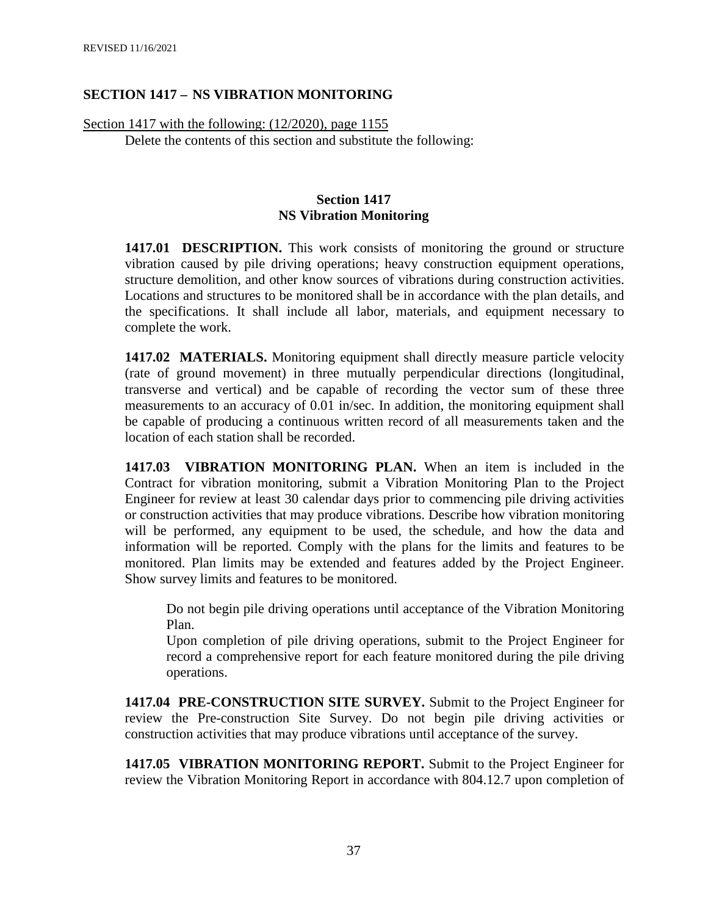#### **SECTION 1417 – NS VIBRATION MONITORING**

Section 1417 with the following: (12/2020), page 1155

Delete the contents of this section and substitute the following:

#### **Section 1417 NS Vibration Monitoring**

**1417.01 DESCRIPTION.** This work consists of monitoring the ground or structure vibration caused by pile driving operations; heavy construction equipment operations, structure demolition, and other know sources of vibrations during construction activities. Locations and structures to be monitored shall be in accordance with the plan details, and the specifications. It shall include all labor, materials, and equipment necessary to complete the work.

**1417.02 MATERIALS.** Monitoring equipment shall directly measure particle velocity (rate of ground movement) in three mutually perpendicular directions (longitudinal, transverse and vertical) and be capable of recording the vector sum of these three measurements to an accuracy of 0.01 in/sec. In addition, the monitoring equipment shall be capable of producing a continuous written record of all measurements taken and the location of each station shall be recorded.

**1417.03 VIBRATION MONITORING PLAN.** When an item is included in the Contract for vibration monitoring, submit a Vibration Monitoring Plan to the Project Engineer for review at least 30 calendar days prior to commencing pile driving activities or construction activities that may produce vibrations. Describe how vibration monitoring will be performed, any equipment to be used, the schedule, and how the data and information will be reported. Comply with the plans for the limits and features to be monitored. Plan limits may be extended and features added by the Project Engineer. Show survey limits and features to be monitored.

Do not begin pile driving operations until acceptance of the Vibration Monitoring Plan.

Upon completion of pile driving operations, submit to the Project Engineer for record a comprehensive report for each feature monitored during the pile driving operations.

**1417.04 PRE-CONSTRUCTION SITE SURVEY.** Submit to the Project Engineer for review the Pre-construction Site Survey. Do not begin pile driving activities or construction activities that may produce vibrations until acceptance of the survey.

**1417.05 VIBRATION MONITORING REPORT.** Submit to the Project Engineer for review the Vibration Monitoring Report in accordance with 804.12.7 upon completion of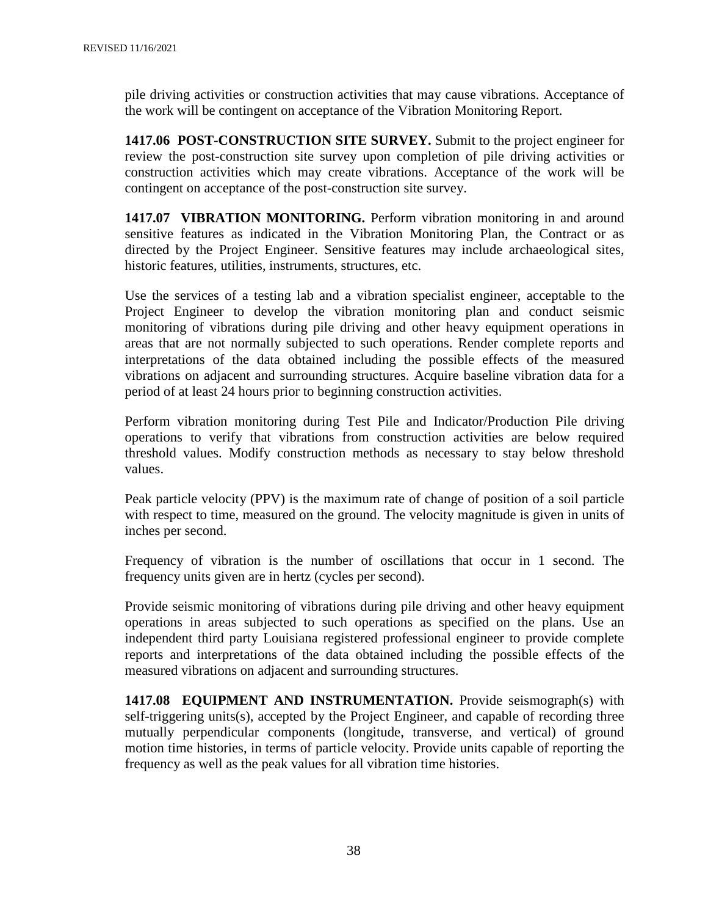pile driving activities or construction activities that may cause vibrations. Acceptance of the work will be contingent on acceptance of the Vibration Monitoring Report.

**1417.06 POST-CONSTRUCTION SITE SURVEY.** Submit to the project engineer for review the post-construction site survey upon completion of pile driving activities or construction activities which may create vibrations. Acceptance of the work will be contingent on acceptance of the post-construction site survey.

**1417.07 VIBRATION MONITORING.** Perform vibration monitoring in and around sensitive features as indicated in the Vibration Monitoring Plan, the Contract or as directed by the Project Engineer. Sensitive features may include archaeological sites, historic features, utilities, instruments, structures, etc.

Use the services of a testing lab and a vibration specialist engineer, acceptable to the Project Engineer to develop the vibration monitoring plan and conduct seismic monitoring of vibrations during pile driving and other heavy equipment operations in areas that are not normally subjected to such operations. Render complete reports and interpretations of the data obtained including the possible effects of the measured vibrations on adjacent and surrounding structures. Acquire baseline vibration data for a period of at least 24 hours prior to beginning construction activities.

Perform vibration monitoring during Test Pile and Indicator/Production Pile driving operations to verify that vibrations from construction activities are below required threshold values. Modify construction methods as necessary to stay below threshold values.

Peak particle velocity (PPV) is the maximum rate of change of position of a soil particle with respect to time, measured on the ground. The velocity magnitude is given in units of inches per second.

Frequency of vibration is the number of oscillations that occur in 1 second. The frequency units given are in hertz (cycles per second).

Provide seismic monitoring of vibrations during pile driving and other heavy equipment operations in areas subjected to such operations as specified on the plans. Use an independent third party Louisiana registered professional engineer to provide complete reports and interpretations of the data obtained including the possible effects of the measured vibrations on adjacent and surrounding structures.

**1417.08 EQUIPMENT AND INSTRUMENTATION.** Provide seismograph(s) with self-triggering units(s), accepted by the Project Engineer, and capable of recording three mutually perpendicular components (longitude, transverse, and vertical) of ground motion time histories, in terms of particle velocity. Provide units capable of reporting the frequency as well as the peak values for all vibration time histories.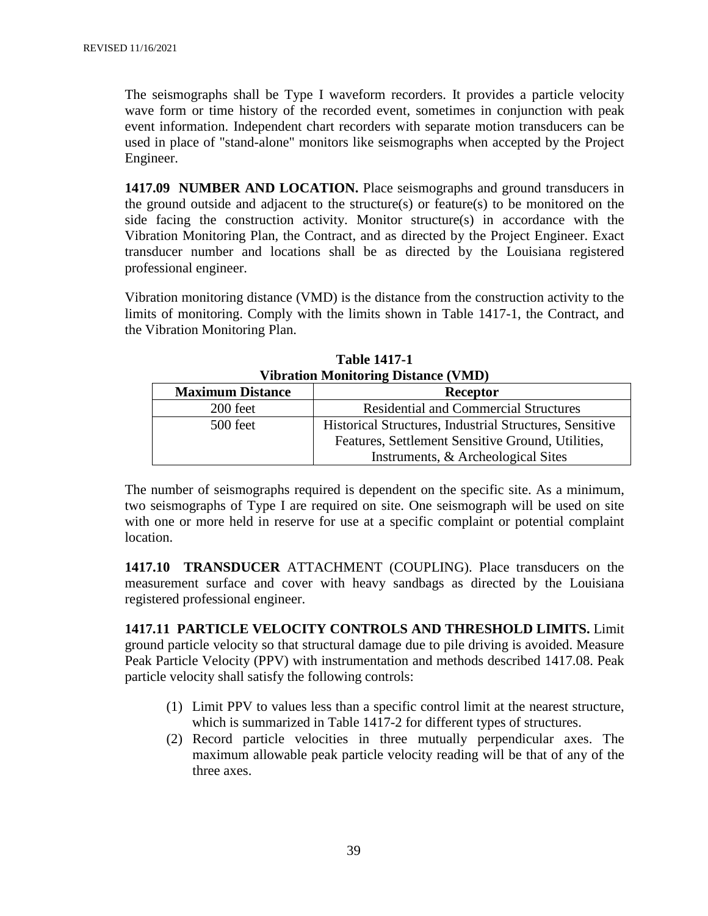The seismographs shall be Type I waveform recorders. It provides a particle velocity wave form or time history of the recorded event, sometimes in conjunction with peak event information. Independent chart recorders with separate motion transducers can be used in place of "stand-alone" monitors like seismographs when accepted by the Project Engineer.

**1417.09 NUMBER AND LOCATION.** Place seismographs and ground transducers in the ground outside and adjacent to the structure(s) or feature(s) to be monitored on the side facing the construction activity. Monitor structure(s) in accordance with the Vibration Monitoring Plan, the Contract, and as directed by the Project Engineer. Exact transducer number and locations shall be as directed by the Louisiana registered professional engineer.

Vibration monitoring distance (VMD) is the distance from the construction activity to the limits of monitoring. Comply with the limits shown in Table 1417-1, the Contract, and the Vibration Monitoring Plan.

| VIDration Monitoring Distance (VMD) |                                                                |  |
|-------------------------------------|----------------------------------------------------------------|--|
| <b>Maximum Distance</b><br>Receptor |                                                                |  |
| 200 feet                            | <b>Residential and Commercial Structures</b>                   |  |
| 500 feet                            | <b>Historical Structures, Industrial Structures, Sensitive</b> |  |
|                                     | Features, Settlement Sensitive Ground, Utilities,              |  |
|                                     | Instruments, & Archeological Sites                             |  |

**Table 1417-1**  $\mathbf{V}$   $\mathbf{V}$  **Distance (VMD)** 

The number of seismographs required is dependent on the specific site. As a minimum, two seismographs of Type I are required on site. One seismograph will be used on site with one or more held in reserve for use at a specific complaint or potential complaint location.

**1417.10 TRANSDUCER** ATTACHMENT (COUPLING). Place transducers on the measurement surface and cover with heavy sandbags as directed by the Louisiana registered professional engineer.

**1417.11 PARTICLE VELOCITY CONTROLS AND THRESHOLD LIMITS.** Limit ground particle velocity so that structural damage due to pile driving is avoided. Measure Peak Particle Velocity (PPV) with instrumentation and methods described 1417.08. Peak particle velocity shall satisfy the following controls:

- (1) Limit PPV to values less than a specific control limit at the nearest structure, which is summarized in Table 1417-2 for different types of structures.
- (2) Record particle velocities in three mutually perpendicular axes. The maximum allowable peak particle velocity reading will be that of any of the three axes.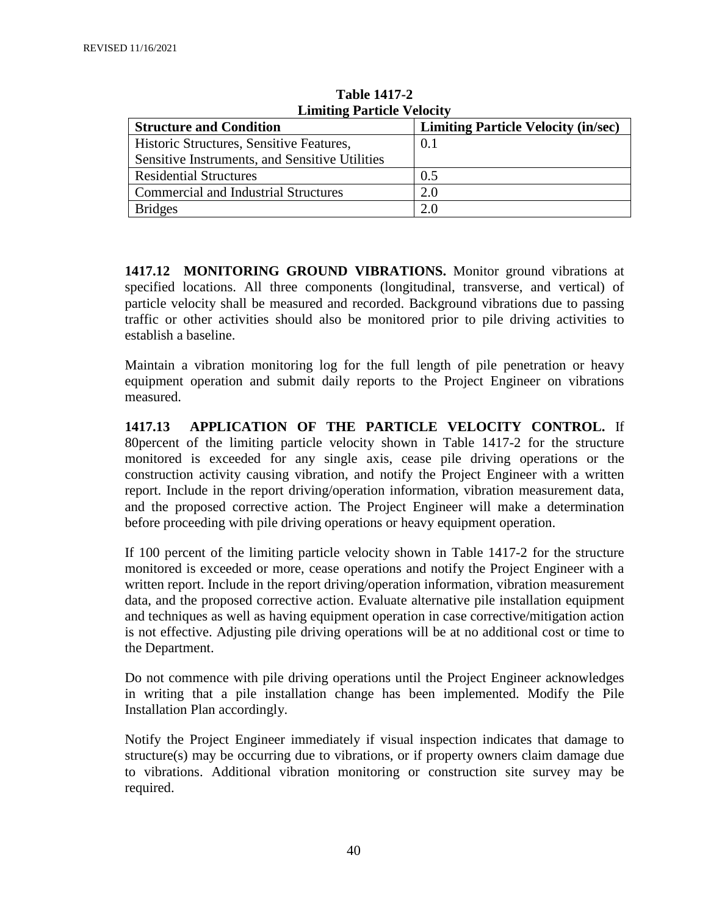| <b>EMMODE 1 at title v clocity</b>             |                                            |  |  |
|------------------------------------------------|--------------------------------------------|--|--|
| <b>Structure and Condition</b>                 | <b>Limiting Particle Velocity (in/sec)</b> |  |  |
| Historic Structures, Sensitive Features,       | 0.1                                        |  |  |
| Sensitive Instruments, and Sensitive Utilities |                                            |  |  |
| <b>Residential Structures</b>                  | 0.5                                        |  |  |
| Commercial and Industrial Structures           | 2.0                                        |  |  |
| <b>Bridges</b>                                 | 2.0                                        |  |  |

**Table 1417-2 Limiting Particle Velocity**

**1417.12 MONITORING GROUND VIBRATIONS.** Monitor ground vibrations at specified locations. All three components (longitudinal, transverse, and vertical) of particle velocity shall be measured and recorded. Background vibrations due to passing traffic or other activities should also be monitored prior to pile driving activities to establish a baseline.

Maintain a vibration monitoring log for the full length of pile penetration or heavy equipment operation and submit daily reports to the Project Engineer on vibrations measured.

**1417.13 APPLICATION OF THE PARTICLE VELOCITY CONTROL.** If 80percent of the limiting particle velocity shown in Table 1417-2 for the structure monitored is exceeded for any single axis, cease pile driving operations or the construction activity causing vibration, and notify the Project Engineer with a written report. Include in the report driving/operation information, vibration measurement data, and the proposed corrective action. The Project Engineer will make a determination before proceeding with pile driving operations or heavy equipment operation.

If 100 percent of the limiting particle velocity shown in Table 1417-2 for the structure monitored is exceeded or more, cease operations and notify the Project Engineer with a written report. Include in the report driving/operation information, vibration measurement data, and the proposed corrective action. Evaluate alternative pile installation equipment and techniques as well as having equipment operation in case corrective/mitigation action is not effective. Adjusting pile driving operations will be at no additional cost or time to the Department.

Do not commence with pile driving operations until the Project Engineer acknowledges in writing that a pile installation change has been implemented. Modify the Pile Installation Plan accordingly.

Notify the Project Engineer immediately if visual inspection indicates that damage to structure(s) may be occurring due to vibrations, or if property owners claim damage due to vibrations. Additional vibration monitoring or construction site survey may be required.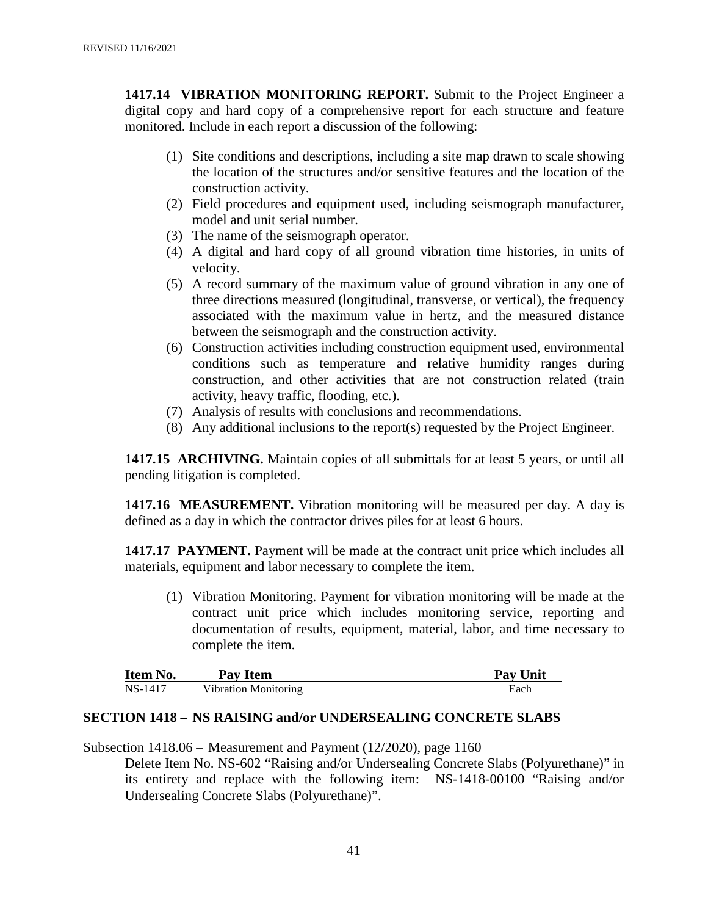**1417.14 VIBRATION MONITORING REPORT.** Submit to the Project Engineer a digital copy and hard copy of a comprehensive report for each structure and feature monitored. Include in each report a discussion of the following:

- (1) Site conditions and descriptions, including a site map drawn to scale showing the location of the structures and/or sensitive features and the location of the construction activity.
- (2) Field procedures and equipment used, including seismograph manufacturer, model and unit serial number.
- (3) The name of the seismograph operator.
- (4) A digital and hard copy of all ground vibration time histories, in units of velocity.
- (5) A record summary of the maximum value of ground vibration in any one of three directions measured (longitudinal, transverse, or vertical), the frequency associated with the maximum value in hertz, and the measured distance between the seismograph and the construction activity.
- (6) Construction activities including construction equipment used, environmental conditions such as temperature and relative humidity ranges during construction, and other activities that are not construction related (train activity, heavy traffic, flooding, etc.).
- (7) Analysis of results with conclusions and recommendations.
- (8) Any additional inclusions to the report(s) requested by the Project Engineer.

**1417.15 ARCHIVING.** Maintain copies of all submittals for at least 5 years, or until all pending litigation is completed.

**1417.16 MEASUREMENT.** Vibration monitoring will be measured per day. A day is defined as a day in which the contractor drives piles for at least 6 hours.

**1417.17 PAYMENT.** Payment will be made at the contract unit price which includes all materials, equipment and labor necessary to complete the item.

(1) Vibration Monitoring. Payment for vibration monitoring will be made at the contract unit price which includes monitoring service, reporting and documentation of results, equipment, material, labor, and time necessary to complete the item.

| <b>Item No.</b> | Pav Item             | <b>Pay Unit</b> |
|-----------------|----------------------|-----------------|
| NS-1417         | Vibration Monitoring | Each            |

#### **SECTION 1418 – NS RAISING and/or UNDERSEALING CONCRETE SLABS**

Subsection 1418.06 – Measurement and Payment (12/2020), page 1160

Delete Item No. NS-602 "Raising and/or Undersealing Concrete Slabs (Polyurethane)" in its entirety and replace with the following item: NS-1418-00100 "Raising and/or Undersealing Concrete Slabs (Polyurethane)".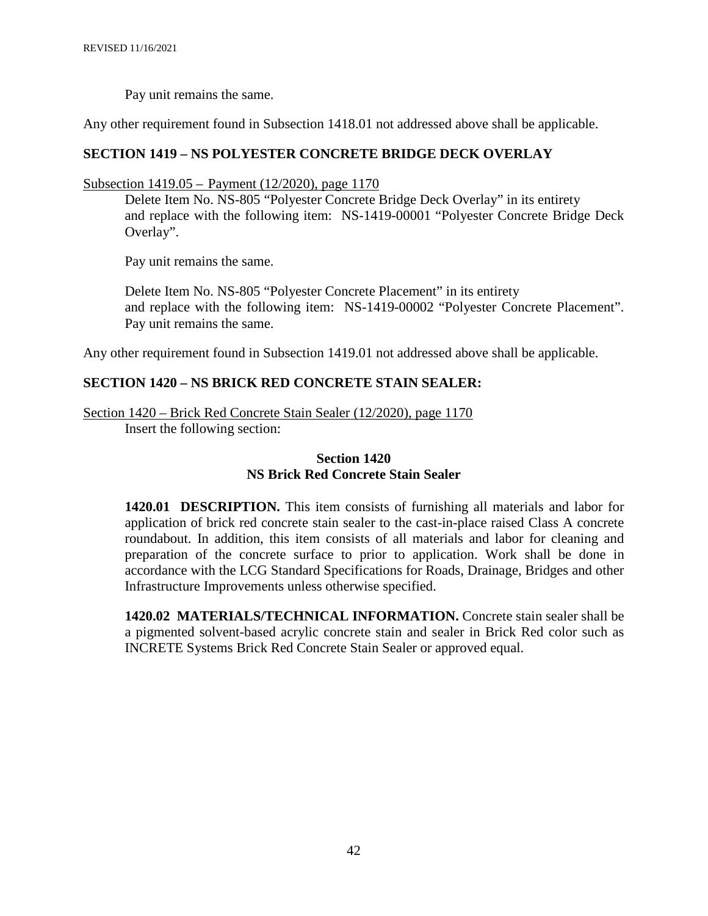Pay unit remains the same.

Any other requirement found in Subsection 1418.01 not addressed above shall be applicable.

#### **SECTION 1419 – NS POLYESTER CONCRETE BRIDGE DECK OVERLAY**

Subsection 1419.05 – Payment (12/2020), page 1170

Delete Item No. NS-805 "Polyester Concrete Bridge Deck Overlay" in its entirety and replace with the following item: NS-1419-00001 "Polyester Concrete Bridge Deck Overlay".

Pay unit remains the same.

Delete Item No. NS-805 "Polyester Concrete Placement" in its entirety and replace with the following item: NS-1419-00002 "Polyester Concrete Placement". Pay unit remains the same.

Any other requirement found in Subsection 1419.01 not addressed above shall be applicable.

#### **SECTION 1420 – NS BRICK RED CONCRETE STAIN SEALER:**

Section 1420 – Brick Red Concrete Stain Sealer (12/2020), page 1170 Insert the following section:

#### **Section 1420 NS Brick Red Concrete Stain Sealer**

**1420.01 DESCRIPTION.** This item consists of furnishing all materials and labor for application of brick red concrete stain sealer to the cast-in-place raised Class A concrete roundabout. In addition, this item consists of all materials and labor for cleaning and preparation of the concrete surface to prior to application. Work shall be done in accordance with the LCG Standard Specifications for Roads, Drainage, Bridges and other Infrastructure Improvements unless otherwise specified.

**1420.02 MATERIALS/TECHNICAL INFORMATION.** Concrete stain sealer shall be a pigmented solvent-based acrylic concrete stain and sealer in Brick Red color such as INCRETE Systems Brick Red Concrete Stain Sealer or approved equal.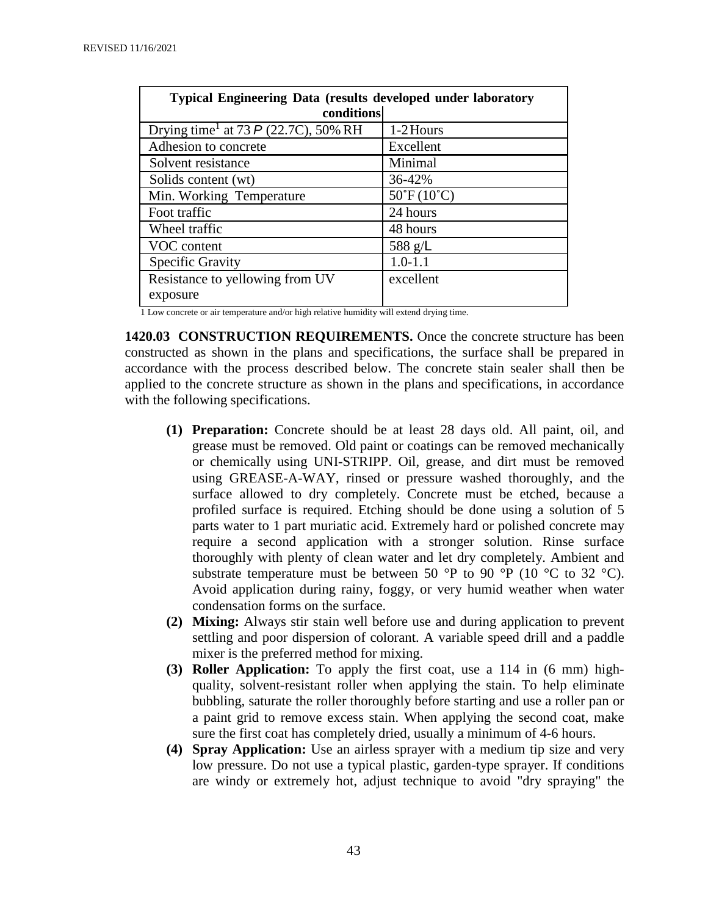| <b>Typical Engineering Data (results developed under laboratory</b><br>conditions |  |  |  |
|-----------------------------------------------------------------------------------|--|--|--|
|                                                                                   |  |  |  |
| 1-2 Hours                                                                         |  |  |  |
| Excellent                                                                         |  |  |  |
| Minimal                                                                           |  |  |  |
| 36-42%                                                                            |  |  |  |
| $50^{\circ}F(10^{\circ}C)$                                                        |  |  |  |
| 24 hours                                                                          |  |  |  |
| 48 hours                                                                          |  |  |  |
| 588 g/L                                                                           |  |  |  |
| $1.0 - 1.1$                                                                       |  |  |  |
| excellent                                                                         |  |  |  |
|                                                                                   |  |  |  |
|                                                                                   |  |  |  |

1 Low concrete or air temperature and/or high relative humidity will extend drying time.

**1420.03 CONSTRUCTION REQUIREMENTS.** Once the concrete structure has been constructed as shown in the plans and specifications, the surface shall be prepared in accordance with the process described below. The concrete stain sealer shall then be applied to the concrete structure as shown in the plans and specifications, in accordance with the following specifications.

- **(1) Preparation:** Concrete should be at least 28 days old. All paint, oil, and grease must be removed. Old paint or coatings can be removed mechanically or chemically using UNI-STRIPP. Oil, grease, and dirt must be removed using GREASE-A-WAY, rinsed or pressure washed thoroughly, and the surface allowed to dry completely. Concrete must be etched, because a profiled surface is required. Etching should be done using a solution of 5 parts water to 1 part muriatic acid. Extremely hard or polished concrete may require a second application with a stronger solution. Rinse surface thoroughly with plenty of clean water and let dry completely. Ambient and substrate temperature must be between 50 °P to 90 °P (10 °C to 32 °C). Avoid application during rainy, foggy, or very humid weather when water condensation forms on the surface.
- **(2) Mixing:** Always stir stain well before use and during application to prevent settling and poor dispersion of colorant. A variable speed drill and a paddle mixer is the preferred method for mixing.
- **(3) Roller Application:** To apply the first coat, use a 114 in (6 mm) highquality, solvent-resistant roller when applying the stain. To help eliminate bubbling, saturate the roller thoroughly before starting and use a roller pan or a paint grid to remove excess stain. When applying the second coat, make sure the first coat has completely dried, usually a minimum of 4-6 hours.
- **(4) Spray Application:** Use an airless sprayer with a medium tip size and very low pressure. Do not use a typical plastic, garden-type sprayer. If conditions are windy or extremely hot, adjust technique to avoid "dry spraying" the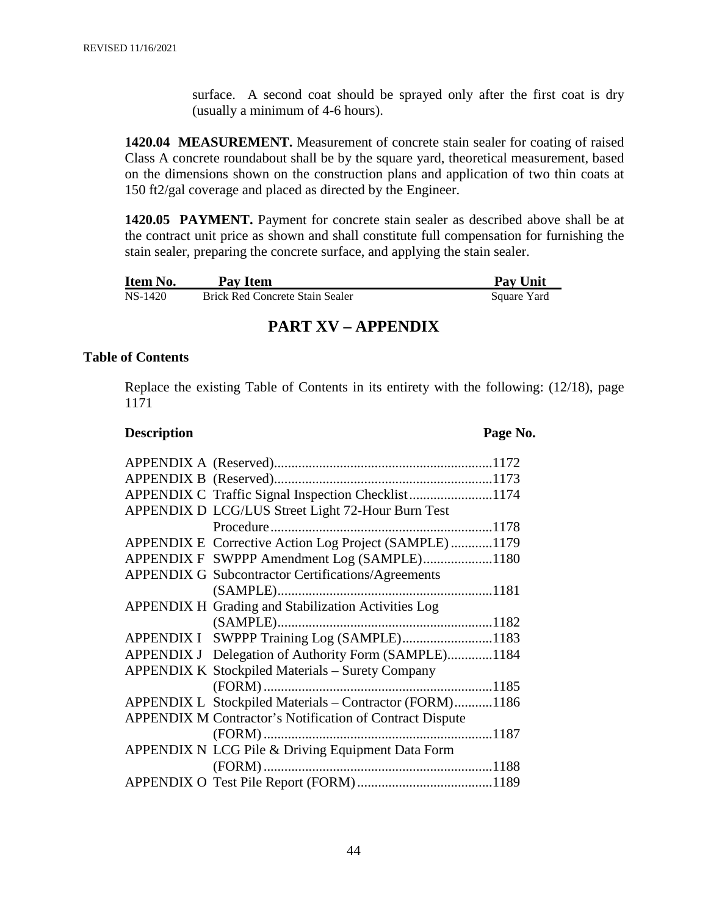surface. A second coat should be sprayed only after the first coat is dry (usually a minimum of 4-6 hours).

**1420.04 MEASUREMENT.** Measurement of concrete stain sealer for coating of raised Class A concrete roundabout shall be by the square yard, theoretical measurement, based on the dimensions shown on the construction plans and application of two thin coats at 150 ft2/gal coverage and placed as directed by the Engineer.

**1420.05 PAYMENT.** Payment for concrete stain sealer as described above shall be at the contract unit price as shown and shall constitute full compensation for furnishing the stain sealer, preparing the concrete surface, and applying the stain sealer.

| Item No. | Pay Item                               | <b>Pay Unit</b> |
|----------|----------------------------------------|-----------------|
| NS-1420  | <b>Brick Red Concrete Stain Sealer</b> | Square Yard     |

# **PART XV – APPENDIX**

#### **Table of Contents**

Replace the existing Table of Contents in its entirety with the following: (12/18), page 1171

#### **Description Page No.**

| APPENDIX C Traffic Signal Inspection Checklist1174              |  |
|-----------------------------------------------------------------|--|
| APPENDIX D LCG/LUS Street Light 72-Hour Burn Test               |  |
|                                                                 |  |
| APPENDIX E Corrective Action Log Project (SAMPLE)1179           |  |
| APPENDIX F SWPPP Amendment Log (SAMPLE)1180                     |  |
| <b>APPENDIX G Subcontractor Certifications/Agreements</b>       |  |
|                                                                 |  |
| APPENDIX H Grading and Stabilization Activities Log             |  |
|                                                                 |  |
| APPENDIX I SWPPP Training Log (SAMPLE)1183                      |  |
| APPENDIX J Delegation of Authority Form (SAMPLE)1184            |  |
| <b>APPENDIX K Stockpiled Materials - Surety Company</b>         |  |
|                                                                 |  |
| APPENDIX L Stockpiled Materials - Contractor (FORM)1186         |  |
| <b>APPENDIX M Contractor's Notification of Contract Dispute</b> |  |
|                                                                 |  |
| APPENDIX N LCG Pile & Driving Equipment Data Form               |  |
|                                                                 |  |
|                                                                 |  |